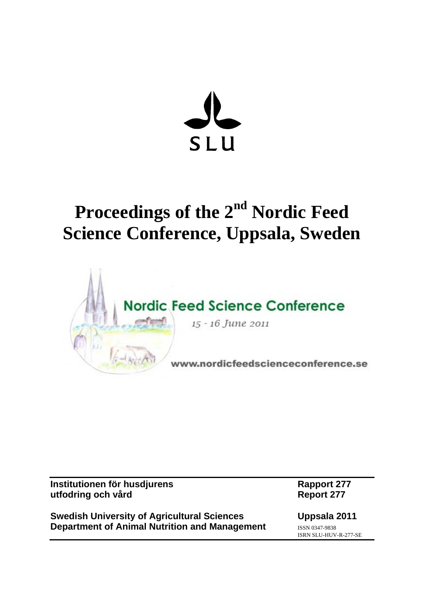

## **Proceedings of the 2nd Nordic Feed Science Conference, Uppsala, Sweden**



| Institutionen för husdjurens |  |
|------------------------------|--|
| utfodring och vård           |  |

**Swedish University of Agricultural Sciences Uppsala 2011 Department of Animal Nutrition and Management** *ISSN 0347-9838* 

**Rapport 277 Report 277** 

ISRN SLU-HUV-R-277-SE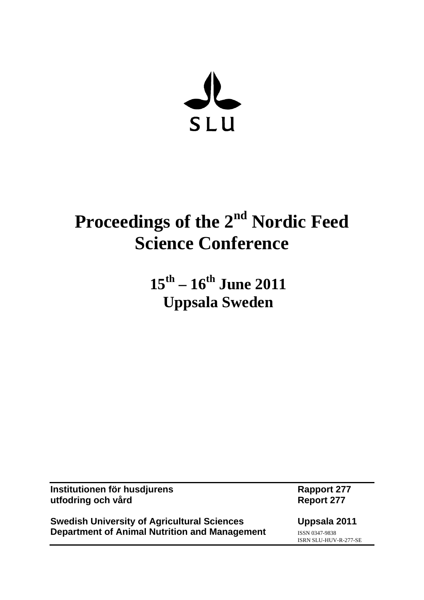

# **Proceedings of the 2nd Nordic Feed Science Conference**

## **15th – 16th June 2011 Uppsala Sweden**

| Institutionen för husdjurens<br>utfodring och vård | <b>Rapport 277</b><br><b>Report 277</b> |
|----------------------------------------------------|-----------------------------------------|
| <b>Swedish University of Agricultural Sciences</b> | Uppsala 2011                            |
| Department of Animal Nutrition and Management      | ISSN 0347-9838<br>ISRN SLU-HUV-R-277-SE |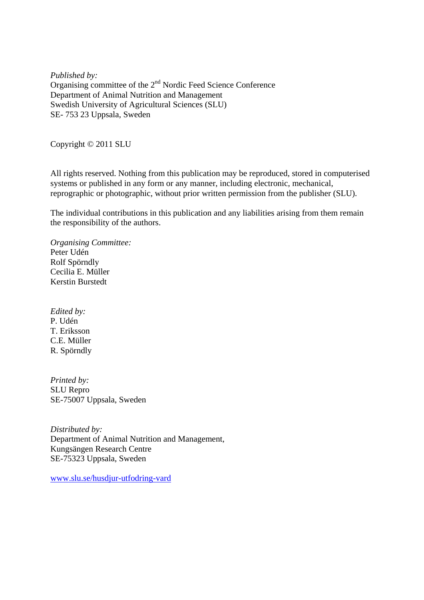*Published by:* Organising committee of the 2nd Nordic Feed Science Conference Department of Animal Nutrition and Management Swedish University of Agricultural Sciences (SLU) SE- 753 23 Uppsala, Sweden

Copyright © 2011 SLU

All rights reserved. Nothing from this publication may be reproduced, stored in computerised systems or published in any form or any manner, including electronic, mechanical, reprographic or photographic, without prior written permission from the publisher (SLU).

The individual contributions in this publication and any liabilities arising from them remain the responsibility of the authors.

*Organising Committee:*  Peter Udén Rolf Spörndly Cecilia E. Müller Kerstin Burstedt

*Edited by:*  P. Udén T. Eriksson C.E. Müller R. Spörndly

*Printed by:* SLU Repro SE-75007 Uppsala, Sweden

*Distributed by:* Department of Animal Nutrition and Management, Kungsängen Research Centre SE-75323 Uppsala, Sweden

www.slu.se/husdjur-utfodring-vard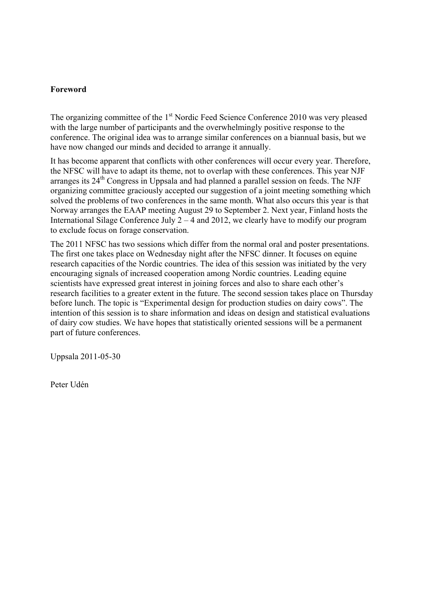#### **Foreword**

The organizing committee of the  $1<sup>st</sup>$  Nordic Feed Science Conference 2010 was very pleased with the large number of participants and the overwhelmingly positive response to the conference. The original idea was to arrange similar conferences on a biannual basis, but we have now changed our minds and decided to arrange it annually.

It has become apparent that conflicts with other conferences will occur every year. Therefore, the NFSC will have to adapt its theme, not to overlap with these conferences. This year NJF arranges its  $24<sup>th</sup>$  Congress in Uppsala and had planned a parallel session on feeds. The NJF organizing committee graciously accepted our suggestion of a joint meeting something which solved the problems of two conferences in the same month. What also occurs this year is that Norway arranges the EAAP meeting August 29 to September 2. Next year, Finland hosts the International Silage Conference July  $2 - 4$  and 2012, we clearly have to modify our program to exclude focus on forage conservation.

The 2011 NFSC has two sessions which differ from the normal oral and poster presentations. The first one takes place on Wednesday night after the NFSC dinner. It focuses on equine research capacities of the Nordic countries. The idea of this session was initiated by the very encouraging signals of increased cooperation among Nordic countries. Leading equine scientists have expressed great interest in joining forces and also to share each other's research facilities to a greater extent in the future. The second session takes place on Thursday before lunch. The topic is "Experimental design for production studies on dairy cows". The intention of this session is to share information and ideas on design and statistical evaluations of dairy cow studies. We have hopes that statistically oriented sessions will be a permanent part of future conferences.

Uppsala 2011-05-30

Peter Udén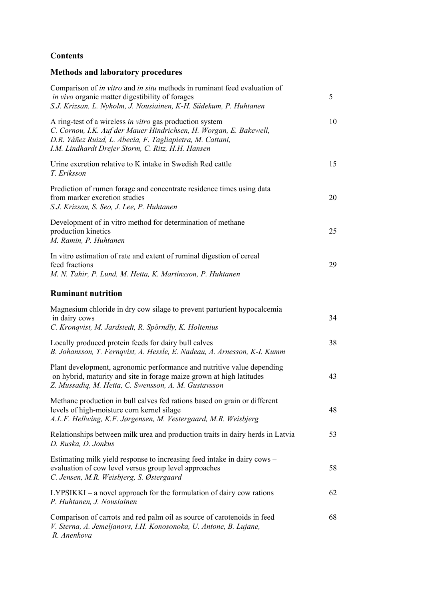## **Contents**

## **Methods and laboratory procedures**

| Comparison of <i>in vitro</i> and <i>in situ</i> methods in ruminant feed evaluation of<br><i>in vivo</i> organic matter digestibility of forages<br>S.J. Krizsan, L. Nyholm, J. Nousiainen, K-H. Südekum, P. Huhtanen                           | 5  |
|--------------------------------------------------------------------------------------------------------------------------------------------------------------------------------------------------------------------------------------------------|----|
| A ring-test of a wireless in vitro gas production system<br>C. Cornou, I.K. Auf der Mauer Hindrichsen, H. Worgan, E. Bakewell,<br>D.R. Yáñez Ruizd, L. Abecia, F. Tagliapietra, M. Cattani,<br>I.M. Lindhardt Drejer Storm, C. Ritz, H.H. Hansen | 10 |
| Urine excretion relative to K intake in Swedish Red cattle<br>T. Eriksson                                                                                                                                                                        | 15 |
| Prediction of rumen forage and concentrate residence times using data<br>from marker excretion studies<br>S.J. Krizsan, S. Seo, J. Lee, P. Huhtanen                                                                                              | 20 |
| Development of in vitro method for determination of methane<br>production kinetics<br>M. Ramin, P. Huhtanen                                                                                                                                      | 25 |
| In vitro estimation of rate and extent of ruminal digestion of cereal<br>feed fractions<br>M. N. Tahir, P. Lund, M. Hetta, K. Martinsson, P. Huhtanen                                                                                            | 29 |
| <b>Ruminant nutrition</b>                                                                                                                                                                                                                        |    |
| Magnesium chloride in dry cow silage to prevent parturient hypocalcemia<br>in dairy cows<br>C. Kronqvist, M. Jardstedt, R. Spörndly, K. Holtenius                                                                                                | 34 |
| Locally produced protein feeds for dairy bull calves<br>B. Johansson, T. Fernqvist, A. Hessle, E. Nadeau, A. Arnesson, K-I. Kumm                                                                                                                 | 38 |
| Plant development, agronomic performance and nutritive value depending<br>on hybrid, maturity and site in forage maize grown at high latitudes<br>Z. Mussadiq, M. Hetta, C. Swensson, A. M. Gustavsson                                           | 43 |
| Methane production in bull calves fed rations based on grain or different<br>levels of high-moisture corn kernel silage<br>A.L.F. Hellwing, K.F. Jørgensen, M. Vestergaard, M.R. Weisbjerg                                                       | 48 |
| Relationships between milk urea and production traits in dairy herds in Latvia<br>D. Ruska, D. Jonkus                                                                                                                                            | 53 |
| Estimating milk yield response to increasing feed intake in dairy cows -<br>evaluation of cow level versus group level approaches<br>C. Jensen, M.R. Weisbjerg, S. Østergaard                                                                    | 58 |
| $LYPSIKKI - a$ novel approach for the formulation of dairy cow rations<br>P. Huhtanen, J. Nousiainen                                                                                                                                             | 62 |
| Comparison of carrots and red palm oil as source of carotenoids in feed<br>V. Sterna, A. Jemeljanovs, I.H. Konosonoka, U. Antone, B. Lujane,<br>R. Anenkova                                                                                      | 68 |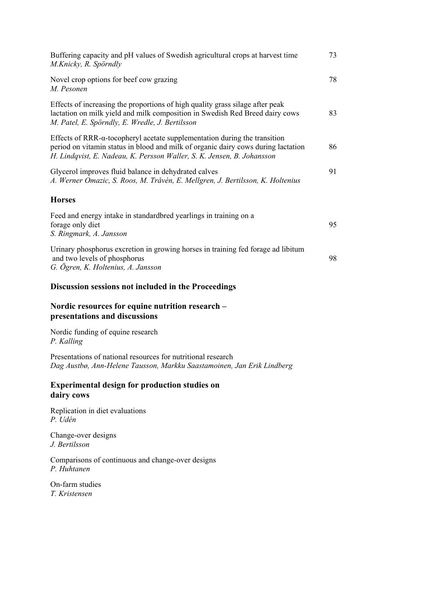| Buffering capacity and pH values of Swedish agricultural crops at harvest time<br>M.Knicky, R. Spörndly                                                                                                                                           | 73 |
|---------------------------------------------------------------------------------------------------------------------------------------------------------------------------------------------------------------------------------------------------|----|
| Novel crop options for beef cow grazing<br>M. Pesonen                                                                                                                                                                                             | 78 |
| Effects of increasing the proportions of high quality grass silage after peak<br>lactation on milk yield and milk composition in Swedish Red Breed dairy cows<br>M. Patel, E. Spörndly, E. Wredle, J. Bertilsson                                  | 83 |
| Effects of RRR- $\alpha$ -tocopheryl acetate supplementation during the transition<br>period on vitamin status in blood and milk of organic dairy cows during lactation<br>H. Lindqvist, E. Nadeau, K. Persson Waller, S. K. Jensen, B. Johansson | 86 |
| Glycerol improves fluid balance in dehydrated calves<br>A. Werner Omazic, S. Roos, M. Tråvén, E. Mellgren, J. Bertilsson, K. Holtenius                                                                                                            | 91 |
| <b>Horses</b>                                                                                                                                                                                                                                     |    |
| Feed and energy intake in standard bred yearlings in training on a<br>forage only diet<br>S. Ringmark, A. Jansson                                                                                                                                 | 95 |
| Urinary phosphorus excretion in growing horses in training fed forage ad libitum<br>and two levels of phosphorus<br>G. Ögren, K. Holtenius, A. Jansson                                                                                            | 98 |

#### **Discussion sessions not included in the Proceedings**

#### **Nordic resources for equine nutrition research – presentations and discussions**

Nordic funding of equine research *P. Kalling* 

Presentations of national resources for nutritional research *Dag Austbø, Ann-Helene Tausson, Markku Saastamoinen, Jan Erik Lindberg*

#### **Experimental design for production studies on dairy cows**

Replication in diet evaluations *P. Udén*

Change-over designs *J. Bertilsson*

Comparisons of continuous and change-over designs *P. Huhtanen*

On-farm studies *T. Kristensen*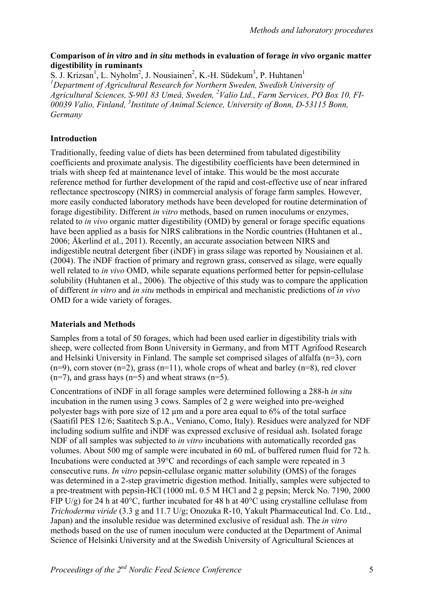#### **Comparison of** *in vitro* **and** *in situ* **methods in evaluation of forage** *in vivo* **organic matter digestibility in ruminants**

S. J. Krizsan<sup>1</sup>, L. Nyholm<sup>2</sup>, J. Nousiainen<sup>2</sup>, K.-H. Südekum<sup>3</sup>, P. Huhtanen<sup>1</sup> <sup>1</sup>Department of Agricultural Research for Northern Sweden, Swedish University of *Agricultural Sciences, S-901 83 Umeå, Sweden, 2 Valio Ltd., Farm Services, PO Box 10, FI-*00039 Valio, Finland, <sup>3</sup>Institute of Animal Science, University of Bonn, D-53115 Bonn, *Germany* 

## **Introduction**

Traditionally, feeding value of diets has been determined from tabulated digestibility coefficients and proximate analysis. The digestibility coefficients have been determined in trials with sheep fed at maintenance level of intake. This would be the most accurate reference method for further development of the rapid and cost-effective use of near infrared reflectance spectroscopy (NIRS) in commercial analysis of forage farm samples. However, more easily conducted laboratory methods have been developed for routine determination of forage digestibility. Different *in vitro* methods, based on rumen inoculums or enzymes, related to *in vivo* organic matter digestibility (OMD) by general or forage specific equations have been applied as a basis for NIRS calibrations in the Nordic countries (Huhtanen et al., 2006; Åkerlind et al., 2011). Recently, an accurate association between NIRS and indigestible neutral detergent fiber (iNDF) in grass silage was reported by Nousiainen et al. (2004). The iNDF fraction of primary and regrown grass, conserved as silage, were equally well related to *in vivo* OMD, while separate equations performed better for pepsin-cellulase solubility (Huhtanen et al., 2006). The objective of this study was to compare the application of different *in vitro* and *in situ* methods in empirical and mechanistic predictions of *in vivo* OMD for a wide variety of forages.

## **Materials and Methods**

Samples from a total of 50 forages, which had been used earlier in digestibility trials with sheep, were collected from Bonn University in Germany, and from MTT Agrifood Research and Helsinki University in Finland. The sample set comprised silages of alfalfa (n=3), corn  $(n=9)$ , corn stover  $(n=2)$ , grass  $(n=11)$ , whole crops of wheat and barley  $(n=8)$ , red clover  $(n=7)$ , and grass hays  $(n=5)$  and wheat straws  $(n=5)$ .

Concentrations of iNDF in all forage samples were determined following a 288-h *in situ* incubation in the rumen using 3 cows. Samples of 2 g were weighed into pre-weighed polyester bags with pore size of 12 µm and a pore area equal to 6% of the total surface (Saatifil PES 12/6; Saatitech S.p.A., Veniano, Como, Italy). Residues were analyzed for NDF including sodium sulfite and iNDF was expressed exclusive of residual ash. Isolated forage NDF of all samples was subjected to *in vitro* incubations with automatically recorded gas volumes. About 500 mg of sample were incubated in 60 mL of buffered rumen fluid for 72 h. Incubations were conducted at  $39^{\circ}$ C and recordings of each sample were repeated in 3 consecutive runs. *In vitro* pepsin-cellulase organic matter solubility (OMS) of the forages was determined in a 2-step gravimetric digestion method. Initially, samples were subjected to a pre-treatment with pepsin-HCl (1000 mL 0.5 M HCl and 2 g pepsin; Merck No. 7190, 2000 FIP U/g) for 24 h at 40 $^{\circ}$ C, further incubated for 48 h at 40 $^{\circ}$ C using crystalline cellulase from *Trichoderma viride* (3.3 g and 11.7 U/g; Onozuka R-10, Yakult Pharmaceutical Ind. Co. Ltd., Japan) and the insoluble residue was determined exclusive of residual ash. The *in vitro* methods based on the use of rumen inoculum were conducted at the Department of Animal Science of Helsinki University and at the Swedish University of Agricultural Sciences at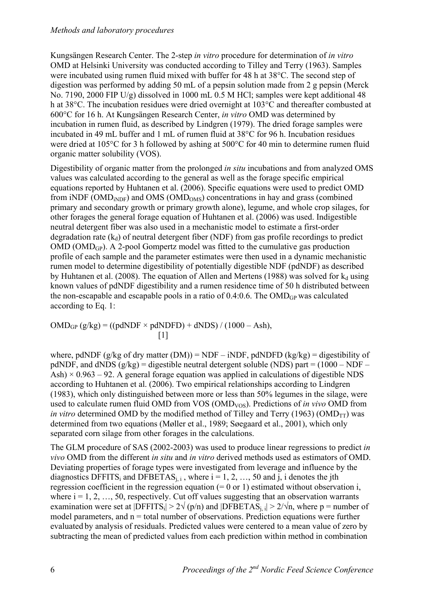#### *Methods and laboratory procedures*

Kungsängen Research Center. The 2-step *in vitro* procedure for determination of *in vitro* OMD at Helsinki University was conducted according to Tilley and Terry (1963). Samples were incubated using rumen fluid mixed with buffer for 48 h at 38°C. The second step of digestion was performed by adding 50 mL of a pepsin solution made from 2 g pepsin (Merck No. 7190, 2000 FIP U/g) dissolved in 1000 mL 0.5 M HCl; samples were kept additional 48 h at 38°C. The incubation residues were dried overnight at 103°C and thereafter combusted at 600°C for 16 h. At Kungsängen Research Center, *in vitro* OMD was determined by incubation in rumen fluid, as described by Lindgren (1979). The dried forage samples were incubated in 49 mL buffer and 1 mL of rumen fluid at 38°C for 96 h. Incubation residues were dried at 105°C for 3 h followed by ashing at 500°C for 40 min to determine rumen fluid organic matter solubility (VOS).

Digestibility of organic matter from the prolonged *in situ* incubations and from analyzed OMS values was calculated according to the general as well as the forage specific empirical equations reported by Huhtanen et al. (2006). Specific equations were used to predict OMD from iNDF ( $\text{OMD}_{\text{iNDF}}$ ) and  $\text{OMS}$  ( $\text{OMD}_{\text{OMS}}$ ) concentrations in hay and grass (combined primary and secondary growth or primary growth alone), legume, and whole crop silages, for other forages the general forage equation of Huhtanen et al. (2006) was used. Indigestible neutral detergent fiber was also used in a mechanistic model to estimate a first-order degradation rate  $(k_d)$  of neutral detergent fiber (NDF) from gas profile recordings to predict OMD (OMDGP). A 2-pool Gompertz model was fitted to the cumulative gas production profile of each sample and the parameter estimates were then used in a dynamic mechanistic rumen model to determine digestibility of potentially digestible NDF (pdNDF) as described by Huhtanen et al. (2008). The equation of Allen and Mertens (1988) was solved for  $k_d$  using known values of pdNDF digestibility and a rumen residence time of 50 h distributed between the non-escapable and escapable pools in a ratio of  $0.4:0.6$ . The OMD<sub>GP</sub> was calculated according to Eq. 1:

 $OMD<sub>GP</sub> (g/kg) = ((pdNDF \times pdNDFD) + dNDS) / (1000 - Ash),$  $\begin{bmatrix} 1 \end{bmatrix}$ 

where, pdNDF (g/kg of dry matter (DM)) = NDF – iNDF, pdNDFD (kg/kg) = digestibility of pdNDF, and dNDS  $(g/kg)$  = digestible neutral detergent soluble (NDS) part = (1000 – NDF – Ash)  $\times$  0.963 – 92. A general forage equation was applied in calculations of digestible NDS according to Huhtanen et al. (2006). Two empirical relationships according to Lindgren (1983), which only distinguished between more or less than 50% legumes in the silage, were used to calculate rumen fluid OMD from VOS (OMD<sub>VOS</sub>). Predictions of *in vivo* OMD from *in vitro* determined OMD by the modified method of Tilley and Terry (1963) (OMD<sub>TT</sub>) was determined from two equations (Møller et al., 1989; Søegaard et al., 2001), which only separated corn silage from other forages in the calculations.

The GLM procedure of SAS (2002-2003) was used to produce linear regressions to predict *in vivo* OMD from the different *in situ* and *in vitro* derived methods used as estimators of OMD. Deviating properties of forage types were investigated from leverage and influence by the diagnostics DFFITS<sub>i</sub> and DFBETAS<sub>i, i</sub>, where  $i = 1, 2, ..., 50$  and j, i denotes the jth regression coefficient in the regression equation  $(= 0 \text{ or } 1)$  estimated without observation i, where  $i = 1, 2, ..., 50$ , respectively. Cut off values suggesting that an observation warrants examination were set at  $|DFFITS_i| > 2\sqrt{(p/n)}$  and  $|DFBETAS_i| > 2\sqrt{n}$ , where p = number of model parameters, and  $n =$  total number of observations. Prediction equations were further evaluated by analysis of residuals. Predicted values were centered to a mean value of zero by subtracting the mean of predicted values from each prediction within method in combination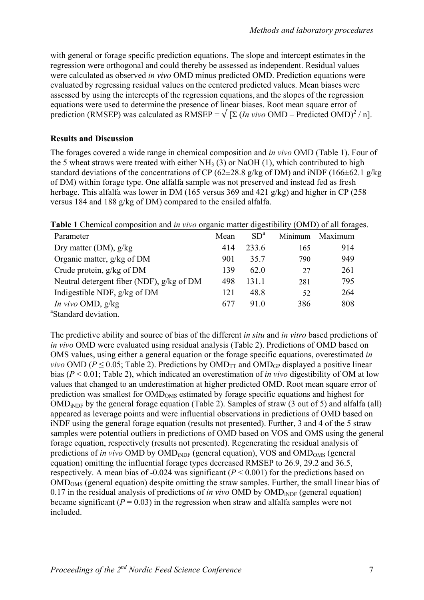with general or forage specific prediction equations. The slope and intercept estimates in the regression were orthogonal and could thereby be assessed as independent. Residual values were calculated as observed *in vivo* OMD minus predicted OMD. Prediction equations were evaluated by regressing residual values on the centered predicted values. Mean biases were assessed by using the intercepts of the regression equations, and the slopes of the regression equations were used to determine the presence of linear biases. Root mean square error of prediction (RMSEP) was calculated as RMSEP =  $\sqrt{\left[\Sigma\left(\ln \text{vivo OMD} - \text{Predicted OMD}\right)^2 / n\right]}$ .

#### **Results and Discussion**

The forages covered a wide range in chemical composition and *in vivo* OMD (Table 1). Four of the 5 wheat straws were treated with either  $NH<sub>3</sub>(3)$  or NaOH (1), which contributed to high standard deviations of the concentrations of CP (62 $\pm$ 28.8 g/kg of DM) and iNDF (166 $\pm$ 62.1 g/kg of DM) within forage type. One alfalfa sample was not preserved and instead fed as fresh herbage. This alfalfa was lower in DM (165 versus 369 and 421 g/kg) and higher in CP (258 versus 184 and 188 g/kg of DM) compared to the ensiled alfalfa.

**Table 1** Chemical composition and *in vivo* organic matter digestibility (OMD) of all forages.

| Parameter                                 | Mean | $SD^a$ | Minimum | Maximum |
|-------------------------------------------|------|--------|---------|---------|
| Dry matter (DM), $g/kg$                   | 414  | 233.6  | 165     | 914     |
| Organic matter, g/kg of DM                | 901  | 35.7   | 790     | 949     |
| Crude protein, $g/kg$ of DM               | 139  | 620    | 27      | 261     |
| Neutral detergent fiber (NDF), g/kg of DM | 498  | 1311   | 281     | 795     |
| Indigestible NDF, $g/kg$ of DM            | 121  | 48.8   | 52      | 264     |
| <i>In vivo</i> OMD, $g/kg$                | 677  | 910    | 386     | 808     |

<sup>a</sup>Standard deviation.

The predictive ability and source of bias of the different *in situ* and *in vitro* based predictions of *in vivo* OMD were evaluated using residual analysis (Table 2). Predictions of OMD based on OMS values, using either a general equation or the forage specific equations, overestimated *in vivo* OMD ( $P \le 0.05$ ; Table 2). Predictions by OMD<sub>TT</sub> and OMD<sub>GP</sub> displayed a positive linear bias (*P* < 0.01; Table 2), which indicated an overestimation of *in vivo* digestibility of OM at low values that changed to an underestimation at higher predicted OMD. Root mean square error of prediction was smallest for  $OMD<sub>OMS</sub>$  estimated by forage specific equations and highest for OMD<sub>iNDF</sub> by the general forage equation (Table 2). Samples of straw (3 out of 5) and alfalfa (all) appeared as leverage points and were influential observations in predictions of OMD based on iNDF using the general forage equation (results not presented). Further, 3 and 4 of the 5 straw samples were potential outliers in predictions of OMD based on VOS and OMS using the general forage equation, respectively (results not presented). Regenerating the residual analysis of predictions of *in vivo* OMD by OMD<sub>iNDF</sub> (general equation), VOS and OMD<sub>OMS</sub> (general equation) omitting the influential forage types decreased RMSEP to 26.9, 29.2 and 36.5, respectively. A mean bias of -0.024 was significant (*P* < 0.001) for the predictions based on OMDOMS (general equation) despite omitting the straw samples. Further, the small linear bias of 0.17 in the residual analysis of predictions of *in vivo* OMD by  $OMD<sub>iNDF</sub>$  (general equation) became significant  $(P = 0.03)$  in the regression when straw and alfalfa samples were not included.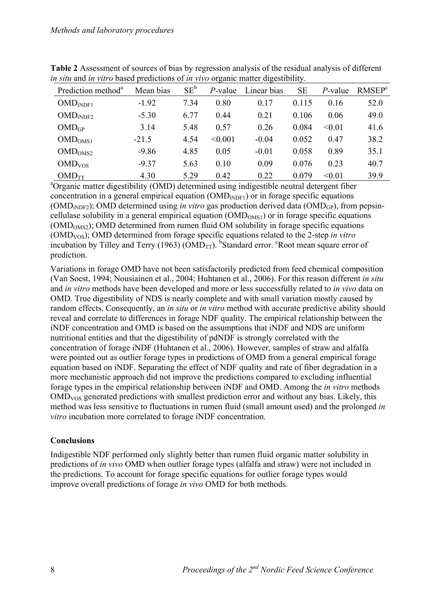| Prediction method <sup>a</sup>           | Mean bias | $SE^b$ | $P$ -value | Linear bias | <b>SE</b> | P-value | RMSEP <sup>c</sup> |
|------------------------------------------|-----------|--------|------------|-------------|-----------|---------|--------------------|
| $OMD_{iNDF1}$                            | $-1.92$   | 7.34   | 0.80       | 0.17        | 0.115     | 0.16    | 52.0               |
| $\mathrm{OMD}_{\mathrm{i}\mathrm{NDF2}}$ | $-5.30$   | 6.77   | 0.44       | 0.21        | 0.106     | 0.06    | 49.0               |
| $OMD$ <sub>GP</sub>                      | 3.14      | 5.48   | 0.57       | 0.26        | 0.084     | < 0.01  | 41.6               |
| OMD <sub>OMS1</sub>                      | $-21.5$   | 4.54   | < 0.001    | $-0.04$     | 0.052     | 0.47    | 38.2               |
| OMD <sub>OMS2</sub>                      | $-9.86$   | 4.85   | 0.05       | $-0.01$     | 0.058     | 0.89    | 35.1               |
| OMD <sub>VOS</sub>                       | $-9.37$   | 5.63   | 0.10       | 0.09        | 0.076     | 0.23    | 40.7               |
| $OMD_{TT}$                               | 4.30      | 5.29   | 0.42       | 0.22        | 0.079     | < 0.01  | 39.9               |

**Table 2** Assessment of sources of bias by regression analysis of the residual analysis of different *in situ* and *in vitro* based predictions of *in vivo* organic matter digestibility.

 $\frac{\text{OMD}_{\text{TT}}}{\text{N} \cdot \text{O}}$  and  $\frac{4.30}{\text{O} \cdot \text{O}}$  5.29 0.42 0.22 0.079 <0.01 39.9 and  $\frac{39.9}{\text{O}}$ concentration in a general empirical equation  $(\text{OMD}_{iNPF1})$  or in forage specific equations (OMD<sub>iNDF2</sub>); OMD determined using *in vitro* gas production derived data (OMD<sub>GP</sub>), from pepsincellulase solubility in a general empirical equation  $(OMD<sub>OMS1</sub>)$  or in forage specific equations  $(OMD<sub>OMS2</sub>)$ ; OMD determined from rumen fluid OM solubility in forage specific equations (OMDVOS); OMD determined from forage specific equations related to the 2-step *in vitro* incubation by Tilley and Terry (1963) ( $\overline{OMD}_{TT}$ ). <sup>b</sup>Standard error. <sup>c</sup>Root mean square error of prediction.

Variations in forage OMD have not been satisfactorily predicted from feed chemical composition (Van Soest, 1994; Nousiainen et al., 2004; Huhtanen et al., 2006). For this reason different *in situ* and *in vitro* methods have been developed and more or less successfully related to *in vivo* data on OMD. True digestibility of NDS is nearly complete and with small variation mostly caused by random effects. Consequently, an *in situ* or *in vitro* method with accurate predictive ability should reveal and correlate to differences in forage NDF quality. The empirical relationship between the iNDF concentration and OMD is based on the assumptions that iNDF and NDS are uniform nutritional entities and that the digestibility of pdNDF is strongly correlated with the concentration of forage iNDF (Huhtanen et al., 2006). However, samples of straw and alfalfa were pointed out as outlier forage types in predictions of OMD from a general empirical forage equation based on iNDF. Separating the effect of NDF quality and rate of fiber degradation in a more mechanistic approach did not improve the predictions compared to excluding influential forage types in the empirical relationship between iNDF and OMD. Among the *in vitro* methods OMDVOS generated predictions with smallest prediction error and without any bias. Likely, this method was less sensitive to fluctuations in rumen fluid (small amount used) and the prolonged *in vitro* incubation more correlated to forage iNDF concentration.

## **Conclusions**

Indigestible NDF performed only slightly better than rumen fluid organic matter solubility in predictions of *in vivo* OMD when outlier forage types (alfalfa and straw) were not included in the predictions. To account for forage specific equations for outlier forage types would improve overall predictions of forage *in vivo* OMD for both methods.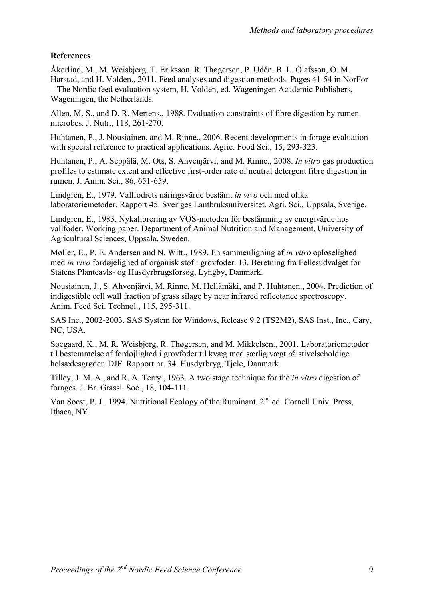## **References**

Åkerlind, M., M. Weisbjerg, T. Eriksson, R. Thøgersen, P. Udén, B. L. Ólafsson, O. M. Harstad, and H. Volden., 2011. Feed analyses and digestion methods. Pages 41-54 in NorFor – The Nordic feed evaluation system, H. Volden, ed. Wageningen Academic Publishers, Wageningen, the Netherlands.

Allen, M. S., and D. R. Mertens., 1988. Evaluation constraints of fibre digestion by rumen microbes. J. Nutr., 118, 261-270.

Huhtanen, P., J. Nousiainen, and M. Rinne., 2006. Recent developments in forage evaluation with special reference to practical applications. Agric. Food Sci., 15, 293-323.

Huhtanen, P., A. Seppälä, M. Ots, S. Ahvenjärvi, and M. Rinne., 2008. *In vitro* gas production profiles to estimate extent and effective first-order rate of neutral detergent fibre digestion in rumen. J. Anim. Sci., 86, 651-659.

Lindgren, E., 1979. Vallfodrets näringsvärde bestämt *in vivo* och med olika laboratoriemetoder. Rapport 45. Sveriges Lantbruksuniversitet. Agri. Sci., Uppsala, Sverige.

Lindgren, E., 1983. Nykalibrering av VOS-metoden för bestämning av energivärde hos vallfoder. Working paper. Department of Animal Nutrition and Management, University of Agricultural Sciences, Uppsala, Sweden.

Møller, E., P. E. Andersen and N. Witt., 1989. En sammenligning af *in vitro* opløselighed med *in vivo* fordøjelighed af organisk stof i grovfoder. 13. Beretning fra Fellesudvalget for Statens Planteavls- og Husdyrbrugsforsøg, Lyngby, Danmark.

Nousiainen, J., S. Ahvenjärvi, M. Rinne, M. Hellämäki, and P. Huhtanen., 2004. Prediction of indigestible cell wall fraction of grass silage by near infrared reflectance spectroscopy. Anim. Feed Sci. Technol., 115, 295-311.

SAS Inc., 2002-2003. SAS System for Windows, Release 9.2 (TS2M2), SAS Inst., Inc., Cary, NC, USA.

Søegaard, K., M. R. Weisbjerg, R. Thøgersen, and M. Mikkelsen., 2001. Laboratoriemetoder til bestemmelse af fordøjlighed i grovfoder til kvæg med særlig vægt på stivelseholdige helsædesgrøder. DJF. Rapport nr. 34. Husdyrbryg, Tjele, Danmark.

Tilley, J. M. A., and R. A. Terry., 1963. A two stage technique for the *in vitro* digestion of forages. J. Br. Grassl. Soc., 18, 104-111.

Van Soest, P. J., 1994. Nutritional Ecology of the Ruminant. 2<sup>nd</sup> ed. Cornell Univ. Press, Ithaca, NY.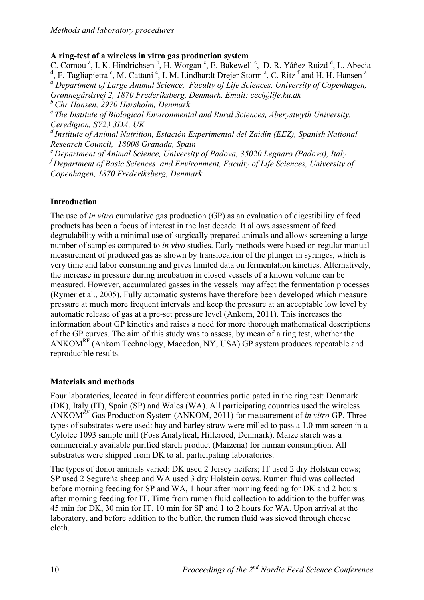#### **A ring-test of a wireless in vitro gas production system**

C. Cornou<sup>a</sup>, I. K. Hindrichsen<sup>b</sup>, H. Worgan<sup>c</sup>, E. Bakewell<sup>c</sup>, D. R. Yáñez Ruizd<sup>d</sup>, L. Abecia <sup>d</sup>, F. Tagliapietra<sup>e</sup>, M. Cattani<sup>e</sup>, I. M. Lindhardt Drejer Storm<sup>a</sup>, C. Ritz<sup>f</sup> and H. H. Hansen<sup>a</sup> <sup>a</sup> Department of Large Animal Science, Faculty of Life Sciences, University of Copenhagen, *Grønnegårdsvej 2, 1870 Frederiksberg, Denmark. Email: cec@life.ku.dk b Chr Hansen, 2970 Hørsholm, Denmark* 

*c The Institute of Biological Environmental and Rural Sciences, Aberystwyth University, Ceredigion, SY23 3DA, UK* 

*d Institute of Animal Nutrition, Estación Experimental del Zaidín (EEZ), Spanish National Research Council, 18008 Granada, Spain* 

*e Department of Animal Science, University of Padova, 35020 Legnaro (Padova), Italy f Department of Basic Sciences and Environment, Faculty of Life Sciences, University of Copenhagen, 1870 Frederiksberg, Denmark*

## **Introduction**

The use of *in vitro* cumulative gas production (GP) as an evaluation of digestibility of feed products has been a focus of interest in the last decade. It allows assessment of feed degradability with a minimal use of surgically prepared animals and allows screening a large number of samples compared to *in vivo* studies. Early methods were based on regular manual measurement of produced gas as shown by translocation of the plunger in syringes, which is very time and labor consuming and gives limited data on fermentation kinetics. Alternatively, the increase in pressure during incubation in closed vessels of a known volume can be measured. However, accumulated gasses in the vessels may affect the fermentation processes (Rymer et al., 2005). Fully automatic systems have therefore been developed which measure pressure at much more frequent intervals and keep the pressure at an acceptable low level by automatic release of gas at a pre-set pressure level (Ankom, 2011). This increases the information about GP kinetics and raises a need for more thorough mathematical descriptions of the GP curves. The aim of this study was to assess, by mean of a ring test, whether the ANKOMRF (Ankom Technology, Macedon, NY, USA) GP system produces repeatable and reproducible results.

#### **Materials and methods**

Four laboratories, located in four different countries participated in the ring test: Denmark (DK), Italy (IT), Spain (SP) and Wales (WA). All participating countries used the wireless ANKOM*RF* Gas Production System (ANKOM, 2011) for measurement of *in vitro* GP. Three types of substrates were used: hay and barley straw were milled to pass a 1.0-mm screen in a Cylotec 1093 sample mill (Foss Analytical, Hilleroed, Denmark). Maize starch was a commercially available purified starch product (Maizena) for human consumption. All substrates were shipped from DK to all participating laboratories.

The types of donor animals varied: DK used 2 Jersey heifers; IT used 2 dry Holstein cows; SP used 2 Segureña sheep and WA used 3 dry Holstein cows. Rumen fluid was collected before morning feeding for SP and WA, 1 hour after morning feeding for DK and 2 hours after morning feeding for IT. Time from rumen fluid collection to addition to the buffer was 45 min for DK, 30 min for IT, 10 min for SP and 1 to 2 hours for WA. Upon arrival at the laboratory, and before addition to the buffer, the rumen fluid was sieved through cheese cloth.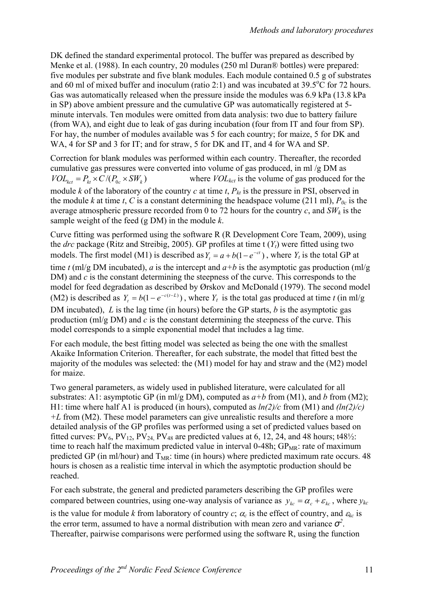DK defined the standard experimental protocol. The buffer was prepared as described by Menke et al. (1988). In each country, 20 modules (250 ml Duran® bottles) were prepared: five modules per substrate and five blank modules. Each module contained 0.5 g of substrates and 60 ml of mixed buffer and inoculum (ratio 2:1) and was incubated at  $39.5^{\circ}$ C for 72 hours. Gas was automatically released when the pressure inside the modules was 6.9 kPa (13.8 kPa in SP) above ambient pressure and the cumulative GP was automatically registered at 5 minute intervals. Ten modules were omitted from data analysis: two due to battery failure (from WA), and eight due to leak of gas during incubation (four from IT and four from SP). For hay, the number of modules available was 5 for each country; for maize, 5 for DK and WA, 4 for SP and 3 for IT; and for straw, 5 for DK and IT, and 4 for WA and SP.

Correction for blank modules was performed within each country. Thereafter, the recorded cumulative gas pressures were converted into volume of gas produced, in ml /g DM as  $VOL_{kct} = P_{kt} \times C/(P_{0c} \times SW_k)$  where  $VOL_{kct}$  is the volume of gas produced for the module  $k$  of the laboratory of the country  $c$  at time  $t$ ,  $P_{kt}$  is the pressure in PSI, observed in the module *k* at time *t*, *C* is a constant determining the headspace volume (211 ml),  $P_{0c}$  is the average atmospheric pressure recorded from 0 to 72 hours for the country  $c$ , and  $SW_k$  is the sample weight of the feed (g DM) in the module *k*.

Curve fitting was performed using the software R (R Development Core Team, 2009), using the *drc* package (Ritz and Streibig, 2005). GP profiles at time t (*Yt*) were fitted using two models. The first model (M1) is described as  $Y_t = a + b(1 - e^{-ct})$ , where  $Y_t$  is the total GP at time *t* (ml/g DM incubated), *a* is the intercept and  $a+b$  is the asymptotic gas production (ml/g DM) and *c* is the constant determining the steepness of the curve. This corresponds to the model for feed degradation as described by Ørskov and McDonald (1979). The second model (M2) is described as  $Y_t = b(1 - e^{-c(t-L)})$ , where  $Y_t$  is the total gas produced at time *t* (in ml/g DM incubated), *L* is the lag time (in hours) before the GP starts, *b* is the asymptotic gas production (ml/g DM) and *c* is the constant determining the steepness of the curve. This model corresponds to a simple exponential model that includes a lag time.

For each module, the best fitting model was selected as being the one with the smallest Akaike Information Criterion. Thereafter, for each substrate, the model that fitted best the majority of the modules was selected: the (M1) model for hay and straw and the (M2) model for maize.

Two general parameters, as widely used in published literature, were calculated for all substrates: A1: asymptotic GP (in ml/g DM), computed as  $a+b$  from (M1), and *b* from (M2); H1: time where half A1 is produced (in hours), computed as *ln(2)/c* from (M1) and *(ln(2)/c) +L* from (M2). These model parameters can give unrealistic results and therefore a more detailed analysis of the GP profiles was performed using a set of predicted values based on fitted curves:  $PV_6$ ,  $PV_{12}$ ,  $PV_{24}$ ,  $PV_{48}$  are predicted values at 6, 12, 24, and 48 hours; t48<sup>1</sup>/<sub>2</sub>: time to reach half the maximum predicted value in interval 0-48h;  $GP<sub>MR</sub>$ : rate of maximum predicted GP (in ml/hour) and  $T_{MR}$ : time (in hours) where predicted maximum rate occurs. 48 hours is chosen as a realistic time interval in which the asymptotic production should be reached.

For each substrate, the general and predicted parameters describing the GP profiles were compared between countries, using one-way analysis of variance as  $y_{kc} = \alpha_c + \varepsilon_{kc}$ , where  $y_{kc}$ 

is the value for module *k* from laboratory of country *c*;  $\alpha_c$  is the effect of country, and  $\varepsilon_{kc}$  is the error term, assumed to have a normal distribution with mean zero and variance  $\sigma^2$ . Thereafter, pairwise comparisons were performed using the software R, using the function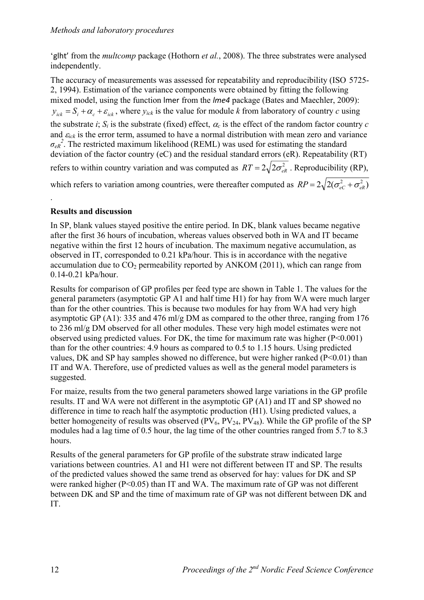'glht' from the *multcomp* package (Hothorn *et al.*, 2008). The three substrates were analysed independently.

The accuracy of measurements was assessed for repeatability and reproducibility (ISO 5725- 2, 1994). Estimation of the variance components were obtained by fitting the following mixed model, using the function lmer from the *lme4* package (Bates and Maechler, 2009):  $y_{ick} = S_i + \alpha_c + \varepsilon_{ick}$ , where  $y_{ick}$  is the value for module *k* from laboratory of country *c* using the substrate *i*;  $S_i$  is the substrate (fixed) effect,  $\alpha_c$  is the effect of the random factor country *c* and  $\varepsilon_{ick}$  is the error term, assumed to have a normal distribution with mean zero and variance  $\sigma_{eR}^2$ . The restricted maximum likelihood (REML) was used for estimating the standard deviation of the factor country (eC) and the residual standard errors (eR). Repeatability (RT) refers to within country variation and was computed as  $RT = 2\sqrt{2\sigma_{ap}^2}$ . Reproducibility (RP), which refers to variation among countries, were thereafter computed as  $RP = 2\sqrt{2(\sigma_{eC}^2 + \sigma_{eR}^2)}$ 

## **Results and discussion**

.

In SP, blank values stayed positive the entire period. In DK, blank values became negative after the first 36 hours of incubation, whereas values observed both in WA and IT became negative within the first 12 hours of incubation. The maximum negative accumulation, as observed in IT, corresponded to 0.21 kPa/hour. This is in accordance with the negative accumulation due to  $CO_2$  permeability reported by ANKOM (2011), which can range from 0.14-0.21 kPa/hour.

Results for comparison of GP profiles per feed type are shown in Table 1. The values for the general parameters (asymptotic GP A1 and half time H1) for hay from WA were much larger than for the other countries. This is because two modules for hay from WA had very high asymptotic GP (A1): 335 and 476 ml/g DM as compared to the other three, ranging from 176 to 236 ml/g DM observed for all other modules. These very high model estimates were not observed using predicted values. For DK, the time for maximum rate was higher (P<0.001) than for the other countries: 4.9 hours as compared to 0.5 to 1.15 hours. Using predicted values, DK and SP hay samples showed no difference, but were higher ranked  $(P<0.01)$  than IT and WA. Therefore, use of predicted values as well as the general model parameters is suggested.

For maize, results from the two general parameters showed large variations in the GP profile results. IT and WA were not different in the asymptotic GP (A1) and IT and SP showed no difference in time to reach half the asymptotic production (H1). Using predicted values, a better homogeneity of results was observed ( $PV_6$ ,  $PV_{24}$ ,  $PV_{48}$ ). While the GP profile of the SP modules had a lag time of 0.5 hour, the lag time of the other countries ranged from 5.7 to 8.3 hours.

Results of the general parameters for GP profile of the substrate straw indicated large variations between countries. A1 and H1 were not different between IT and SP. The results of the predicted values showed the same trend as observed for hay: values for DK and SP were ranked higher (P<0.05) than IT and WA. The maximum rate of GP was not different between DK and SP and the time of maximum rate of GP was not different between DK and IT.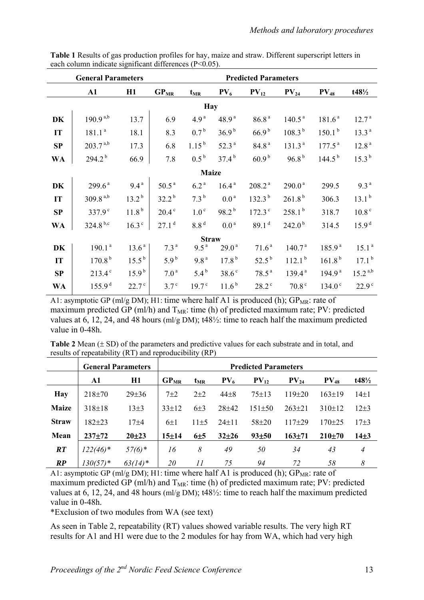|            | <b>General Parameters</b> |                   | <b>Predicted Parameters</b> |                   |                   |                      |                    |                    |                   |
|------------|---------------------------|-------------------|-----------------------------|-------------------|-------------------|----------------------|--------------------|--------------------|-------------------|
|            | $\mathbf{A1}$             | H1                | $GP_{MR}$                   | $t_{MR}$          | $PV_6$            | $PV_{12}$            | $PV_{24}$          | $PV_{48}$          | $t48\frac{1}{2}$  |
| <b>Hay</b> |                           |                   |                             |                   |                   |                      |                    |                    |                   |
| <b>DK</b>  | $190.9^{a,b}$             | 13.7              | 6.9                         | 4.9 <sup>a</sup>  | 48.9 <sup>a</sup> | 86.8 <sup>a</sup>    | 140.5 <sup>a</sup> | 181.6 <sup>a</sup> | 12.7 <sup>a</sup> |
| IT         | 181.1 <sup>a</sup>        | 18.1              | 8.3                         | $0.7^{\rm b}$     | 36.9 <sup>b</sup> | $66.9^{b}$           | $108.3^{b}$        | 150.1 <sup>b</sup> | 13.3 <sup>a</sup> |
| SP         | $203.7^{a,b}$             | 17.3              | 6.8                         | $1.15^{b}$        | 52.3 <sup>a</sup> | 84.8 <sup>a</sup>    | 131.3 <sup>a</sup> | 177.5 <sup>a</sup> | 12.8 <sup>a</sup> |
| <b>WA</b>  | $294.2^{b}$               | 66.9              | 7.8                         | $0.5^{\rm b}$     | $37.4^{b}$        | 60.9 <sup>b</sup>    | 96.8 <sup>b</sup>  | $144.5^{b}$        | 15.3 <sup>b</sup> |
|            |                           |                   |                             | <b>Maize</b>      |                   |                      |                    |                    |                   |
| DK         | $299.6^{\text{a}}$        | $9.4^{\text{a}}$  | $50.5^{\text{a}}$           | 6.2 <sup>a</sup>  | 16.4 <sup>a</sup> | 208.2 <sup>a</sup>   | $290.0^{\text{a}}$ | 299.5              | 9.3 <sup>a</sup>  |
| IT         | $309.8^{a,b}$             | $13.2^{b}$        | $32.2^{b}$                  | $7.3^{b}$         | 0.0 <sup>a</sup>  | $132.3^{b}$          | 261.8 <sup>b</sup> | 306.3              | 13.1 <sup>b</sup> |
| SP         | 337.9 <sup>c</sup>        | 11.8 <sup>b</sup> | $20.4^\circ$                | 1.0 <sup>c</sup>  | $98.2^{b}$        | $172.3$ <sup>c</sup> | 258.1 <sup>b</sup> | 318.7              | 10.8 <sup>c</sup> |
| <b>WA</b>  | $324.8^{b,c}$             | 16.3 <sup>c</sup> | 27.1 <sup>d</sup>           | 8.8 <sup>d</sup>  | 0.0 <sup>a</sup>  | 89.1 <sup>d</sup>    | 242.0 <sup>b</sup> | 314.5              | 15.9 <sup>d</sup> |
|            |                           |                   |                             | <b>Straw</b>      |                   |                      |                    |                    |                   |
| DK         | 190.1 <sup>a</sup>        | 13.6 <sup>a</sup> | 7.3 <sup>a</sup>            | 9.5 <sup>a</sup>  | $29.0^{\text{a}}$ | 71.6 <sup>a</sup>    | 140.7 <sup>a</sup> | 185.9 <sup>a</sup> | 15.1 <sup>a</sup> |
| IT         | 170.8 <sup>b</sup>        | $15.5^{b}$        | $5.9^{\rm b}$               | 9.8 <sup>a</sup>  | 17.8 <sup>b</sup> | $52.5^{\rm b}$       | 112.1 <sup>b</sup> | 161.8 <sup>b</sup> | 17.1 <sup>b</sup> |
| SP         | $213.4^{\circ}$           | $15.9^{\rm b}$    | 7.0 <sup>a</sup>            | $5.4^{b}$         | 38.6 <sup>c</sup> | 78.5 <sup>a</sup>    | 139.4 <sup>a</sup> | 194.9 <sup>a</sup> | $15.2^{a,b}$      |
| <b>WA</b>  | 155.9 <sup>d</sup>        | 22.7 <sup>c</sup> | 3.7 <sup>c</sup>            | 19.7 <sup>c</sup> | $11.6^{b}$        | $28.2$ <sup>c</sup>  | 70.8 <sup>c</sup>  | 134.0 <sup>c</sup> | 22.9 <sup>c</sup> |

**Table 1** Results of gas production profiles for hay, maize and straw. Different superscript letters in each column indicate significant differences (P<0.05).

A1: asymptotic GP (ml/g DM); H1: time where half A1 is produced (h);  $GP_{MR}$ : rate of maximum predicted GP (ml/h) and  $T_{MR}$ : time (h) of predicted maximum rate; PV: predicted values at 6, 12, 24, and 48 hours (ml/g DM); t48½: time to reach half the maximum predicted value in 0-48h.

|                                                        | <b>Table 2</b> Mean $(\pm SD)$ of the parameters and predictive values for each substrate and in total, and |
|--------------------------------------------------------|-------------------------------------------------------------------------------------------------------------|
| results of repeatability (RT) and reproducibility (RP) |                                                                                                             |

|               | <b>General Parameters</b> |             |             | <b>Predicted Parameters</b>                    |             |              |              |              |                  |  |
|---------------|---------------------------|-------------|-------------|------------------------------------------------|-------------|--------------|--------------|--------------|------------------|--|
|               | A1                        | H1          |             | $PV_{6}$<br>$PV_{12}$<br>$GP_{MR}$<br>$t_{MR}$ |             |              | $PV_{24}$    | $PV_{48}$    | $t48\frac{1}{2}$ |  |
| <b>Hay</b>    | $218 \pm 70$              | $29 \pm 36$ | $7\pm2$     | $2+2$                                          | $44\pm8$    | $75 \pm 13$  | $119\pm20$   | $163 \pm 19$ | $14 \pm 1$       |  |
| <b>Maize</b>  | $318 \pm 18$              | $13\pm3$    | $33 \pm 12$ | $6\pm3$                                        | $28 + 42$   | $151 \pm 50$ | $263 \pm 21$ | 310±12       | $12+3$           |  |
| <b>Straw</b>  | 182±23                    | 17±4        | $6\pm1$     | $11\pm5$                                       | $24 \pm 11$ | 58±20        | $117 + 29$   | $170 + 25$   | $17 + 3$         |  |
| Mean          | $237 + 72$                | $20 + 23$   | 15±14       | $6\pm5$                                        | $32+26$     | 93±50        | $163 + 71$   | 210±70       | $14\pm3$         |  |
| RT            | $122(46)$ *               | $57(6)$ *   | 16          | 8                                              | 49          | 50           | 34           | 43           | $\overline{4}$   |  |
| $\mathbb{R}P$ | $130(57)$ *               | $63(14)^*$  | <i>20</i>   | 11                                             | 75          | 94           | 72           | 58           | 8                |  |

A1: asymptotic GP (ml/g DM); H1: time where half A1 is produced (h);  $GP_{MR}$ : rate of maximum predicted GP (ml/h) and  $T_{MR}$ : time (h) of predicted maximum rate; PV: predicted values at 6, 12, 24, and 48 hours (ml/g DM); t48½: time to reach half the maximum predicted value in 0-48h.

\*Exclusion of two modules from WA (see text)

As seen in Table 2, repeatability (RT) values showed variable results. The very high RT results for A1 and H1 were due to the 2 modules for hay from WA, which had very high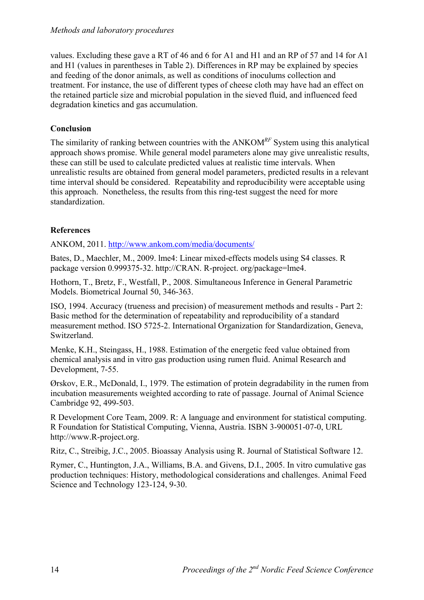values. Excluding these gave a RT of 46 and 6 for A1 and H1 and an RP of 57 and 14 for A1 and H1 (values in parentheses in Table 2). Differences in RP may be explained by species and feeding of the donor animals, as well as conditions of inoculums collection and treatment. For instance, the use of different types of cheese cloth may have had an effect on the retained particle size and microbial population in the sieved fluid, and influenced feed degradation kinetics and gas accumulation.

## **Conclusion**

The similarity of ranking between countries with the ANKOM*RF* System using this analytical approach shows promise. While general model parameters alone may give unrealistic results, these can still be used to calculate predicted values at realistic time intervals. When unrealistic results are obtained from general model parameters, predicted results in a relevant time interval should be considered. Repeatability and reproducibility were acceptable using this approach. Nonetheless, the results from this ring-test suggest the need for more standardization.

## **References**

ANKOM, 2011. http://www.ankom.com/media/documents/

Bates, D., Maechler, M., 2009. lme4: Linear mixed-effects models using S4 classes. R package version 0.999375-32. http://CRAN. R-project. org/package=lme4.

Hothorn, T., Bretz, F., Westfall, P., 2008. Simultaneous Inference in General Parametric Models. Biometrical Journal 50, 346-363.

ISO, 1994. Accuracy (trueness and precision) of measurement methods and results - Part 2: Basic method for the determination of repeatability and reproducibility of a standard measurement method. ISO 5725-2. International Organization for Standardization, Geneva, Switzerland.

Menke, K.H., Steingass, H., 1988. Estimation of the energetic feed value obtained from chemical analysis and in vitro gas production using rumen fluid. Animal Research and Development, 7-55.

Ørskov, E.R., McDonald, I., 1979. The estimation of protein degradability in the rumen from incubation measurements weighted according to rate of passage. Journal of Animal Science Cambridge 92, 499-503.

R Development Core Team, 2009. R: A language and environment for statistical computing. R Foundation for Statistical Computing, Vienna, Austria. ISBN 3-900051-07-0, URL http://www.R-project.org.

Ritz, C., Streibig, J.C., 2005. Bioassay Analysis using R. Journal of Statistical Software 12.

Rymer, C., Huntington, J.A., Williams, B.A. and Givens, D.I., 2005. In vitro cumulative gas production techniques: History, methodological considerations and challenges. Animal Feed Science and Technology 123-124, 9-30.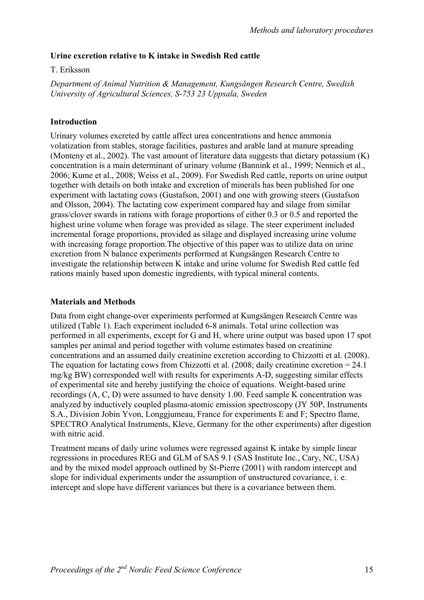#### **Urine excretion relative to K intake in Swedish Red cattle**

#### T. Eriksson

*Department of Animal Nutrition & Management, Kungsängen Research Centre, Swedish University of Agricultural Sciences, S-753 23 Uppsala, Sweden*

#### **Introduction**

Urinary volumes excreted by cattle affect urea concentrations and hence ammonia volatization from stables, storage facilities, pastures and arable land at manure spreading (Monteny et al., 2002). The vast amount of literature data suggests that dietary potassium (K) concentration is a main determinant of urinary volume (Bannink et al., 1999; Nennich et al., 2006; Kume et al., 2008; Weiss et al., 2009). For Swedish Red cattle, reports on urine output together with details on both intake and excretion of minerals has been published for one experiment with lactating cows (Gustafson, 2001) and one with growing steers (Gustafson and Olsson, 2004). The lactating cow experiment compared hay and silage from similar grass/clover swards in rations with forage proportions of either 0.3 or 0.5 and reported the highest urine volume when forage was provided as silage. The steer experiment included incremental forage proportions, provided as silage and displayed increasing urine volume with increasing forage proportion. The objective of this paper was to utilize data on urine excretion from N balance experiments performed at Kungsängen Research Centre to investigate the relationship between K intake and urine volume for Swedish Red cattle fed rations mainly based upon domestic ingredients, with typical mineral contents.

#### **Materials and Methods**

Data from eight change-over experiments performed at Kungsängen Research Centre was utilized (Table 1). Each experiment included 6-8 animals. Total urine collection was performed in all experiments, except for G and H, where urine output was based upon 17 spot samples per animal and period together with volume estimates based on creatinine concentrations and an assumed daily creatinine excretion according to Chizzotti et al. (2008). The equation for lactating cows from Chizzotti et al. (2008; daily creatinine excretion = 24.1 mg/kg BW) corresponded well with results for experiments A-D, suggesting similar effects of experimental site and hereby justifying the choice of equations. Weight-based urine recordings (A, C, D) were assumed to have density 1.00. Feed sample K concentration was analyzed by inductively coupled plasma-atomic emission spectroscopy (JY 50P, Instruments S.A., Division Jobin Yvon, Longgjumeau, France for experiments E and F; Spectro flame, SPECTRO Analytical Instruments, Kleve, Germany for the other experiments) after digestion with nitric acid.

Treatment means of daily urine volumes were regressed against K intake by simple linear regressions in procedures REG and GLM of SAS 9.1 (SAS Institute Inc., Cary, NC, USA) and by the mixed model approach outlined by St-Pierre (2001) with random intercept and slope for individual experiments under the assumption of unstructured covariance, i. e. intercept and slope have different variances but there is a covariance between them.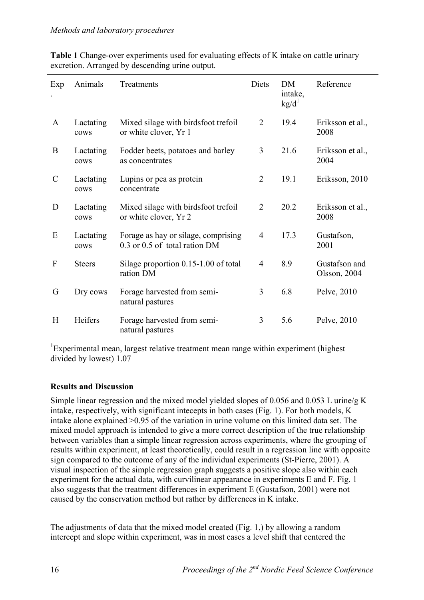| Exp              | Animals           | Treatments                                                           | Diets          | <b>DM</b><br>intake,<br>kg/d <sup>1</sup> | Reference                     |
|------------------|-------------------|----------------------------------------------------------------------|----------------|-------------------------------------------|-------------------------------|
| $\mathbf{A}$     | Lactating<br>cows | Mixed silage with birdsfoot trefoil<br>or white clover, Yr 1         | $\overline{2}$ | 19.4                                      | Eriksson et al.,<br>2008      |
| B                | Lactating<br>cows | Fodder beets, potatoes and barley<br>as concentrates                 | $\mathfrak{Z}$ | 21.6                                      | Eriksson et al.,<br>2004      |
| $\mathcal{C}$    | Lactating<br>cows | Lupins or pea as protein<br>concentrate                              | $\overline{2}$ | 19.1                                      | Eriksson, 2010                |
| D                | Lactating<br>cows | Mixed silage with birdsfoot trefoil<br>or white clover, Yr 2         | $\overline{2}$ | 20.2                                      | Eriksson et al.,<br>2008      |
| E                | Lactating<br>cows | Forage as hay or silage, comprising<br>0.3 or 0.5 of total ration DM | $\overline{4}$ | 17.3                                      | Gustafson,<br>2001            |
| $\boldsymbol{F}$ | <b>Steers</b>     | Silage proportion 0.15-1.00 of total<br>ration DM                    | $\overline{4}$ | 8.9                                       | Gustafson and<br>Olsson, 2004 |
| G                | Dry cows          | Forage harvested from semi-<br>natural pastures                      | 3              | 6.8                                       | Pelve, 2010                   |
| H                | Heifers           | Forage harvested from semi-<br>natural pastures                      | 3              | 5.6                                       | Pelve, 2010                   |

**Table 1** Change-over experiments used for evaluating effects of K intake on cattle urinary excretion. Arranged by descending urine output.

<sup>1</sup>Experimental mean, largest relative treatment mean range within experiment (highest divided by lowest) 1.07

## **Results and Discussion**

Simple linear regression and the mixed model yielded slopes of 0.056 and 0.053 L urine/g K intake, respectively, with significant intecepts in both cases (Fig. 1). For both models, K intake alone explained >0.95 of the variation in urine volume on this limited data set. The mixed model approach is intended to give a more correct description of the true relationship between variables than a simple linear regression across experiments, where the grouping of results within experiment, at least theoretically, could result in a regression line with opposite sign compared to the outcome of any of the individual experiments (St-Pierre, 2001). A visual inspection of the simple regression graph suggests a positive slope also within each experiment for the actual data, with curvilinear appearance in experiments E and F. Fig. 1 also suggests that the treatment differences in experiment E (Gustafson, 2001) were not caused by the conservation method but rather by differences in K intake.

The adjustments of data that the mixed model created (Fig. 1,) by allowing a random intercept and slope within experiment, was in most cases a level shift that centered the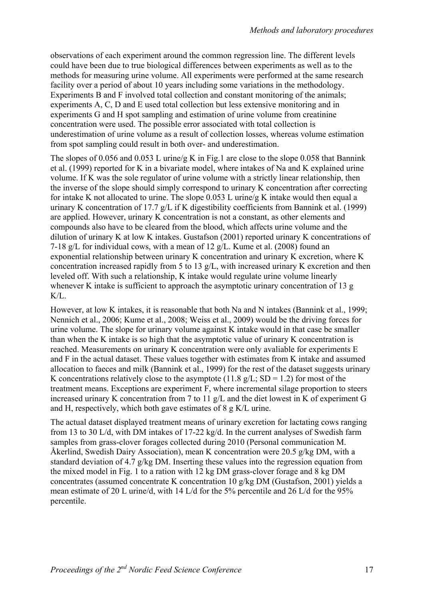observations of each experiment around the common regression line. The different levels could have been due to true biological differences between experiments as well as to the methods for measuring urine volume. All experiments were performed at the same research facility over a period of about 10 years including some variations in the methodology. Experiments B and F involved total collection and constant monitoring of the animals; experiments A, C, D and E used total collection but less extensive monitoring and in experiments G and H spot sampling and estimation of urine volume from creatinine concentration were used. The possible error associated with total collection is underestimation of urine volume as a result of collection losses, whereas volume estimation from spot sampling could result in both over- and underestimation.

The slopes of 0.056 and 0.053 L urine/g K in Fig.1 are close to the slope 0.058 that Bannink et al. (1999) reported for K in a bivariate model, where intakes of Na and K explained urine volume. If K was the sole regulator of urine volume with a strictly linear relationship, then the inverse of the slope should simply correspond to urinary K concentration after correcting for intake K not allocated to urine. The slope 0.053 L urine/g K intake would then equal a urinary K concentration of 17.7 g/L if K digestibility coefficients from Bannink et al. (1999) are applied. However, urinary K concentration is not a constant, as other elements and compounds also have to be cleared from the blood, which affects urine volume and the dilution of urinary K at low K intakes. Gustafson (2001) reported urinary K concentrations of 7-18 g/L for individual cows, with a mean of 12 g/L. Kume et al. (2008) found an exponential relationship between urinary K concentration and urinary K excretion, where K concentration increased rapidly from 5 to 13 g/L, with increased urinary K excretion and then leveled off. With such a relationship, K intake would regulate urine volume linearly whenever K intake is sufficient to approach the asymptotic urinary concentration of 13 g  $K/L$ .

However, at low K intakes, it is reasonable that both Na and N intakes (Bannink et al., 1999; Nennich et al., 2006; Kume et al., 2008; Weiss et al., 2009) would be the driving forces for urine volume. The slope for urinary volume against K intake would in that case be smaller than when the K intake is so high that the asymptotic value of urinary K concentration is reached. Measurements on urinary K concentration were only avaliable for experiments E and F in the actual dataset. These values together with estimates from K intake and assumed allocation to faeces and milk (Bannink et al., 1999) for the rest of the dataset suggests urinary K concentrations relatively close to the asymptote (11.8  $g/L$ ; SD = 1.2) for most of the treatment means. Exceptions are experiment F, where incremental silage proportion to steers increased urinary K concentration from 7 to 11 g/L and the diet lowest in K of experiment G and H, respectively, which both gave estimates of 8 g K/L urine.

The actual dataset displayed treatment means of urinary excretion for lactating cows ranging from 13 to 30 L/d, with DM intakes of 17-22 kg/d. In the current analyses of Swedish farm samples from grass-clover forages collected during 2010 (Personal communication M. Åkerlind, Swedish Dairy Association), mean K concentration were 20.5 g/kg DM, with a standard deviation of 4.7 g/kg DM. Inserting these values into the regression equation from the mixed model in Fig. 1 to a ration with 12 kg DM grass-clover forage and 8 kg DM concentrates (assumed concentrate K concentration 10 g/kg DM (Gustafson, 2001) yields a mean estimate of 20 L urine/d, with 14 L/d for the 5% percentile and 26 L/d for the 95% percentile.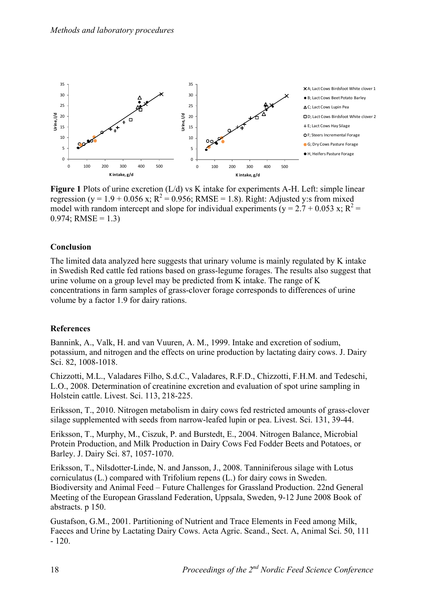

**Figure 1** Plots of urine excretion (L/d) vs K intake for experiments A-H. Left: simple linear regression (y = 1.9 + 0.056 x;  $R^2 = 0.956$ ; RMSE = 1.8). Right: Adjusted y:s from mixed model with random intercept and slope for individual experiments ( $y = 2.7 + 0.053$  x;  $R^2 =$  $0.974$ ; RMSE = 1.3)

#### **Conclusion**

The limited data analyzed here suggests that urinary volume is mainly regulated by K intake in Swedish Red cattle fed rations based on grass-legume forages. The results also suggest that urine volume on a group level may be predicted from K intake. The range of K concentrations in farm samples of grass-clover forage corresponds to differences of urine volume by a factor 1.9 for dairy rations.

#### **References**

Bannink, A., Valk, H. and van Vuuren, A. M., 1999. Intake and excretion of sodium, potassium, and nitrogen and the effects on urine production by lactating dairy cows. J. Dairy Sci. 82, 1008-1018.

Chizzotti, M.L., Valadares Filho, S.d.C., Valadares, R.F.D., Chizzotti, F.H.M. and Tedeschi, L.O., 2008. Determination of creatinine excretion and evaluation of spot urine sampling in Holstein cattle. Livest. Sci. 113, 218-225.

Eriksson, T., 2010. Nitrogen metabolism in dairy cows fed restricted amounts of grass-clover silage supplemented with seeds from narrow-leafed lupin or pea. Livest. Sci. 131, 39-44.

Eriksson, T., Murphy, M., Ciszuk, P. and Burstedt, E., 2004. Nitrogen Balance, Microbial Protein Production, and Milk Production in Dairy Cows Fed Fodder Beets and Potatoes, or Barley. J. Dairy Sci. 87, 1057-1070.

Eriksson, T., Nilsdotter-Linde, N. and Jansson, J., 2008. Tanniniferous silage with Lotus corniculatus (L.) compared with Trifolium repens (L.) for dairy cows in Sweden. Biodiversity and Animal Feed – Future Challenges for Grassland Production. 22nd General Meeting of the European Grassland Federation, Uppsala, Sweden, 9-12 June 2008 Book of abstracts. p 150.

Gustafson, G.M., 2001. Partitioning of Nutrient and Trace Elements in Feed among Milk, Faeces and Urine by Lactating Dairy Cows. Acta Agric. Scand., Sect. A, Animal Sci. 50, 111 - 120.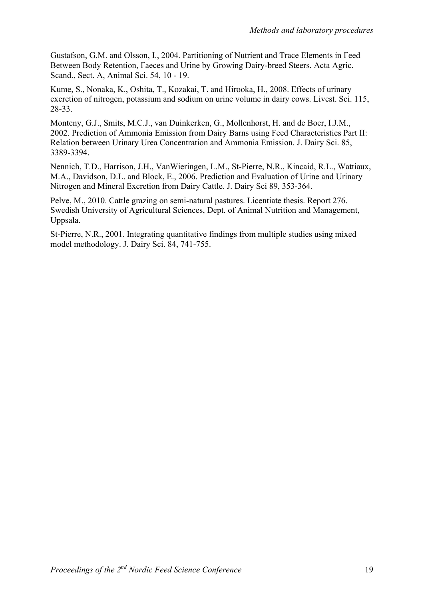Gustafson, G.M. and Olsson, I., 2004. Partitioning of Nutrient and Trace Elements in Feed Between Body Retention, Faeces and Urine by Growing Dairy-breed Steers. Acta Agric. Scand., Sect. A, Animal Sci. 54, 10 - 19.

Kume, S., Nonaka, K., Oshita, T., Kozakai, T. and Hirooka, H., 2008. Effects of urinary excretion of nitrogen, potassium and sodium on urine volume in dairy cows. Livest. Sci. 115, 28-33.

Monteny, G.J., Smits, M.C.J., van Duinkerken, G., Mollenhorst, H. and de Boer, I.J.M., 2002. Prediction of Ammonia Emission from Dairy Barns using Feed Characteristics Part II: Relation between Urinary Urea Concentration and Ammonia Emission. J. Dairy Sci. 85, 3389-3394.

Nennich, T.D., Harrison, J.H., VanWieringen, L.M., St-Pierre, N.R., Kincaid, R.L., Wattiaux, M.A., Davidson, D.L. and Block, E., 2006. Prediction and Evaluation of Urine and Urinary Nitrogen and Mineral Excretion from Dairy Cattle. J. Dairy Sci 89, 353-364.

Pelve, M., 2010. Cattle grazing on semi-natural pastures. Licentiate thesis. Report 276. Swedish University of Agricultural Sciences, Dept. of Animal Nutrition and Management, Uppsala.

St-Pierre, N.R., 2001. Integrating quantitative findings from multiple studies using mixed model methodology. J. Dairy Sci. 84, 741-755.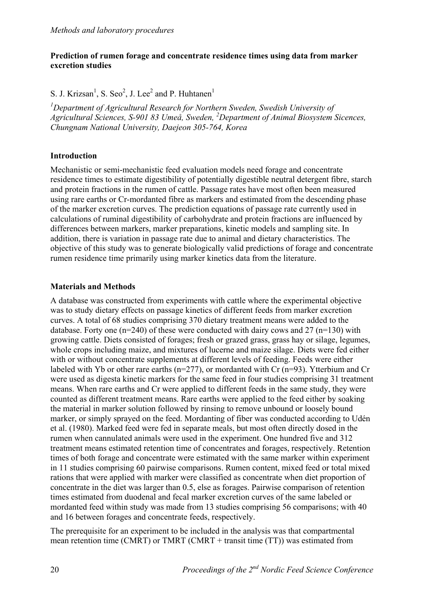#### **Prediction of rumen forage and concentrate residence times using data from marker excretion studies**

S. J. Krizsan<sup>1</sup>, S. Seo<sup>2</sup>, J. Lee<sup>2</sup> and P. Huhtanen<sup>1</sup>

<sup>1</sup>Department of Agricultural Research for Northern Sweden, Swedish University of *Agricultural Sciences, S-901 83 Umeå, Sweden, 2 Department of Animal Biosystem Sicences, Chungnam National University, Daejeon 305-764, Korea* 

## **Introduction**

Mechanistic or semi-mechanistic feed evaluation models need forage and concentrate residence times to estimate digestibility of potentially digestible neutral detergent fibre, starch and protein fractions in the rumen of cattle. Passage rates have most often been measured using rare earths or Cr-mordanted fibre as markers and estimated from the descending phase of the marker excretion curves. The prediction equations of passage rate currently used in calculations of ruminal digestibility of carbohydrate and protein fractions are influenced by differences between markers, marker preparations, kinetic models and sampling site. In addition, there is variation in passage rate due to animal and dietary characteristics. The objective of this study was to generate biologically valid predictions of forage and concentrate rumen residence time primarily using marker kinetics data from the literature.

#### **Materials and Methods**

A database was constructed from experiments with cattle where the experimental objective was to study dietary effects on passage kinetics of different feeds from marker excretion curves. A total of 68 studies comprising 370 dietary treatment means were added to the database. Forty one  $(n=240)$  of these were conducted with dairy cows and 27  $(n=130)$  with growing cattle. Diets consisted of forages; fresh or grazed grass, grass hay or silage, legumes, whole crops including maize, and mixtures of lucerne and maize silage. Diets were fed either with or without concentrate supplements at different levels of feeding. Feeds were either labeled with Yb or other rare earths (n=277), or mordanted with Cr (n=93). Ytterbium and Cr were used as digesta kinetic markers for the same feed in four studies comprising 31 treatment means. When rare earths and Cr were applied to different feeds in the same study, they were counted as different treatment means. Rare earths were applied to the feed either by soaking the material in marker solution followed by rinsing to remove unbound or loosely bound marker, or simply sprayed on the feed. Mordanting of fiber was conducted according to Udén et al. (1980). Marked feed were fed in separate meals, but most often directly dosed in the rumen when cannulated animals were used in the experiment. One hundred five and 312 treatment means estimated retention time of concentrates and forages, respectively. Retention times of both forage and concentrate were estimated with the same marker within experiment in 11 studies comprising 60 pairwise comparisons. Rumen content, mixed feed or total mixed rations that were applied with marker were classified as concentrate when diet proportion of concentrate in the diet was larger than 0.5, else as forages. Pairwise comparison of retention times estimated from duodenal and fecal marker excretion curves of the same labeled or mordanted feed within study was made from 13 studies comprising 56 comparisons; with 40 and 16 between forages and concentrate feeds, respectively.

The prerequisite for an experiment to be included in the analysis was that compartmental mean retention time (CMRT) or TMRT (CMRT + transit time (TT)) was estimated from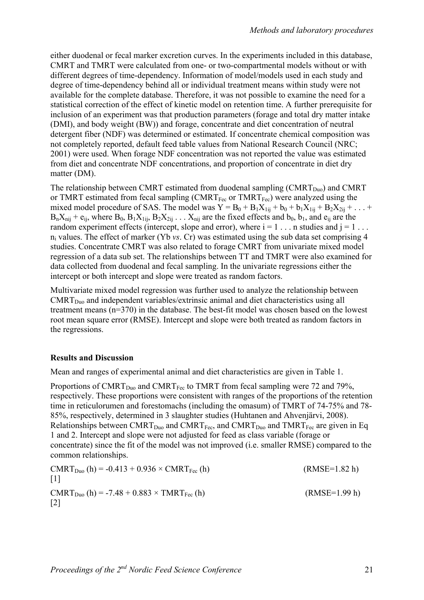either duodenal or fecal marker excretion curves. In the experiments included in this database, CMRT and TMRT were calculated from one- or two-compartmental models without or with different degrees of time-dependency. Information of model/models used in each study and degree of time-dependency behind all or individual treatment means within study were not available for the complete database. Therefore, it was not possible to examine the need for a statistical correction of the effect of kinetic model on retention time. A further prerequisite for inclusion of an experiment was that production parameters (forage and total dry matter intake (DMI), and body weight (BW)) and forage, concentrate and diet concentration of neutral detergent fiber (NDF) was determined or estimated. If concentrate chemical composition was not completely reported, default feed table values from National Research Council (NRC; 2001) were used. When forage NDF concentration was not reported the value was estimated from diet and concentrate NDF concentrations, and proportion of concentrate in diet dry matter (DM).

The relationship between CMRT estimated from duodenal sampling (CMRT<sub>Duo</sub>) and CMRT or TMRT estimated from fecal sampling  $(CMRT_{\text{Fec}})$  or TMRT<sub>Fec</sub>) were analyzed using the mixed model procedure of SAS. The model was  $Y = B_0 + B_1 X_{1ii} + b_0 + b_1 X_{1ii} + B_2 X_{2ii} + ...$  $B_nX_{nii} + e_{ii}$ , where  $B_0$ ,  $B_1X_{1ii}$ ,  $B_2X_{2ii}$  . . .  $X_{ni}$  are the fixed effects and  $b_0$ ,  $b_1$ , and  $e_{ii}$  are the random experiment effects (intercept, slope and error), where  $i = 1 \ldots n$  studies and  $j = 1 \ldots$ ni values. The effect of marker (Yb *vs*. Cr) was estimated using the sub data set comprising 4 studies. Concentrate CMRT was also related to forage CMRT from univariate mixed model regression of a data sub set. The relationships between TT and TMRT were also examined for data collected from duodenal and fecal sampling. In the univariate regressions either the intercept or both intercept and slope were treated as random factors.

Multivariate mixed model regression was further used to analyze the relationship between  $CMRT<sub>Duo</sub>$  and independent variables/extrinsic animal and diet characteristics using all treatment means (n=370) in the database. The best-fit model was chosen based on the lowest root mean square error (RMSE). Intercept and slope were both treated as random factors in the regressions.

## **Results and Discussion**

Mean and ranges of experimental animal and diet characteristics are given in Table 1.

Proportions of CMRT<sub>Duo</sub> and CMRT<sub>Fec</sub> to TMRT from fecal sampling were 72 and 79%, respectively. These proportions were consistent with ranges of the proportions of the retention time in reticulorumen and forestomachs (including the omasum) of TMRT of 74-75% and 78- 85%, respectively, determined in 3 slaughter studies (Huhtanen and Ahvenjärvi, 2008). Relationships between CMRT<sub>Duo</sub> and CMRT<sub>Fec</sub>, and CMRT<sub>Duo</sub> and TMRT<sub>Fec</sub> are given in Eq. 1 and 2. Intercept and slope were not adjusted for feed as class variable (forage or concentrate) since the fit of the model was not improved (i.e. smaller RMSE) compared to the common relationships.

 $CMRT_{Du0}$  (h) = -0.413 + 0.936 × CMRT<sub>Fec</sub> (h) (RMSE=1.82 h)  $\lceil 1 \rceil$  $CMRT_{Du0}$  (h) = -7.48 + 0.883 × TMRT<sub>Fec</sub> (h) (RMSE=1.99 h) [2]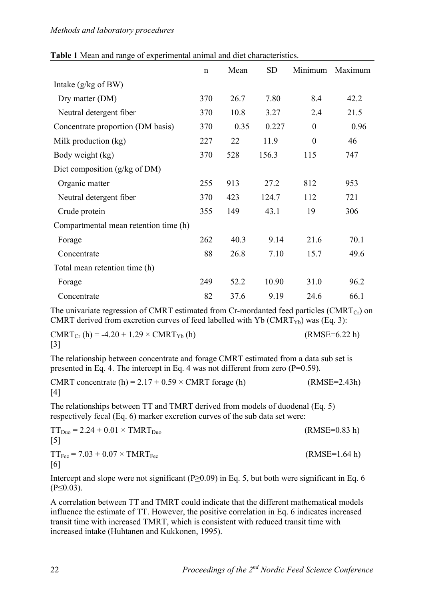| Table 1 Mean and range of experimental animal and diet characteristics. |
|-------------------------------------------------------------------------|
|-------------------------------------------------------------------------|

|                                          | $\mathbf n$ | Mean | <b>SD</b> | Minimum          | Maximum |
|------------------------------------------|-------------|------|-----------|------------------|---------|
| Intake $(g/kg \text{ of } BW)$           |             |      |           |                  |         |
| Dry matter (DM)                          | 370         | 26.7 | 7.80      | 8.4              | 42.2    |
| Neutral detergent fiber                  | 370         | 10.8 | 3.27      | 2.4              | 21.5    |
| Concentrate proportion (DM basis)        | 370         | 0.35 | 0.227     | $\boldsymbol{0}$ | 0.96    |
| Milk production (kg)                     |             | 22   | 11.9      | $\overline{0}$   | 46      |
| Body weight (kg)                         |             | 528  | 156.3     | 115              | 747     |
| Diet composition $(g/kg \text{ of } DM)$ |             |      |           |                  |         |
| Organic matter                           | 255         | 913  | 27.2      | 812              | 953     |
| Neutral detergent fiber                  | 370         | 423  | 124.7     | 112              | 721     |
| Crude protein                            | 355         | 149  | 43.1      | 19               | 306     |
| Compartmental mean retention time (h)    |             |      |           |                  |         |
| Forage                                   | 262         | 40.3 | 9.14      | 21.6             | 70.1    |
| Concentrate                              | 88          | 26.8 | 7.10      | 15.7             | 49.6    |
| Total mean retention time (h)            |             |      |           |                  |         |
| Forage                                   | 249         | 52.2 | 10.90     | 31.0             | 96.2    |
| Concentrate                              | 82          | 37.6 | 9.19      | 24.6             | 66.1    |

The univariate regression of CMRT estimated from Cr-mordanted feed particles (CMRT $_{Cr}$ ) on CMRT derived from excretion curves of feed labelled with Yb (CMRT<sub>Yb</sub>) was (Eq. 3):

 $CMRT_{Cr}$  (h) = -4.20 + 1.29 × CMRT<sub>Yb</sub> (h) (RMSE=6.22 h) [3]

The relationship between concentrate and forage CMRT estimated from a data sub set is presented in Eq. 4. The intercept in Eq. 4 was not different from zero  $(P=0.59)$ .

CMRT concentrate  $(h) = 2.17 + 0.59 \times \text{CMRT}$  forage  $(h)$  (RMSE=2.43h) [4]

The relationships between TT and TMRT derived from models of duodenal (Eq. 5) respectively fecal (Eq. 6) marker excretion curves of the sub data set were:

| $TT_{Du0} = 2.24 + 0.01 \times TMRT_{Du0}$                   | $(RMSE=0.83 h)$ |
|--------------------------------------------------------------|-----------------|
| $\lceil 5 \rceil$                                            |                 |
| $TT_{\text{Fec}}$ = 7.03 + 0.07 $\times$ TMRT <sub>Fec</sub> | $(RMSE=1.64 h)$ |
| [6]                                                          |                 |

Intercept and slope were not significant (P≥0.09) in Eq. 5, but both were significant in Eq. 6  $(P<0.03)$ .

A correlation between TT and TMRT could indicate that the different mathematical models influence the estimate of TT. However, the positive correlation in Eq. 6 indicates increased transit time with increased TMRT, which is consistent with reduced transit time with increased intake (Huhtanen and Kukkonen, 1995).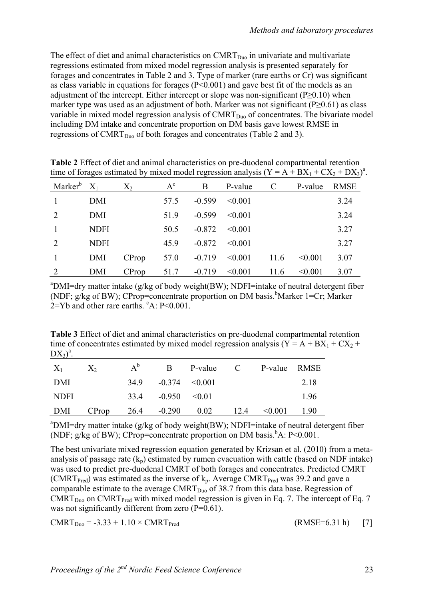The effect of diet and animal characteristics on  $CMRT<sub>Duo</sub>$  in univariate and multivariate regressions estimated from mixed model regression analysis is presented separately for forages and concentrates in Table 2 and 3. Type of marker (rare earths or Cr) was significant as class variable in equations for forages (P<0.001) and gave best fit of the models as an adjustment of the intercept. Either intercept or slope was non-significant (P≥0.10) when marker type was used as an adjustment of both. Marker was not significant ( $P \ge 0.61$ ) as class variable in mixed model regression analysis of  $CMRT<sub>Duo</sub>$  of concentrates. The bivariate model including DM intake and concentrate proportion on DM basis gave lowest RMSE in regressions of CMRT<sub>Duo</sub> of both forages and concentrates (Table 2 and 3).

|                     |             |       |       |          |         |               |         | - 1         |
|---------------------|-------------|-------|-------|----------|---------|---------------|---------|-------------|
| Marker <sup>b</sup> | $X_1$       | $X_2$ | $A^c$ | B        | P-value | $\mathcal{C}$ | P-value | <b>RMSE</b> |
|                     | DMI         |       | 57.5  | $-0.599$ | < 0.001 |               |         | 3.24        |
| 2                   | DMI         |       | 51.9  | $-0.599$ | < 0.001 |               |         | 3.24        |
|                     | <b>NDFI</b> |       | 50.5  | $-0.872$ | < 0.001 |               |         | 3.27        |
|                     | <b>NDFI</b> |       | 45.9  | $-0.872$ | < 0.001 |               |         | 3.27        |
|                     | DMI         | CProp | 57.0  | $-0.719$ | < 0.001 | 11.6          | < 0.001 | 3.07        |
|                     | <b>DMI</b>  | CProp | 51.7  | $-0.719$ | < 0.001 | 11.6          | < 0.001 | 3.07        |

**Table 2** Effect of diet and animal characteristics on pre-duodenal compartmental retention time of forages estimated by mixed model regression analysis  $(Y = A + BX_1 + CX_2 + DX_3)^a$ .

<sup>a</sup>DMI=dry matter intake (g/kg of body weight(BW); NDFI=intake of neutral detergent fiber (NDF; g/kg of BW); CProp=concentrate proportion on DM basis.<sup>b</sup>Marker 1=Cr; Marker  $2=Yb$  and other rare earths.  $c$ A: P<0.001.

**Table 3** Effect of diet and animal characteristics on pre-duodenal compartmental retention time of concentrates estimated by mixed model regression analysis ( $Y = A + BX_1 + CX_2 +$  $DX<sub>3</sub>)<sup>a</sup>$ .

| $X_1$       | $X_2$ | $A^b$ | B                              | P-value | C.   | P-value RMSE |      |
|-------------|-------|-------|--------------------------------|---------|------|--------------|------|
| DMI         |       | 349   | $-0.374 \quad \textless 0.001$ |         |      |              | 2.18 |
| <b>NDFI</b> |       |       | $33.4$ $-0.950$ $\leq 0.01$    |         |      |              | 1.96 |
| DMI         | CProp | 26.4  | $-0.290$                       | 0.02    | 12.4 | $\leq 0.001$ | 1.90 |

<sup>a</sup>DMI=dry matter intake (g/kg of body weight(BW); NDFI=intake of neutral detergent fiber (NDF; g/kg of BW); CProp=concentrate proportion on DM basis.  $^{\text{b}}$ A: P<0.001.

The best univariate mixed regression equation generated by Krizsan et al. (2010) from a metaanalysis of passage rate  $(k_p)$  estimated by rumen evacuation with cattle (based on NDF intake) was used to predict pre-duodenal CMRT of both forages and concentrates. Predicted CMRT (CMRT<sub>Pred</sub>) was estimated as the inverse of  $k_p$ . Average CMRT<sub>Pred</sub> was 39.2 and gave a comparable estimate to the average  $CMRT_{Du0}$  of 38.7 from this data base. Regression of  $CMRT<sub>Duo</sub>$  on CMRT<sub>Pred</sub> with mixed model regression is given in Eq. 7. The intercept of Eq. 7 was not significantly different from zero  $(P=0.61)$ .

 $CMRT_{Duo} = -3.33 + 1.10 \times CMRT_{Pred}$  (RMSE=6.31 h) [7]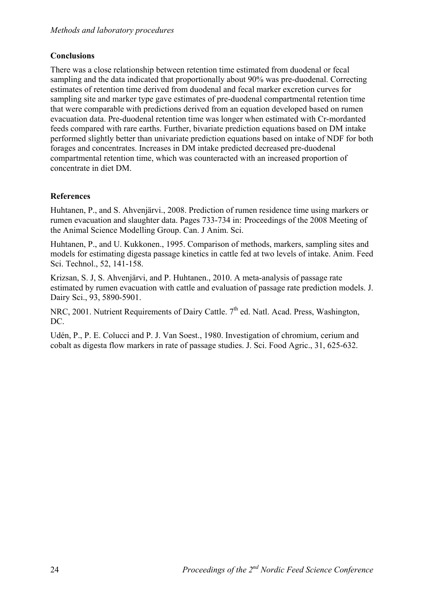## **Conclusions**

There was a close relationship between retention time estimated from duodenal or fecal sampling and the data indicated that proportionally about 90% was pre-duodenal. Correcting estimates of retention time derived from duodenal and fecal marker excretion curves for sampling site and marker type gave estimates of pre-duodenal compartmental retention time that were comparable with predictions derived from an equation developed based on rumen evacuation data. Pre-duodenal retention time was longer when estimated with Cr-mordanted feeds compared with rare earths. Further, bivariate prediction equations based on DM intake performed slightly better than univariate prediction equations based on intake of NDF for both forages and concentrates. Increases in DM intake predicted decreased pre-duodenal compartmental retention time, which was counteracted with an increased proportion of concentrate in diet DM.

## **References**

Huhtanen, P., and S. Ahvenjärvi., 2008. Prediction of rumen residence time using markers or rumen evacuation and slaughter data. Pages 733-734 in: Proceedings of the 2008 Meeting of the Animal Science Modelling Group. Can. J Anim. Sci.

Huhtanen, P., and U. Kukkonen., 1995. Comparison of methods, markers, sampling sites and models for estimating digesta passage kinetics in cattle fed at two levels of intake. Anim. Feed Sci. Technol., 52, 141-158.

Krizsan, S. J, S. Ahvenjärvi, and P. Huhtanen., 2010. A meta-analysis of passage rate estimated by rumen evacuation with cattle and evaluation of passage rate prediction models. J. Dairy Sci., 93, 5890-5901.

NRC, 2001. Nutrient Requirements of Dairy Cattle.  $7<sup>th</sup>$  ed. Natl. Acad. Press, Washington, DC.

Udén, P., P. E. Colucci and P. J. Van Soest., 1980. Investigation of chromium, cerium and cobalt as digesta flow markers in rate of passage studies. J. Sci. Food Agric., 31, 625-632.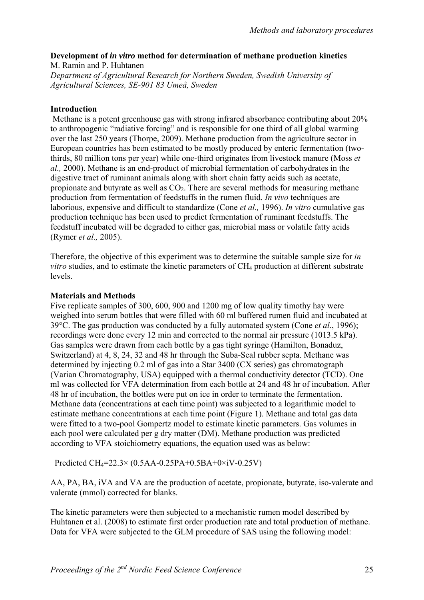#### **Development of** *in vitro* **method for determination of methane production kinetics**

M. Ramin and P. Huhtanen *Department of Agricultural Research for Northern Sweden, Swedish University of Agricultural Sciences, SE-901 83 Umeå, Sweden*

#### **Introduction**

 Methane is a potent greenhouse gas with strong infrared absorbance contributing about 20% to anthropogenic "radiative forcing" and is responsible for one third of all global warming over the last 250 years (Thorpe, 2009). Methane production from the agriculture sector in European countries has been estimated to be mostly produced by enteric fermentation (twothirds, 80 million tons per year) while one-third originates from livestock manure (Moss *et al.,* 2000). Methane is an end-product of microbial fermentation of carbohydrates in the digestive tract of ruminant animals along with short chain fatty acids such as acetate, propionate and butyrate as well as  $CO<sub>2</sub>$ . There are several methods for measuring methane production from fermentation of feedstuffs in the rumen fluid. *In vivo* techniques are laborious, expensive and difficult to standardize (Cone *et al.,* 1996). *In vitro* cumulative gas production technique has been used to predict fermentation of ruminant feedstuffs. The feedstuff incubated will be degraded to either gas, microbial mass or volatile fatty acids (Rymer *et al.,* 2005).

Therefore, the objective of this experiment was to determine the suitable sample size for *in vitro* studies, and to estimate the kinetic parameters of CH<sub>4</sub> production at different substrate levels.

#### **Materials and Methods**

Five replicate samples of 300, 600, 900 and 1200 mg of low quality timothy hay were weighed into serum bottles that were filled with 60 ml buffered rumen fluid and incubated at 39°C. The gas production was conducted by a fully automated system (Cone *et al*., 1996); recordings were done every 12 min and corrected to the normal air pressure (1013.5 kPa). Gas samples were drawn from each bottle by a gas tight syringe (Hamilton, Bonaduz, Switzerland) at 4, 8, 24, 32 and 48 hr through the Suba-Seal rubber septa. Methane was determined by injecting 0.2 ml of gas into a Star 3400 (CX series) gas chromatograph (Varian Chromatography, USA) equipped with a thermal conductivity detector (TCD). One ml was collected for VFA determination from each bottle at 24 and 48 hr of incubation. After 48 hr of incubation, the bottles were put on ice in order to terminate the fermentation. Methane data (concentrations at each time point) was subjected to a logarithmic model to estimate methane concentrations at each time point (Figure 1). Methane and total gas data were fitted to a two-pool Gompertz model to estimate kinetic parameters. Gas volumes in each pool were calculated per g dry matter (DM). Methane production was predicted according to VFA stoichiometry equations, the equation used was as below:

Predicted CH4=22.3× (0.5AA-0.25PA+0.5BA+0×iV-0.25V)

AA, PA, BA, iVA and VA are the production of acetate, propionate, butyrate, iso-valerate and valerate (mmol) corrected for blanks.

The kinetic parameters were then subjected to a mechanistic rumen model described by Huhtanen et al. (2008) to estimate first order production rate and total production of methane. Data for VFA were subjected to the GLM procedure of SAS using the following model: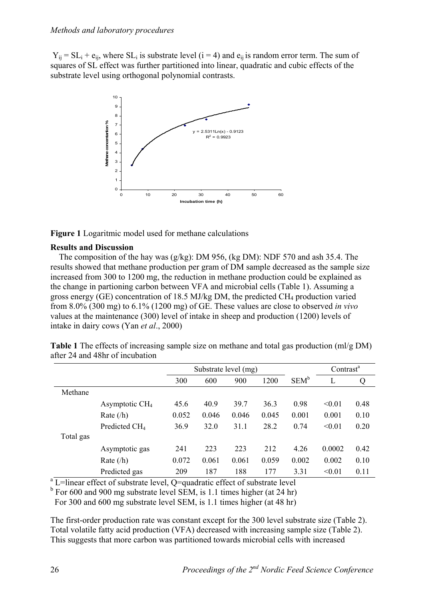$Y_{ii} = SL_i + e_{ii}$ , where  $SL_i$  is substrate level (i = 4) and  $e_{ii}$  is random error term. The sum of squares of SL effect was further partitioned into linear, quadratic and cubic effects of the substrate level using orthogonal polynomial contrasts.



**Figure 1** Logaritmic model used for methane calculations

#### **Results and Discussion**

 The composition of the hay was (g/kg): DM 956, (kg DM): NDF 570 and ash 35.4. The results showed that methane production per gram of DM sample decreased as the sample size increased from 300 to 1200 mg, the reduction in methane production could be explained as the change in partioning carbon between VFA and microbial cells (Table 1). Assuming a gross energy (GE) concentration of 18.5 MJ/kg DM, the predicted  $CH_4$  production varied from 8.0% (300 mg) to 6.1% (1200 mg) of GE. These values are close to observed *in vivo* values at the maintenance (300) level of intake in sheep and production (1200) levels of intake in dairy cows (Yan *et al*., 2000)

| <b>Table 1</b> The effects of increasing sample size on methane and total gas production $(m/g DM)$ |  |
|-----------------------------------------------------------------------------------------------------|--|
| after 24 and 48hr of incubation                                                                     |  |

|           |                            | Substrate level (mg) |       |       |       |         | Contrast <sup>a</sup> |      |
|-----------|----------------------------|----------------------|-------|-------|-------|---------|-----------------------|------|
|           |                            | 300                  | 600   | 900   | 1200  | $SEM^b$ |                       | Q    |
| Methane   |                            |                      |       |       |       |         |                       |      |
|           | Asymptotic CH <sub>4</sub> | 45.6                 | 40.9  | 39.7  | 36.3  | 0.98    | < 0.01                | 0.48 |
|           | Rate $(h)$                 | 0.052                | 0.046 | 0.046 | 0.045 | 0.001   | 0.001                 | 0.10 |
|           | Predicted CH <sub>4</sub>  | 36.9                 | 32.0  | 31.1  | 28.2  | 0.74    | < 0.01                | 0.20 |
| Total gas |                            |                      |       |       |       |         |                       |      |
|           | Asymptotic gas             | 241                  | 223   | 223   | 212   | 4.26    | 0.0002                | 0.42 |
|           | Rate $(h)$                 | 0.072                | 0.061 | 0.061 | 0.059 | 0.002   | 0.002                 | 0.10 |
|           | Predicted gas              | 209                  | 187   | 188   | 177   | 3.31    | < 0.01                | 0.11 |

 $a$ <sup>L=linear effect of substrate level, Q=quadratic effect of substrate level</sup>

 $b$  For 600 and 900 mg substrate level SEM, is 1.1 times higher (at 24 hr)

For 300 and 600 mg substrate level SEM, is 1.1 times higher (at 48 hr)

The first-order production rate was constant except for the 300 level substrate size (Table 2). Total volatile fatty acid production (VFA) decreased with increasing sample size (Table 2). This suggests that more carbon was partitioned towards microbial cells with increased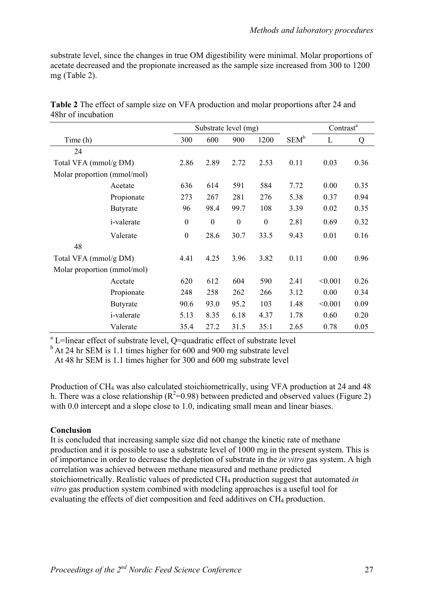substrate level, since the changes in true OM digestibility were minimal. Molar proportions of acetate decreased and the propionate increased as the sample size increased from 300 to 1200 mg (Table 2).

|                             |                    | Substrate level (mg) |                  |                  |                  |         | Contrast <sup>a</sup> |      |
|-----------------------------|--------------------|----------------------|------------------|------------------|------------------|---------|-----------------------|------|
| Time (h)                    |                    | 300                  | 600              | 900              | 1200             | $SEM^b$ | L                     | Q    |
| 24                          |                    |                      |                  |                  |                  |         |                       |      |
| Total VFA (mmol/g DM)       |                    | 2.86                 | 2.89             | 2.72             | 2.53             | 0.11    | 0.03                  | 0.36 |
| Molar proportion (mmol/mol) |                    |                      |                  |                  |                  |         |                       |      |
|                             | Acetate            | 636                  | 614              | 591              | 584              | 7.72    | 0.00                  | 0.35 |
|                             | Propionate         | 273                  | 267              | 281              | 276              | 5.38    | 0.37                  | 0.94 |
|                             | <b>Butyrate</b>    | 96                   | 98.4             | 99.7             | 108              | 3.39    | 0.02                  | 0.35 |
|                             | <i>i</i> -valerate | $\boldsymbol{0}$     | $\boldsymbol{0}$ | $\boldsymbol{0}$ | $\boldsymbol{0}$ | 2.81    | 0.69                  | 0.32 |
|                             | Valerate           | $\mathbf{0}$         | 28.6             | 30.7             | 33.5             | 9.43    | 0.01                  | 0.16 |
| 48                          |                    |                      |                  |                  |                  |         |                       |      |
| Total VFA (mmol/g DM)       |                    | 4.41                 | 4.25             | 3.96             | 3.82             | 0.11    | 0.00                  | 0.96 |
| Molar proportion (mmol/mol) |                    |                      |                  |                  |                  |         |                       |      |
|                             | Acetate            | 620                  | 612              | 604              | 590              | 2.41    | < 0.001               | 0.26 |
|                             | Propionate         | 248                  | 258              | 262              | 266              | 3.12    | 0.00                  | 0.34 |
|                             | <b>Butyrate</b>    | 90.6                 | 93.0             | 95.2             | 103              | 1.48    | < 0.001               | 0.09 |
|                             | <i>i</i> -valerate | 5.13                 | 8.35             | 6.18             | 4.37             | 1.78    | 0.60                  | 0.20 |
|                             | Valerate           | 35.4                 | 27.2             | 31.5             | 35.1             | 2.65    | 0.78                  | 0.05 |

**Table 2** The effect of sample size on VFA production and molar proportions after 24 and 48hr of incubation

<sup>a</sup> L=linear effect of substrate level, Q=quadratic effect of substrate level

 $b$  At 24 hr SEM is 1.1 times higher for 600 and 900 mg substrate level

At 48 hr SEM is 1.1 times higher for 300 and 600 mg substrate level

Production of CH4 was also calculated stoichiometrically, using VFA production at 24 and 48 h. There was a close relationship ( $R^2$ =0.98) between predicted and observed values (Figure 2) with 0.0 intercept and a slope close to 1.0, indicating small mean and linear biases.

#### **Conclusion**

It is concluded that increasing sample size did not change the kinetic rate of methane production and it is possible to use a substrate level of 1000 mg in the present system. This is of importance in order to decrease the depletion of substrate in the *in vitro* gas system. A high correlation was achieved between methane measured and methane predicted stoichiometrically. Realistic values of predicted CH4 production suggest that automated *in vitro* gas production system combined with modeling approaches is a useful tool for evaluating the effects of diet composition and feed additives on CH<sub>4</sub> production.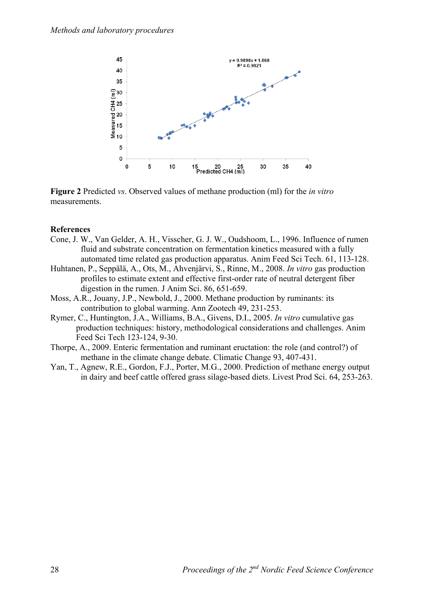

**Figure 2** Predicted *vs*. Observed values of methane production (ml) for the *in vitro* measurements.

#### **References**

- Cone, J. W., Van Gelder, A. H., Visscher, G. J. W., Oudshoom, L., 1996. Influence of rumen fluid and substrate concentration on fermentation kinetics measured with a fully automated time related gas production apparatus. Anim Feed Sci Tech. 61, 113-128.
- Huhtanen, P., Seppälä, A., Ots, M., Ahvenjärvi, S., Rinne, M., 2008. *In vitro* gas production profiles to estimate extent and effective first-order rate of neutral detergent fiber digestion in the rumen. J Anim Sci. 86, 651-659.
- Moss, A.R., Jouany, J.P., Newbold, J., 2000. Methane production by ruminants: its contribution to global warming. Ann Zootech 49, 231-253.
- Rymer, C., Huntington, J.A., Williams, B.A., Givens, D.I., 2005. *In vitro* cumulative gas production techniques: history, methodological considerations and challenges. Anim Feed Sci Tech 123-124, 9-30.
- Thorpe, A., 2009. Enteric fermentation and ruminant eructation: the role (and control?) of methane in the climate change debate. Climatic Change 93, 407-431.
- Yan, T., Agnew, R.E., Gordon, F.J., Porter, M.G., 2000. Prediction of methane energy output in dairy and beef cattle offered grass silage-based diets. Livest Prod Sci. 64, 253-263.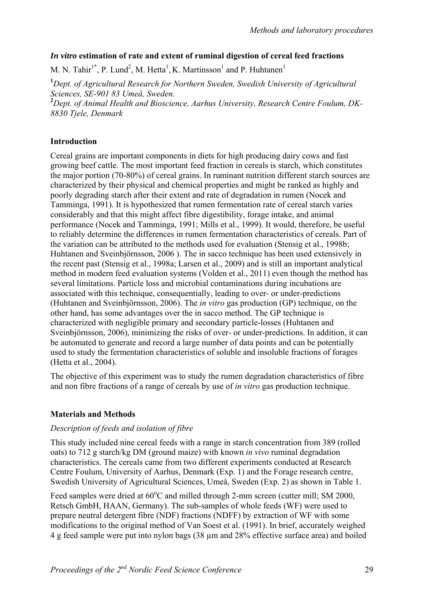#### *In vitro* **estimation of rate and extent of ruminal digestion of cereal feed fractions**

M. N. Tahir<sup>1\*</sup>, P. Lund<sup>2</sup>, M. Hetta<sup>1</sup>, K. Martinsson<sup>1</sup> and P. Huhtanen<sup>1</sup>

**1** *Dept. of Agricultural Research for Northern Sweden, Swedish University of Agricultural Sciences, SE-901 83 Umeå, Sweden.* 

**2** *Dept. of Animal Health and Bioscience, Aarhus University, Research Centre Foulum, DK-8830 Tjele, Denmark* 

#### **Introduction**

Cereal grains are important components in diets for high producing dairy cows and fast growing beef cattle. The most important feed fraction in cereals is starch, which constitutes the major portion (70-80%) of cereal grains. In ruminant nutrition different starch sources are characterized by their physical and chemical properties and might be ranked as highly and poorly degrading starch after their extent and rate of degradation in rumen (Nocek and Tamminga, 1991). It is hypothesized that rumen fermentation rate of cereal starch varies considerably and that this might affect fibre digestibility, forage intake, and animal performance (Nocek and Tamminga, 1991; Mills et al., 1999). It would, therefore, be useful to reliably determine the differences in rumen fermentation characteristics of cereals. Part of the variation can be attributed to the methods used for evaluation (Stensig et al., 1998b; Huhtanen and Sveinbjörnsson, 2006 ). The in sacco technique has been used extensively in the recent past (Stensig et al., 1998a; Larsen et al., 2009) and is still an important analytical method in modern feed evaluation systems (Volden et al., 2011) even though the method has several limitations. Particle loss and microbial contaminations during incubations are associated with this technique, consequentially, leading to over- or under-predictions (Huhtanen and Sveinbjörnsson, 2006). The *in vitro* gas production (GP) technique, on the other hand, has some advantages over the in sacco method. The GP technique is characterized with negligible primary and secondary particle-losses (Huhtanen and Sveinbjörnsson, 2006), minimizing the risks of over- or under-predictions. In addition, it can be automated to generate and record a large number of data points and can be potentially used to study the fermentation characteristics of soluble and insoluble fractions of forages (Hetta et al., 2004).

The objective of this experiment was to study the rumen degradation characteristics of fibre and non fibre fractions of a range of cereals by use of *in vitro* gas production technique.

#### **Materials and Methods**

#### *Description of feeds and isolation of fibre*

This study included nine cereal feeds with a range in starch concentration from 389 (rolled oats) to 712 g starch/kg DM (ground maize) with known *in vivo* ruminal degradation characteristics. The cereals came from two different experiments conducted at Research Centre Foulum, University of Aarhus, Denmark (Exp. 1) and the Forage research centre, Swedish University of Agricultural Sciences, Umeå, Sweden (Exp. 2) as shown in Table 1.

Feed samples were dried at 60°C and milled through 2-mm screen (cutter mill; SM 2000, Retsch GmbH, HAAN, Germany). The sub-samples of whole feeds (WF) were used to prepare neutral detergent fibre (NDF) fractions (NDFF) by extraction of WF with some modifications to the original method of Van Soest et al. (1991). In brief, accurately weighed 4 g feed sample were put into nylon bags (38 µm and 28% effective surface area) and boiled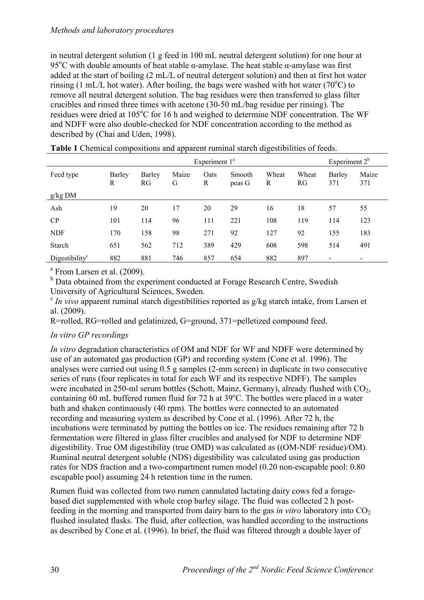#### *Methods and laboratory procedures*

in neutral detergent solution (1 g feed in 100 mL neutral detergent solution) for one hour at 95<sup>o</sup>C with double amounts of heat stable α-amylase. The heat stable α-amylase was first added at the start of boiling (2 mL/L of neutral detergent solution) and then at first hot water rinsing (1 mL/L hot water). After boiling, the bags were washed with hot water (70 $^{\circ}$ C) to remove all neutral detergent solution. The bag residues were then transferred to glass filter crucibles and rinsed three times with acetone (30-50 mL/bag residue per rinsing). The residues were dried at 105°C for 16 h and weighed to determine NDF concentration. The WF and NDFF were also double-checked for NDF concentration according to the method as described by (Chai and Uden, 1998).

|                       | Experiment $1^a$ |              |            |           |                  |            |             | Experiment $2b$ |              |
|-----------------------|------------------|--------------|------------|-----------|------------------|------------|-------------|-----------------|--------------|
| Feed type             | Barley<br>R      | Barley<br>RG | Maize<br>G | Oats<br>R | Smooth<br>peas G | Wheat<br>R | Wheat<br>RG | Barley<br>371   | Maize<br>371 |
| $g/kg$ DM             |                  |              |            |           |                  |            |             |                 |              |
| Ash                   | 19               | 20           | 17         | 20        | 29               | 16         | 18          | 57              | 55           |
| CP                    | 101              | 114          | 96         | 111       | 221              | 108        | 119         | 114             | 123          |
| <b>NDF</b>            | 170              | 158          | 98         | 271       | 92               | 127        | 92          | 155             | 183          |
| Starch                | 651              | 562          | 712        | 389       | 429              | 608        | 598         | 514             | 491          |
| Digestibility $\rm^c$ | 882              | 881          | 746        | 857       | 654              | 882        | 897         |                 |              |

**Table 1** Chemical compositions and apparent ruminal starch digestibilities of feeds.

<sup>a</sup> From Larsen et al. (2009).

<sup>b</sup> Data obtained from the experiment conducted at Forage Research Centre, Swedish University of Agricultural Sciences, Sweden.

<sup>c</sup> *In vivo* apparent ruminal starch digestibilities reported as g/kg starch intake, from Larsen et al. (2009).

R=rolled, RG=rolled and gelatinized, G=ground, 371=pelletized compound feed.

#### *In vitro GP recordings*

*In vitro* degradation characteristics of OM and NDF for WF and NDFF were determined by use of an automated gas production (GP) and recording system (Cone et al. 1996). The analyses were carried out using 0.5 g samples (2-mm screen) in duplicate in two consecutive series of runs (four replicates in total for each WF and its respective NDFF). The samples were incubated in 250-ml serum bottles (Schott, Mainz, Germany), already flushed with CO2, containing 60 mL buffered rumen fluid for 72 h at 39°C. The bottles were placed in a water bath and shaken continuously (40 rpm). The bottles were connected to an automated recording and measuring system as described by Cone et al. (1996). After 72 h, the incubations were terminated by putting the bottles on ice. The residues remaining after 72 h fermentation were filtered in glass filter crucibles and analysed for NDF to determine NDF digestibility. True OM digestibility (true OMD) was calculated as ((OM-NDF residue)/OM). Ruminal neutral detergent soluble (NDS) digestibility was calculated using gas production rates for NDS fraction and a two-compartment rumen model (0.20 non-escapable pool: 0.80 escapable pool) assuming 24 h retention time in the rumen.

Rumen fluid was collected from two rumen cannulated lactating dairy cows fed a foragebased diet supplemented with whole crop barley silage. The fluid was collected 2 h postfeeding in the morning and transported from dairy barn to the gas *in vitro* laboratory into  $CO<sub>2</sub>$ flushed insulated flasks. The fluid, after collection, was handled according to the instructions as described by Cone et al. (1996). In brief, the fluid was filtered through a double layer of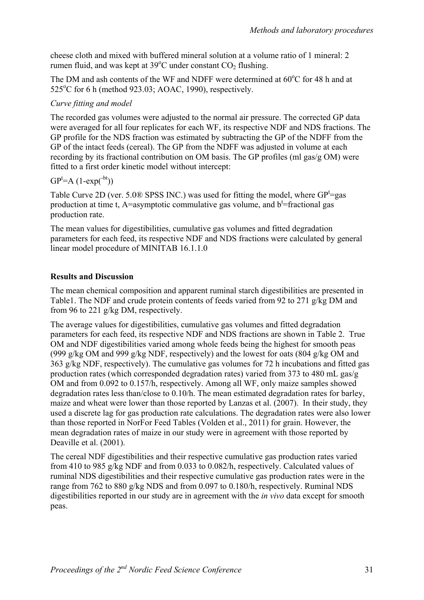cheese cloth and mixed with buffered mineral solution at a volume ratio of 1 mineral: 2 rumen fluid, and was kept at  $39^{\circ}$ C under constant CO<sub>2</sub> flushing.

The DM and ash contents of the WF and NDFF were determined at  $60^{\circ}$ C for 48 h and at 525°C for 6 h (method 923.03; AOAC, 1990), respectively.

## *Curve fitting and model*

The recorded gas volumes were adjusted to the normal air pressure. The corrected GP data were averaged for all four replicates for each WF, its respective NDF and NDS fractions. The GP profile for the NDS fraction was estimated by subtracting the GP of the NDFF from the GP of the intact feeds (cereal). The GP from the NDFF was adjusted in volume at each recording by its fractional contribution on OM basis. The GP profiles (ml gas/g OM) were fitted to a first order kinetic model without intercept:

## $GP<sup>t</sup>=A (1-exp(<sup>-bt</sup>))$

Table Curve 2D (ver. 5.0 $\circledR$  SPSS INC.) was used for fitting the model, where GP<sup>t</sup>=gas production at time t, A=asymptotic commulative gas volume, and  $b^t$ =fractional gas production rate.

The mean values for digestibilities, cumulative gas volumes and fitted degradation parameters for each feed, its respective NDF and NDS fractions were calculated by general linear model procedure of MINITAB 16.1.1.0

## **Results and Discussion**

The mean chemical composition and apparent ruminal starch digestibilities are presented in Table1. The NDF and crude protein contents of feeds varied from 92 to 271 g/kg DM and from 96 to 221 g/kg DM, respectively.

The average values for digestibilities, cumulative gas volumes and fitted degradation parameters for each feed, its respective NDF and NDS fractions are shown in Table 2. True OM and NDF digestibilities varied among whole feeds being the highest for smooth peas (999 g/kg OM and 999 g/kg NDF, respectively) and the lowest for oats (804 g/kg OM and 363 g/kg NDF, respectively). The cumulative gas volumes for 72 h incubations and fitted gas production rates (which corresponded degradation rates) varied from 373 to 480 mL gas/g OM and from 0.092 to 0.157/h, respectively. Among all WF, only maize samples showed degradation rates less than/close to 0.10/h. The mean estimated degradation rates for barley, maize and wheat were lower than those reported by Lanzas et al. (2007). In their study, they used a discrete lag for gas production rate calculations. The degradation rates were also lower than those reported in NorFor Feed Tables (Volden et al., 2011) for grain. However, the mean degradation rates of maize in our study were in agreement with those reported by Deaville et al.  $(2001)$ .

The cereal NDF digestibilities and their respective cumulative gas production rates varied from 410 to 985 g/kg NDF and from 0.033 to 0.082/h, respectively. Calculated values of ruminal NDS digestibilities and their respective cumulative gas production rates were in the range from 762 to 880 g/kg NDS and from 0.097 to 0.180/h, respectively. Ruminal NDS digestibilities reported in our study are in agreement with the *in vivo* data except for smooth peas.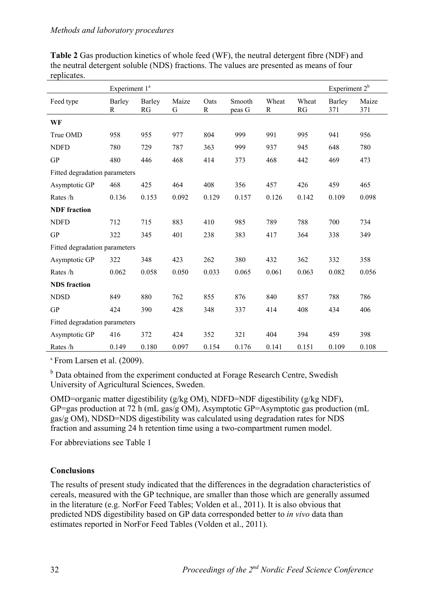|                               | Experiment 1 <sup>ª</sup> |              |            |                     |                  |            |             | Experiment $2^b$ |              |
|-------------------------------|---------------------------|--------------|------------|---------------------|------------------|------------|-------------|------------------|--------------|
| Feed type                     | Barley<br>R               | Barley<br>RG | Maize<br>G | Oats<br>$\mathbf R$ | Smooth<br>peas G | Wheat<br>R | Wheat<br>RG | Barley<br>371    | Maize<br>371 |
| WF                            |                           |              |            |                     |                  |            |             |                  |              |
| True OMD                      | 958                       | 955          | 977        | 804                 | 999              | 991        | 995         | 941              | 956          |
| <b>NDFD</b>                   | 780                       | 729          | 787        | 363                 | 999              | 937        | 945         | 648              | 780          |
| <b>GP</b>                     | 480                       | 446          | 468        | 414                 | 373              | 468        | 442         | 469              | 473          |
| Fitted degradation parameters |                           |              |            |                     |                  |            |             |                  |              |
| Asymptotic GP                 | 468                       | 425          | 464        | 408                 | 356              | 457        | 426         | 459              | 465          |
| Rates /h                      | 0.136                     | 0.153        | 0.092      | 0.129               | 0.157            | 0.126      | 0.142       | 0.109            | 0.098        |
| <b>NDF</b> fraction           |                           |              |            |                     |                  |            |             |                  |              |
| <b>NDFD</b>                   | 712                       | 715          | 883        | 410                 | 985              | 789        | 788         | 700              | 734          |
| <b>GP</b>                     | 322                       | 345          | 401        | 238                 | 383              | 417        | 364         | 338              | 349          |
| Fitted degradation parameters |                           |              |            |                     |                  |            |             |                  |              |
| Asymptotic GP                 | 322                       | 348          | 423        | 262                 | 380              | 432        | 362         | 332              | 358          |
| Rates /h                      | 0.062                     | 0.058        | 0.050      | 0.033               | 0.065            | 0.061      | 0.063       | 0.082            | 0.056        |
| <b>NDS</b> fraction           |                           |              |            |                     |                  |            |             |                  |              |
| <b>NDSD</b>                   | 849                       | 880          | 762        | 855                 | 876              | 840        | 857         | 788              | 786          |
| <b>GP</b>                     | 424                       | 390          | 428        | 348                 | 337              | 414        | 408         | 434              | 406          |
| Fitted degradation parameters |                           |              |            |                     |                  |            |             |                  |              |
| Asymptotic GP                 | 416                       | 372          | 424        | 352                 | 321              | 404        | 394         | 459              | 398          |
| Rates /h                      | 0.149                     | 0.180        | 0.097      | 0.154               | 0.176            | 0.141      | 0.151       | 0.109            | 0.108        |

**Table 2** Gas production kinetics of whole feed (WF), the neutral detergent fibre (NDF) and the neutral detergent soluble (NDS) fractions. The values are presented as means of four replicates.

<sup>a</sup> From Larsen et al. (2009).

<sup>b</sup> Data obtained from the experiment conducted at Forage Research Centre, Swedish University of Agricultural Sciences, Sweden.

OMD=organic matter digestibility (g/kg OM), NDFD=NDF digestibility (g/kg NDF), GP=gas production at 72 h (mL gas/g OM), Asymptotic GP=Asymptotic gas production (mL gas/g OM), NDSD=NDS digestibility was calculated using degradation rates for NDS fraction and assuming 24 h retention time using a two-compartment rumen model.

For abbreviations see Table 1

## **Conclusions**

The results of present study indicated that the differences in the degradation characteristics of cereals, measured with the GP technique, are smaller than those which are generally assumed in the literature (e.g. NorFor Feed Tables; Volden et al., 2011). It is also obvious that predicted NDS digestibility based on GP data corresponded better to *in vivo* data than estimates reported in NorFor Feed Tables (Volden et al., 2011).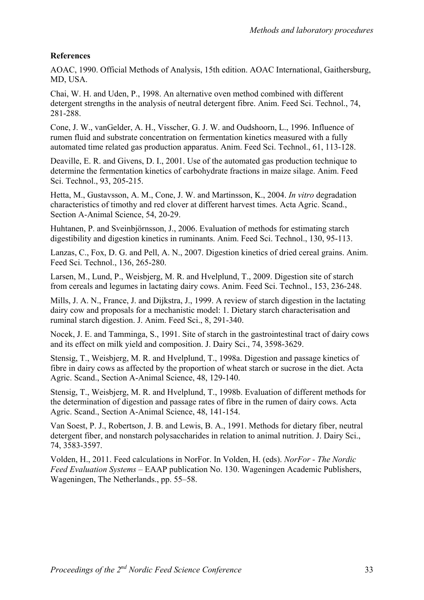## **References**

AOAC, 1990. Official Methods of Analysis, 15th edition. AOAC International, Gaithersburg, MD, USA.

Chai, W. H. and Uden, P., 1998. An alternative oven method combined with different detergent strengths in the analysis of neutral detergent fibre. Anim. Feed Sci. Technol., 74, 281-288.

Cone, J. W., vanGelder, A. H., Visscher, G. J. W. and Oudshoorn, L., 1996. Influence of rumen fluid and substrate concentration on fermentation kinetics measured with a fully automated time related gas production apparatus. Anim. Feed Sci. Technol., 61, 113-128.

Deaville, E. R. and Givens, D. I., 2001. Use of the automated gas production technique to determine the fermentation kinetics of carbohydrate fractions in maize silage. Anim. Feed Sci. Technol., 93, 205-215.

Hetta, M., Gustavsson, A. M., Cone, J. W. and Martinsson, K., 2004. *In vitro* degradation characteristics of timothy and red clover at different harvest times. Acta Agric. Scand., Section A-Animal Science, 54, 20-29.

Huhtanen, P. and Sveinbjörnsson, J., 2006. Evaluation of methods for estimating starch digestibility and digestion kinetics in ruminants. Anim. Feed Sci. Technol., 130, 95-113.

Lanzas, C., Fox, D. G. and Pell, A. N., 2007. Digestion kinetics of dried cereal grains. Anim. Feed Sci. Technol., 136, 265-280.

Larsen, M., Lund, P., Weisbjerg, M. R. and Hvelplund, T., 2009. Digestion site of starch from cereals and legumes in lactating dairy cows. Anim. Feed Sci. Technol., 153, 236-248.

Mills, J. A. N., France, J. and Dijkstra, J., 1999. A review of starch digestion in the lactating dairy cow and proposals for a mechanistic model: 1. Dietary starch characterisation and ruminal starch digestion. J. Anim. Feed Sci., 8, 291-340.

Nocek, J. E. and Tamminga, S., 1991. Site of starch in the gastrointestinal tract of dairy cows and its effect on milk yield and composition. J. Dairy Sci., 74, 3598-3629.

Stensig, T., Weisbjerg, M. R. and Hvelplund, T., 1998a. Digestion and passage kinetics of fibre in dairy cows as affected by the proportion of wheat starch or sucrose in the diet. Acta Agric. Scand., Section A-Animal Science, 48, 129-140.

Stensig, T., Weisbjerg, M. R. and Hvelplund, T., 1998b. Evaluation of different methods for the determination of digestion and passage rates of fibre in the rumen of dairy cows. Acta Agric. Scand., Section A-Animal Science, 48, 141-154.

Van Soest, P. J., Robertson, J. B. and Lewis, B. A., 1991. Methods for dietary fiber, neutral detergent fiber, and nonstarch polysaccharides in relation to animal nutrition. J. Dairy Sci., 74, 3583-3597.

Volden, H., 2011. Feed calculations in NorFor. In Volden, H. (eds). *NorFor - The Nordic Feed Evaluation Systems* – EAAP publication No. 130. Wageningen Academic Publishers, Wageningen, The Netherlands., pp. 55–58.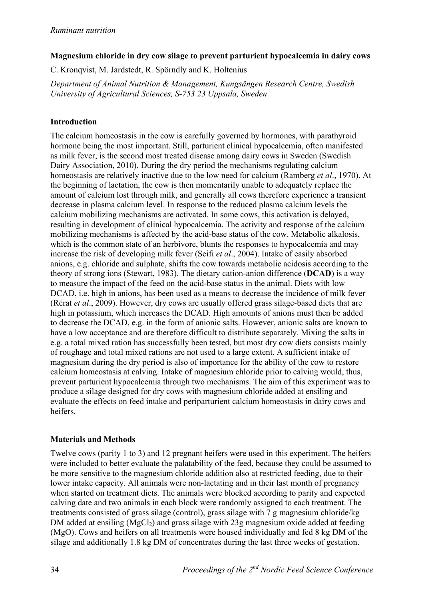### **Magnesium chloride in dry cow silage to prevent parturient hypocalcemia in dairy cows**

C. Kronqvist, M. Jardstedt, R. Spörndly and K. Holtenius

*Department of Animal Nutrition & Management, Kungsängen Research Centre, Swedish University of Agricultural Sciences, S-753 23 Uppsala, Sweden*

## **Introduction**

The calcium homeostasis in the cow is carefully governed by hormones, with parathyroid hormone being the most important. Still, parturient clinical hypocalcemia, often manifested as milk fever, is the second most treated disease among dairy cows in Sweden (Swedish Dairy Association, 2010). During the dry period the mechanisms regulating calcium homeostasis are relatively inactive due to the low need for calcium (Ramberg *et al*., 1970). At the beginning of lactation, the cow is then momentarily unable to adequately replace the amount of calcium lost through milk, and generally all cows therefore experience a transient decrease in plasma calcium level. In response to the reduced plasma calcium levels the calcium mobilizing mechanisms are activated. In some cows, this activation is delayed, resulting in development of clinical hypocalcemia. The activity and response of the calcium mobilizing mechanisms is affected by the acid-base status of the cow. Metabolic alkalosis, which is the common state of an herbivore, blunts the responses to hypocalcemia and may increase the risk of developing milk fever (Seifi *et al*., 2004). Intake of easily absorbed anions, e.g. chloride and sulphate, shifts the cow towards metabolic acidosis according to the theory of strong ions (Stewart, 1983). The dietary cation-anion difference (**DCAD**) is a way to measure the impact of the feed on the acid-base status in the animal. Diets with low DCAD, i.e. high in anions, has been used as a means to decrease the incidence of milk fever (Rérat *et al*., 2009). However, dry cows are usually offered grass silage-based diets that are high in potassium, which increases the DCAD. High amounts of anions must then be added to decrease the DCAD, e.g. in the form of anionic salts. However, anionic salts are known to have a low acceptance and are therefore difficult to distribute separately. Mixing the salts in e.g. a total mixed ration has successfully been tested, but most dry cow diets consists mainly of roughage and total mixed rations are not used to a large extent. A sufficient intake of magnesium during the dry period is also of importance for the ability of the cow to restore calcium homeostasis at calving. Intake of magnesium chloride prior to calving would, thus, prevent parturient hypocalcemia through two mechanisms. The aim of this experiment was to produce a silage designed for dry cows with magnesium chloride added at ensiling and evaluate the effects on feed intake and periparturient calcium homeostasis in dairy cows and heifers.

# **Materials and Methods**

Twelve cows (parity 1 to 3) and 12 pregnant heifers were used in this experiment. The heifers were included to better evaluate the palatability of the feed, because they could be assumed to be more sensitive to the magnesium chloride addition also at restricted feeding, due to their lower intake capacity. All animals were non-lactating and in their last month of pregnancy when started on treatment diets. The animals were blocked according to parity and expected calving date and two animals in each block were randomly assigned to each treatment. The treatments consisted of grass silage (control), grass silage with 7 g magnesium chloride/kg DM added at ensiling  $(MgCl<sub>2</sub>)$  and grass silage with 23g magnesium oxide added at feeding (MgO). Cows and heifers on all treatments were housed individually and fed 8 kg DM of the silage and additionally 1.8 kg DM of concentrates during the last three weeks of gestation.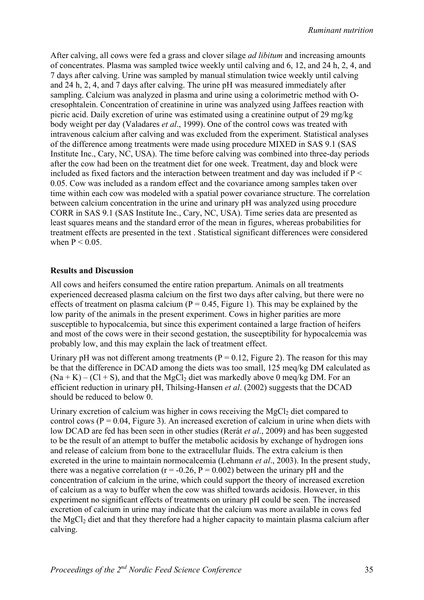After calving, all cows were fed a grass and clover silage *ad libitum* and increasing amounts of concentrates. Plasma was sampled twice weekly until calving and 6, 12, and 24 h, 2, 4, and 7 days after calving. Urine was sampled by manual stimulation twice weekly until calving and 24 h, 2, 4, and 7 days after calving. The urine pH was measured immediately after sampling. Calcium was analyzed in plasma and urine using a colorimetric method with Ocresophtalein. Concentration of creatinine in urine was analyzed using Jaffees reaction with picric acid. Daily excretion of urine was estimated using a creatinine output of 29 mg/kg body weight per day (Valadares *et al*., 1999). One of the control cows was treated with intravenous calcium after calving and was excluded from the experiment. Statistical analyses of the difference among treatments were made using procedure MIXED in SAS 9.1 (SAS Institute Inc., Cary, NC, USA). The time before calving was combined into three-day periods after the cow had been on the treatment diet for one week. Treatment, day and block were included as fixed factors and the interaction between treatment and day was included if  $P \leq$ 0.05. Cow was included as a random effect and the covariance among samples taken over time within each cow was modeled with a spatial power covariance structure. The correlation between calcium concentration in the urine and urinary pH was analyzed using procedure CORR in SAS 9.1 (SAS Institute Inc., Cary, NC, USA). Time series data are presented as least squares means and the standard error of the mean in figures, whereas probabilities for treatment effects are presented in the text . Statistical significant differences were considered when  $P < 0.05$ .

#### **Results and Discussion**

All cows and heifers consumed the entire ration prepartum. Animals on all treatments experienced decreased plasma calcium on the first two days after calving, but there were no effects of treatment on plasma calcium ( $P = 0.45$ , Figure 1). This may be explained by the low parity of the animals in the present experiment. Cows in higher parities are more susceptible to hypocalcemia, but since this experiment contained a large fraction of heifers and most of the cows were in their second gestation, the susceptibility for hypocalcemia was probably low, and this may explain the lack of treatment effect.

Urinary pH was not different among treatments ( $P = 0.12$ , Figure 2). The reason for this may be that the difference in DCAD among the diets was too small, 125 meq/kg DM calculated as  $(Na + K) - (Cl + S)$ , and that the MgCl<sub>2</sub> diet was markedly above 0 meq/kg DM. For an efficient reduction in urinary pH, Thilsing-Hansen *et al*. (2002) suggests that the DCAD should be reduced to below 0.

Urinary excretion of calcium was higher in cows receiving the  $MgCl<sub>2</sub>$  diet compared to control cows ( $P = 0.04$ , Figure 3). An increased excretion of calcium in urine when diets with low DCAD are fed has been seen in other studies (Rerát *et al*., 2009) and has been suggested to be the result of an attempt to buffer the metabolic acidosis by exchange of hydrogen ions and release of calcium from bone to the extracellular fluids. The extra calcium is then excreted in the urine to maintain normocalcemia (Lehmann *et al*., 2003). In the present study, there was a negative correlation ( $r = -0.26$ ,  $P = 0.002$ ) between the urinary pH and the concentration of calcium in the urine, which could support the theory of increased excretion of calcium as a way to buffer when the cow was shifted towards acidosis. However, in this experiment no significant effects of treatments on urinary pH could be seen. The increased excretion of calcium in urine may indicate that the calcium was more available in cows fed the MgCl<sub>2</sub> diet and that they therefore had a higher capacity to maintain plasma calcium after calving.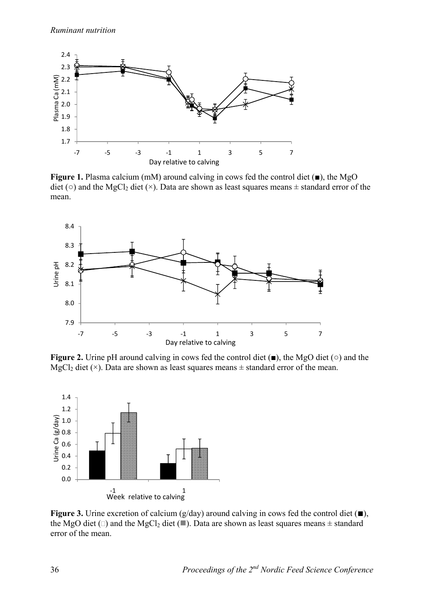

**Figure 1.** Plasma calcium (mM) around calving in cows fed the control diet (■), the MgO diet ( $\circ$ ) and the MgCl<sub>2</sub> diet ( $\times$ ). Data are shown as least squares means  $\pm$  standard error of the mean.



**Figure 2.** Urine pH around calving in cows fed the control diet (■), the MgO diet (○) and the MgCl<sub>2</sub> diet ( $\times$ ). Data are shown as least squares means  $\pm$  standard error of the mean.



**Figure 3.** Urine excretion of calcium (g/day) around calving in cows fed the control diet (■), the MgO diet ( $\square$ ) and the MgCl<sub>2</sub> diet ( $\square$ ). Data are shown as least squares means  $\pm$  standard error of the mean.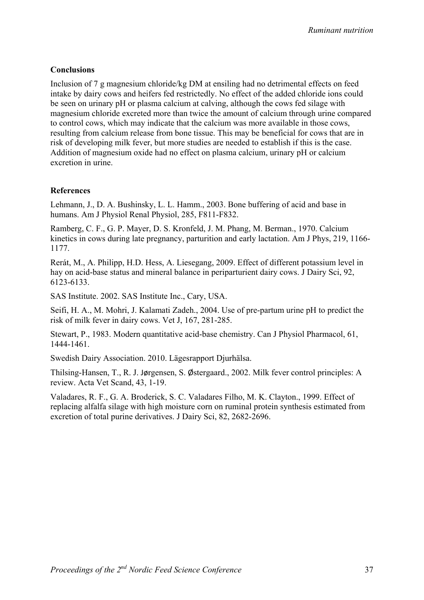#### **Conclusions**

Inclusion of 7 g magnesium chloride/kg DM at ensiling had no detrimental effects on feed intake by dairy cows and heifers fed restrictedly. No effect of the added chloride ions could be seen on urinary pH or plasma calcium at calving, although the cows fed silage with magnesium chloride excreted more than twice the amount of calcium through urine compared to control cows, which may indicate that the calcium was more available in those cows, resulting from calcium release from bone tissue. This may be beneficial for cows that are in risk of developing milk fever, but more studies are needed to establish if this is the case. Addition of magnesium oxide had no effect on plasma calcium, urinary pH or calcium excretion in urine.

#### **References**

Lehmann, J., D. A. Bushinsky, L. L. Hamm., 2003. Bone buffering of acid and base in humans. Am J Physiol Renal Physiol, 285, F811-F832.

Ramberg, C. F., G. P. Mayer, D. S. Kronfeld, J. M. Phang, M. Berman., 1970. Calcium kinetics in cows during late pregnancy, parturition and early lactation. Am J Phys, 219, 1166- 1177.

Rerát, M., A. Philipp, H.D. Hess, A. Liesegang, 2009. Effect of different potassium level in hay on acid-base status and mineral balance in periparturient dairy cows. J Dairy Sci, 92, 6123-6133.

SAS Institute. 2002. SAS Institute Inc., Cary, USA.

Seifi, H. A., M. Mohri, J. Kalamati Zadeh., 2004. Use of pre-partum urine pH to predict the risk of milk fever in dairy cows. Vet J, 167, 281-285.

Stewart, P., 1983. Modern quantitative acid-base chemistry. Can J Physiol Pharmacol, 61, 1444-1461.

Swedish Dairy Association. 2010. Lägesrapport Djurhälsa.

Thilsing-Hansen, T., R. J. Jørgensen, S. Østergaard., 2002. Milk fever control principles: A review. Acta Vet Scand, 43, 1-19.

Valadares, R. F., G. A. Broderick, S. C. Valadares Filho, M. K. Clayton., 1999. Effect of replacing alfalfa silage with high moisture corn on ruminal protein synthesis estimated from excretion of total purine derivatives. J Dairy Sci, 82, 2682-2696.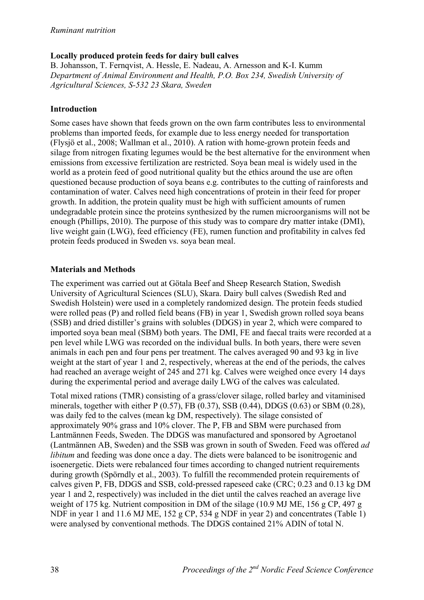# **Locally produced protein feeds for dairy bull calves**

B. Johansson, T. Fernqvist, A. Hessle, E. Nadeau, A. Arnesson and K-I. Kumm *Department of Animal Environment and Health, P.O. Box 234, Swedish University of Agricultural Sciences, S-532 23 Skara, Sweden* 

## **Introduction**

Some cases have shown that feeds grown on the own farm contributes less to environmental problems than imported feeds, for example due to less energy needed for transportation (Flysjö et al., 2008; Wallman et al., 2010). A ration with home-grown protein feeds and silage from nitrogen fixating legumes would be the best alternative for the environment when emissions from excessive fertilization are restricted. Soya bean meal is widely used in the world as a protein feed of good nutritional quality but the ethics around the use are often questioned because production of soya beans e.g. contributes to the cutting of rainforests and contamination of water. Calves need high concentrations of protein in their feed for proper growth. In addition, the protein quality must be high with sufficient amounts of rumen undegradable protein since the proteins synthesized by the rumen microorganisms will not be enough (Phillips, 2010). The purpose of this study was to compare dry matter intake (DMI), live weight gain (LWG), feed efficiency (FE), rumen function and profitability in calves fed protein feeds produced in Sweden vs. soya bean meal.

## **Materials and Methods**

The experiment was carried out at Götala Beef and Sheep Research Station, Swedish University of Agricultural Sciences (SLU), Skara. Dairy bull calves (Swedish Red and Swedish Holstein) were used in a completely randomized design. The protein feeds studied were rolled peas (P) and rolled field beans (FB) in year 1, Swedish grown rolled soya beans (SSB) and dried distiller's grains with solubles (DDGS) in year 2, which were compared to imported soya bean meal (SBM) both years. The DMI, FE and faecal traits were recorded at a pen level while LWG was recorded on the individual bulls. In both years, there were seven animals in each pen and four pens per treatment. The calves averaged 90 and 93 kg in live weight at the start of year 1 and 2, respectively, whereas at the end of the periods, the calves had reached an average weight of 245 and 271 kg. Calves were weighed once every 14 days during the experimental period and average daily LWG of the calves was calculated.

Total mixed rations (TMR) consisting of a grass/clover silage, rolled barley and vitaminised minerals, together with either P (0.57), FB (0.37), SSB (0.44), DDGS (0.63) or SBM (0.28), was daily fed to the calves (mean kg DM, respectively). The silage consisted of approximately 90% grass and 10% clover. The P, FB and SBM were purchased from Lantmännen Feeds, Sweden. The DDGS was manufactured and sponsored by Agroetanol (Lantmännen AB, Sweden) and the SSB was grown in south of Sweden. Feed was offered *ad libitum* and feeding was done once a day. The diets were balanced to be isonitrogenic and isoenergetic. Diets were rebalanced four times according to changed nutrient requirements during growth (Spörndly et al., 2003). To fulfill the recommended protein requirements of calves given P, FB, DDGS and SSB, cold-pressed rapeseed cake (CRC; 0.23 and 0.13 kg DM year 1 and 2, respectively) was included in the diet until the calves reached an average live weight of 175 kg. Nutrient composition in DM of the silage (10.9 MJ ME, 156 g CP, 497 g NDF in year 1 and 11.6 MJ ME, 152 g CP, 534 g NDF in year 2) and concentrates (Table 1) were analysed by conventional methods. The DDGS contained 21% ADIN of total N.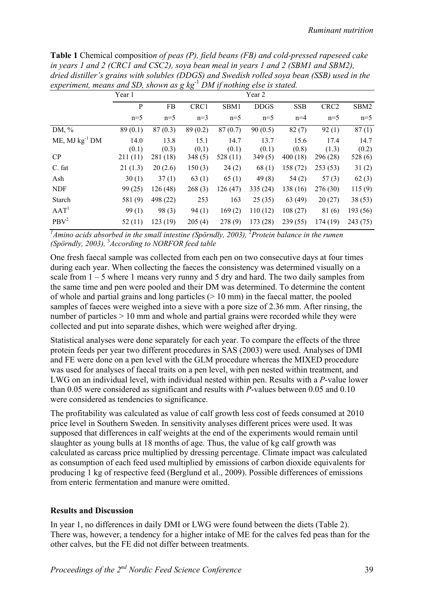| aried alstitler's grains with solubles (DDGS) and Swedish rolled soya bean (SSD) used in the<br>experiment, means and SD, shown as $g kg^{-1} DM$ if nothing else is stated. |               |               |               |               |               |               |                  |               |
|------------------------------------------------------------------------------------------------------------------------------------------------------------------------------|---------------|---------------|---------------|---------------|---------------|---------------|------------------|---------------|
|                                                                                                                                                                              | Year 1        |               |               |               | Year 2        |               |                  |               |
|                                                                                                                                                                              | P             | FB            | CRC1          | SBM1          | <b>DDGS</b>   | <b>SSB</b>    | CRC <sub>2</sub> | SBM2          |
|                                                                                                                                                                              | $n=5$         | $n=5$         | $n=3$         | $n=5$         | $n=5$         | $n=4$         | $n=5$            | $n=5$         |
| DM, $%$                                                                                                                                                                      | 89(0.1)       | 87(0.3)       | 89(0.2)       | 87(0.7)       | 90(0.5)       | 82(7)         | 92(1)            | 87(1)         |
| $ME$ , MJ $kg^{-1}$ DM                                                                                                                                                       | 14.0<br>(0.1) | 13.8<br>(0.3) | 15.1<br>(0,1) | 14.7<br>(0.1) | 13.7<br>(0.1) | 15.6<br>(0.8) | 17.4<br>(1.3)    | 14.7<br>(0.2) |
| CP                                                                                                                                                                           | 211(11)       | 281 (18)      | 348(5)        | 528 (11)      | 349(5)        | 400(18)       | 296 (28)         | 528(6)        |
| C. fat                                                                                                                                                                       | 21(1.3)       | 20(2.6)       | 150(3)        | 24(2)         | 68(1)         | 158 (72)      | 253(53)          | 31(2)         |
| Ash                                                                                                                                                                          | 30(1)         | 37(1)         | 63(1)         | 65(1)         | 49(8)         | 54(2)         | 57(3)            | 62(3)         |
| <b>NDF</b>                                                                                                                                                                   | 99(25)        | 126(48)       | 268(3)        | 126(47)       | 335(24)       | 138(16)       | 276(30)          | 115(9)        |
| Starch                                                                                                                                                                       | 581(9)        | 498 (22)      | 253           | 163           | 25(35)        | 63 (49)       | 20(27)           | 38(53)        |
| AAT <sup>1</sup>                                                                                                                                                             | 99(1)         | 98(3)         | 94(1)         | 169(2)        | 110(12)       | 108(27)       | 81(6)            | 193 (56)      |
| PBV <sup>2</sup>                                                                                                                                                             | 52(11)        | 123(19)       | 205(4)        | 278(9)        | 173(28)       | 239(55)       | 174(19)          | 243 (75)      |

**Table 1** Chemical compositio*n of peas (P), field beans (FB) and cold-pressed rapeseed cake in years 1 and 2 (CRC1 and CSC2), soya bean meal in years 1 and 2 (SBM1 and SBM2), dried distiller's grains with solubles (DDGS) and Swedish rolled soya bean (SSB) used in the* 

<sup>1</sup>Amino acids absorbed in the small intestine (Spörndly, 2003), <sup>2</sup>Protein balance in the rumen *(Spörndly, 2003),* <sup>3</sup> *According to NORFOR feed table* 

One fresh faecal sample was collected from each pen on two consecutive days at four times during each year. When collecting the faeces the consistency was determined visually on a scale from  $1 - 5$  where 1 means very runny and 5 dry and hard. The two daily samples from the same time and pen were pooled and their DM was determined. To determine the content of whole and partial grains and long particles  $(> 10 \text{ mm})$  in the faecal matter, the pooled samples of faeces were weighed into a sieve with a pore size of 2.36 mm. After rinsing, the number of particles > 10 mm and whole and partial grains were recorded while they were collected and put into separate dishes, which were weighed after drying.

Statistical analyses were done separately for each year. To compare the effects of the three protein feeds per year two different procedures in SAS (2003) were used. Analyses of DMI and FE were done on a pen level with the GLM procedure whereas the MIXED procedure was used for analyses of faecal traits on a pen level, with pen nested within treatment, and LWG on an individual level, with individual nested within pen. Results with a *P*-value lower than 0.05 were considered as significant and results with *P*-values between 0.05 and 0.10 were considered as tendencies to significance.

The profitability was calculated as value of calf growth less cost of feeds consumed at 2010 price level in Southern Sweden. In sensitivity analyses different prices were used. It was supposed that differences in calf weights at the end of the experiments would remain until slaughter as young bulls at 18 months of age. Thus, the value of kg calf growth was calculated as carcass price multiplied by dressing percentage. Climate impact was calculated as consumption of each feed used multiplied by emissions of carbon dioxide equivalents for producing 1 kg of respective feed (Berglund et al., 2009). Possible differences of emissions from enteric fermentation and manure were omitted.

### **Results and Discussion**

In year 1, no differences in daily DMI or LWG were found between the diets (Table 2). There was, however, a tendency for a higher intake of ME for the calves fed peas than for the other calves, but the FE did not differ between treatments.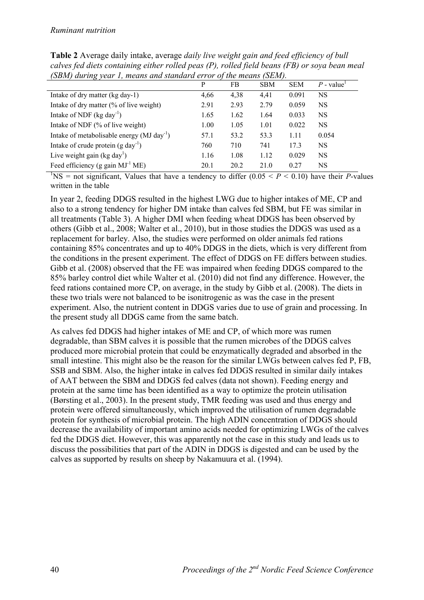|                                                           | P    | FB   | <b>SBM</b> | <b>SEM</b> | $P$ - value <sup>1</sup> |
|-----------------------------------------------------------|------|------|------------|------------|--------------------------|
| Intake of dry matter (kg day-1)                           | 4,66 | 4,38 | 4,41       | 0.091      | NS                       |
| Intake of dry matter (% of live weight)                   | 2.91 | 2.93 | 2.79       | 0.059      | <b>NS</b>                |
| Intake of NDF $(kg \, day^{-1})$                          | 1.65 | 1.62 | 1.64       | 0.033      | <b>NS</b>                |
| Intake of NDF (% of live weight)                          | 1.00 | 1.05 | 1.01       | 0.022      | NS.                      |
| Intake of metabolisable energy ( $MJ$ day <sup>-1</sup> ) | 57.1 | 53.2 | 53.3       | 1.11       | 0.054                    |
| Intake of crude protein $(g \text{ day}^{-1})$            | 760  | 710  | 741        | 17.3       | NS.                      |
| Live weight gain (kg day <sup>1</sup> )                   | 1.16 | 1.08 | 1.12       | 0.029      | <b>NS</b>                |
| Feed efficiency (g gain $MJ-1 ME$ )                       | 20.1 | 20.2 | 21.0       | 0.27       | NS                       |

**Table 2** Average daily intake, average *daily live weight gain and feed efficiency of bull calves fed diets containing either rolled peas (P), rolled field beans (FB) or soya bean meal (SBM) during year 1, means and standard error of the means (SEM).* 

<sup>1</sup>NS = not significant, Values that have a tendency to differ  $(0.05 < P < 0.10)$  have their *P*-values written in the table

In year 2, feeding DDGS resulted in the highest LWG due to higher intakes of ME, CP and also to a strong tendency for higher DM intake than calves fed SBM, but FE was similar in all treatments (Table 3). A higher DMI when feeding wheat DDGS has been observed by others (Gibb et al., 2008; Walter et al., 2010), but in those studies the DDGS was used as a replacement for barley. Also, the studies were performed on older animals fed rations containing 85% concentrates and up to 40% DDGS in the diets, which is very different from the conditions in the present experiment. The effect of DDGS on FE differs between studies. Gibb et al. (2008) observed that the FE was impaired when feeding DDGS compared to the 85% barley control diet while Walter et al. (2010) did not find any difference. However, the feed rations contained more CP, on average, in the study by Gibb et al. (2008). The diets in these two trials were not balanced to be isonitrogenic as was the case in the present experiment. Also, the nutrient content in DDGS varies due to use of grain and processing. In the present study all DDGS came from the same batch.

As calves fed DDGS had higher intakes of ME and CP, of which more was rumen degradable, than SBM calves it is possible that the rumen microbes of the DDGS calves produced more microbial protein that could be enzymatically degraded and absorbed in the small intestine. This might also be the reason for the similar LWGs between calves fed P, FB, SSB and SBM. Also, the higher intake in calves fed DDGS resulted in similar daily intakes of AAT between the SBM and DDGS fed calves (data not shown). Feeding energy and protein at the same time has been identified as a way to optimize the protein utilisation (Børsting et al., 2003). In the present study, TMR feeding was used and thus energy and protein were offered simultaneously, which improved the utilisation of rumen degradable protein for synthesis of microbial protein. The high ADIN concentration of DDGS should decrease the availability of important amino acids needed for optimizing LWGs of the calves fed the DDGS diet. However, this was apparently not the case in this study and leads us to discuss the possibilities that part of the ADIN in DDGS is digested and can be used by the calves as supported by results on sheep by Nakamuura et al. (1994).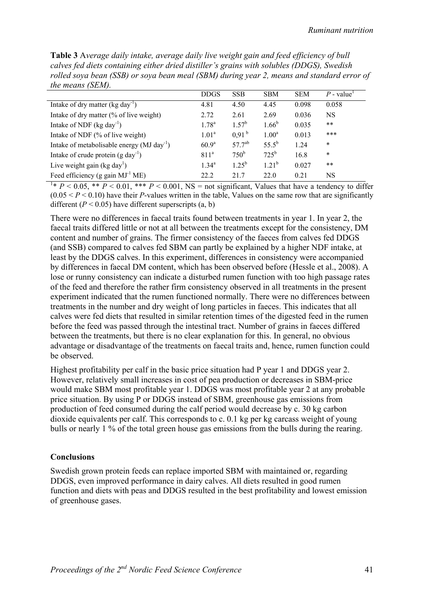**Table 3** A*verage daily intake, average daily live weight gain and feed efficiency of bull calves fed diets containing either dried distiller's grains with solubles (DDGS), Swedish rolled soya bean (SSB) or soya bean meal (SBM) during year 2, means and standard error of the means (SEM).*

|                                                           | <b>DDGS</b>       | <b>SSB</b>        | <b>SBM</b>        | <b>SEM</b> | $P$ - value <sup>1</sup> |
|-----------------------------------------------------------|-------------------|-------------------|-------------------|------------|--------------------------|
| Intake of dry matter $(kg \, day^{-1})$                   | 4.81              | 4.50              | 4.45              | 0.098      | 0.058                    |
| Intake of dry matter (% of live weight)                   | 2.72              | 2.61              | 2.69              | 0.036      | NS                       |
| Intake of NDF $(kg \, day^{-1})$                          | 1.78 <sup>a</sup> | $1.57^{b}$        | $1.66^{b}$        | 0.035      | $***$                    |
| Intake of NDF (% of live weight)                          | 1.01 <sup>a</sup> | 0.91 <sup>b</sup> | 1.00 <sup>a</sup> | 0.013      | ***                      |
| Intake of metabolisable energy ( $MJ$ day <sup>-1</sup> ) | 60.9 <sup>a</sup> | $57.7^{ab}$       | $55.5^{b}$        | 1.24       | *                        |
| Intake of crude protein $(g \, day^{-1})$                 | 811 <sup>a</sup>  | $750^{\rm b}$     | $725^{\rm b}$     | 16.8       | *                        |
| Live weight gain (kg day <sup>1</sup> )                   | $1.34^{\rm a}$    | $1.25^{b}$        | $1.21^{b}$        | 0.027      | **                       |
| Feed efficiency (g gain $MJ-1 ME$ )                       | 22.2              | 21.7              | 22.0              | 0.21       | NS                       |

<sup>1</sup>\*  $P < 0.05$ , \*\*  $P < 0.01$ , \*\*\*  $P < 0.001$ , NS = not significant, Values that have a tendency to differ  $(0.05 < P < 0.10)$  have their *P*-values written in the table, Values on the same row that are significantly different  $(P < 0.05)$  have different superscripts  $(a, b)$ 

There were no differences in faecal traits found between treatments in year 1. In year 2, the faecal traits differed little or not at all between the treatments except for the consistency, DM content and number of grains. The firmer consistency of the faeces from calves fed DDGS (and SSB) compared to calves fed SBM can partly be explained by a higher NDF intake, at least by the DDGS calves. In this experiment, differences in consistency were accompanied by differences in faecal DM content, which has been observed before (Hessle et al., 2008). A lose or runny consistency can indicate a disturbed rumen function with too high passage rates of the feed and therefore the rather firm consistency observed in all treatments in the present experiment indicated that the rumen functioned normally. There were no differences between treatments in the number and dry weight of long particles in faeces. This indicates that all calves were fed diets that resulted in similar retention times of the digested feed in the rumen before the feed was passed through the intestinal tract. Number of grains in faeces differed between the treatments, but there is no clear explanation for this. In general, no obvious advantage or disadvantage of the treatments on faecal traits and, hence, rumen function could be observed.

Highest profitability per calf in the basic price situation had P year 1 and DDGS year 2. However, relatively small increases in cost of pea production or decreases in SBM-price would make SBM most profitable year 1. DDGS was most profitable year 2 at any probable price situation. By using P or DDGS instead of SBM, greenhouse gas emissions from production of feed consumed during the calf period would decrease by c. 30 kg carbon dioxide equivalents per calf. This corresponds to c. 0.1 kg per kg carcass weight of young bulls or nearly 1 % of the total green house gas emissions from the bulls during the rearing.

### **Conclusions**

Swedish grown protein feeds can replace imported SBM with maintained or, regarding DDGS, even improved performance in dairy calves. All diets resulted in good rumen function and diets with peas and DDGS resulted in the best profitability and lowest emission of greenhouse gases.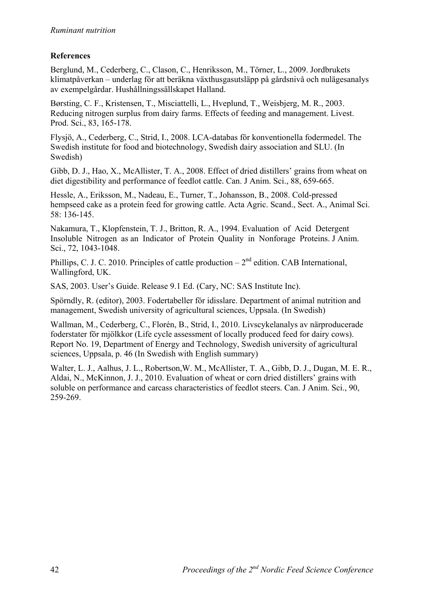# **References**

Berglund, M., Cederberg, C., Clason, C., Henriksson, M., Törner, L., 2009. Jordbrukets klimatpåverkan – underlag för att beräkna växthusgasutsläpp på gårdsnivå och nulägesanalys av exempelgårdar. Hushållningssällskapet Halland.

Børsting, C. F., Kristensen, T., Misciattelli, L., Hveplund, T., Weisbjerg, M. R., 2003. Reducing nitrogen surplus from dairy farms. Effects of feeding and management. Livest. Prod. Sci., 83, 165-178.

Flysjö, A., Cederberg, C., Strid, I., 2008. LCA-databas för konventionella fodermedel. The Swedish institute for food and biotechnology, Swedish dairy association and SLU. (In Swedish)

Gibb, D. J., Hao, X., McAllister, T. A., 2008. Effect of dried distillers' grains from wheat on diet digestibility and performance of feedlot cattle. Can. J Anim. Sci., 88, 659-665.

Hessle, A., Eriksson, M., Nadeau, E., Turner, T., Johansson, B., 2008. Cold-pressed hempseed cake as a protein feed for growing cattle. Acta Agric. Scand., Sect. A., Animal Sci. 58: 136-145.

Nakamura, T., Klopfenstein, T. J., Britton, R. A., 1994. Evaluation of Acid Detergent Insoluble Nitrogen as an Indicator of Protein Quality in Nonforage Proteins. J Anim. Sci., 72, 1043-1048.

Phillips, C. J. C. 2010. Principles of cattle production  $-2^{nd}$  edition. CAB International. Wallingford, UK.

SAS, 2003. User's Guide. Release 9.1 Ed. (Cary, NC: SAS Institute Inc).

Spörndly, R. (editor), 2003. Fodertabeller för idisslare. Department of animal nutrition and management, Swedish university of agricultural sciences, Uppsala. (In Swedish)

Wallman, M., Cederberg, C., Florén, B., Strid, I., 2010. Livscykelanalys av närproducerade foderstater för mjölkkor (Life cycle assessment of locally produced feed for dairy cows). Report No. 19, Department of Energy and Technology, Swedish university of agricultural sciences, Uppsala, p. 46 (In Swedish with English summary)

Walter, L. J., Aalhus, J. L., Robertson,W. M., McAllister, T. A., Gibb, D. J., Dugan, M. E. R., Aldai, N., McKinnon, J. J., 2010. Evaluation of wheat or corn dried distillers' grains with soluble on performance and carcass characteristics of feedlot steers. Can. J Anim. Sci., 90, 259-269.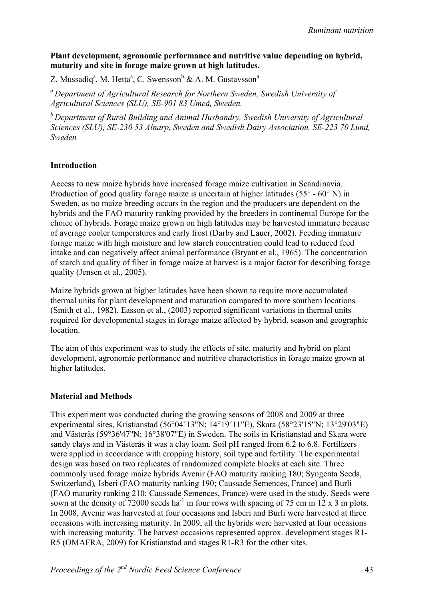### **Plant development, agronomic performance and nutritive value depending on hybrid, maturity and site in forage maize grown at high latitudes.**

Z. Mussadiq<sup>a</sup>, M. Hetta<sup>a</sup>, C. Swensson<sup>b</sup> & A. M. Gustavsson<sup>a</sup>

*a Department of Agricultural Research for Northern Sweden, Swedish University of Agricultural Sciences (SLU), SE-901 83 Umeå, Sweden.* 

*b Department of Rural Building and Animal Husbandry, Swedish University of Agricultural Sciences (SLU), SE-230 53 Alnarp, Sweden and Swedish Dairy Association, SE-223 70 Lund, Sweden* 

#### **Introduction**

Access to new maize hybrids have increased forage maize cultivation in Scandinavia. Production of good quality forage maize is uncertain at higher latitudes (55° - 60° N) in Sweden, as no maize breeding occurs in the region and the producers are dependent on the hybrids and the FAO maturity ranking provided by the breeders in continental Europe for the choice of hybrids. Forage maize grown on high latitudes may be harvested immature because of average cooler temperatures and early frost (Darby and Lauer, 2002). Feeding immature forage maize with high moisture and low starch concentration could lead to reduced feed intake and can negatively affect animal performance (Bryant et al., 1965). The concentration of starch and quality of fiber in forage maize at harvest is a major factor for describing forage quality (Jensen et al., 2005).

Maize hybrids grown at higher latitudes have been shown to require more accumulated thermal units for plant development and maturation compared to more southern locations (Smith et al., 1982). Easson et al., (2003) reported significant variations in thermal units required for developmental stages in forage maize affected by hybrid, season and geographic location.

The aim of this experiment was to study the effects of site, maturity and hybrid on plant development, agronomic performance and nutritive characteristics in forage maize grown at higher latitudes.

### **Material and Methods**

This experiment was conducted during the growing seasons of 2008 and 2009 at three experimental sites, Kristianstad (56°04´13"N; 14°19´11"E), Skara (58°23'15"N; 13°29'03"E) and Västerås (59°36'47"N; 16°38'07"E) in Sweden. The soils in Kristianstad and Skara were sandy clays and in Västerås it was a clay loam. Soil pH ranged from 6.2 to 6.8. Fertilizers were applied in accordance with cropping history, soil type and fertility. The experimental design was based on two replicates of randomized complete blocks at each site. Three commonly used forage maize hybrids Avenir (FAO maturity ranking 180; Syngenta Seeds, Switzerland)*,* Isberi (FAO maturity ranking 190; Caussade Semences, France) and Burli (FAO maturity ranking 210; Caussade Semences, France) were used in the study. Seeds were sown at the density of  $72000$  seeds ha<sup>-1</sup> in four rows with spacing of 75 cm in 12 x 3 m plots. In 2008, Avenir was harvested at four occasions and Isberi and Burli were harvested at three occasions with increasing maturity. In 2009, all the hybrids were harvested at four occasions with increasing maturity. The harvest occasions represented approx. development stages R1- R5 (OMAFRA, 2009) for Kristianstad and stages R1-R3 for the other sites.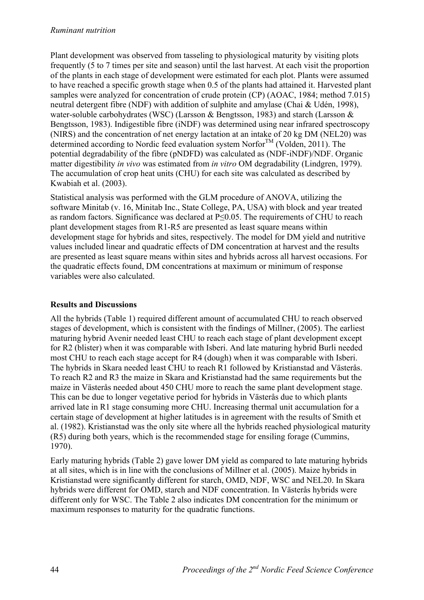#### *Ruminant nutrition*

Plant development was observed from tasseling to physiological maturity by visiting plots frequently (5 to 7 times per site and season) until the last harvest. At each visit the proportion of the plants in each stage of development were estimated for each plot. Plants were assumed to have reached a specific growth stage when 0.5 of the plants had attained it. Harvested plant samples were analyzed for concentration of crude protein (CP) (AOAC, 1984; method 7.015) neutral detergent fibre (NDF) with addition of sulphite and amylase (Chai & Udén, 1998), water-soluble carbohydrates (WSC) (Larsson & Bengtsson, 1983) and starch (Larsson & Bengtsson, 1983). Indigestible fibre (iNDF) was determined using near infrared spectroscopy (NIRS) and the concentration of net energy lactation at an intake of 20 kg DM (NEL20) was determined according to Nordic feed evaluation system Norfor<sup>TM</sup> (Volden, 2011). The potential degradability of the fibre (pNDFD) was calculated as (NDF-iNDF)/NDF. Organic matter digestibility *in vivo* was estimated from *in vitro* OM degradability (Lindgren, 1979). The accumulation of crop heat units (CHU) for each site was calculated as described by Kwabiah et al. (2003).

Statistical analysis was performed with the GLM procedure of ANOVA, utilizing the software Minitab (v. 16, Minitab Inc., State College, PA, USA) with block and year treated as random factors. Significance was declared at P≤0.05. The requirements of CHU to reach plant development stages from R1-R5 are presented as least square means within development stage for hybrids and sites, respectively. The model for DM yield and nutritive values included linear and quadratic effects of DM concentration at harvest and the results are presented as least square means within sites and hybrids across all harvest occasions. For the quadratic effects found, DM concentrations at maximum or minimum of response variables were also calculated.

### **Results and Discussions**

All the hybrids (Table 1) required different amount of accumulated CHU to reach observed stages of development, which is consistent with the findings of Millner, (2005). The earliest maturing hybrid Avenir needed least CHU to reach each stage of plant development except for R2 (blister) when it was comparable with Isberi. And late maturing hybrid Burli needed most CHU to reach each stage accept for R4 (dough) when it was comparable with Isberi. The hybrids in Skara needed least CHU to reach R1 followed by Kristianstad and Västerås. To reach R2 and R3 the maize in Skara and Kristianstad had the same requirements but the maize in Västerås needed about 450 CHU more to reach the same plant development stage. This can be due to longer vegetative period for hybrids in Västerås due to which plants arrived late in R1 stage consuming more CHU. Increasing thermal unit accumulation for a certain stage of development at higher latitudes is in agreement with the results of Smith et al. (1982). Kristianstad was the only site where all the hybrids reached physiological maturity (R5) during both years, which is the recommended stage for ensiling forage (Cummins, 1970).

Early maturing hybrids (Table 2) gave lower DM yield as compared to late maturing hybrids at all sites, which is in line with the conclusions of Millner et al. (2005). Maize hybrids in Kristianstad were significantly different for starch, OMD, NDF, WSC and NEL20. In Skara hybrids were different for OMD, starch and NDF concentration. In Västerås hybrids were different only for WSC. The Table 2 also indicates DM concentration for the minimum or maximum responses to maturity for the quadratic functions.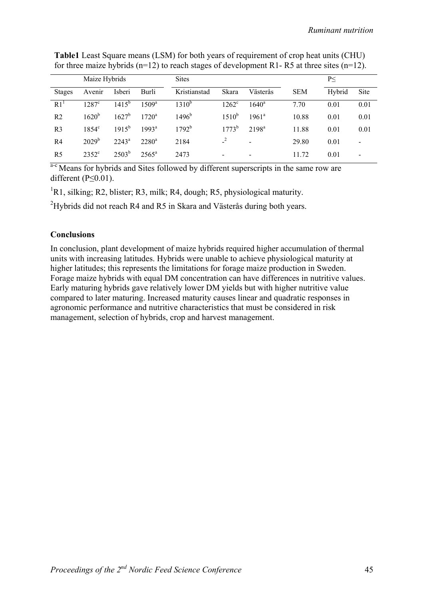|                 | Maize Hybrids  |                |                | <b>Sites</b>      |                |                          |            | P<     |                          |
|-----------------|----------------|----------------|----------------|-------------------|----------------|--------------------------|------------|--------|--------------------------|
| <b>Stages</b>   | Avenir         | Isberi         | Burli          | Kristianstad      | Skara          | Västerås                 | <b>SEM</b> | Hybrid | Site                     |
| R1 <sup>1</sup> | $1287^{\circ}$ | $1415^{b}$     | $1509^{\rm a}$ | 1310 <sup>b</sup> | $1262^{\circ}$ | $1640^{\circ}$           | 7.70       | 0.01   | 0.01                     |
| R <sub>2</sub>  | $1620^{b}$     | $1627^{\rm b}$ | $1720^a$       | $1496^{\rm b}$    | $1510^{b}$     | $1961^a$                 | 10.88      | 0.01   | 0.01                     |
| R <sub>3</sub>  | $1854^{\circ}$ | $1915^{b}$     | $1993^a$       | $1792^{\rm b}$    | $1773^b$       | $2198^a$                 | 11.88      | 0.01   | 0.01                     |
| R4              | $2029^{\rm b}$ | $2243^a$       | $2280^{\rm a}$ | 2184              |                |                          | 29.80      | 0.01   | $\overline{\phantom{0}}$ |
| R <sub>5</sub>  | $2352^{\circ}$ | $2503^{b}$     | $2565^{\circ}$ | 2473              | $\blacksquare$ | $\overline{\phantom{a}}$ | 11.72      | 0.01   | -                        |

**Table1** Least Square means (LSM) for both years of requirement of crop heat units (CHU) for three maize hybrids  $(n=12)$  to reach stages of development R1- R5 at three sites  $(n=12)$ .

a<sup>-c</sup> Means for hybrids and Sites followed by different superscripts in the same row are different  $(P \le 0.01)$ .

<sup>1</sup>R1, silking; R2, blister; R3, milk; R4, dough; R5, physiological maturity.

<sup>2</sup>Hybrids did not reach R4 and R5 in Skara and Västerås during both years.

#### **Conclusions**

In conclusion, plant development of maize hybrids required higher accumulation of thermal units with increasing latitudes. Hybrids were unable to achieve physiological maturity at higher latitudes; this represents the limitations for forage maize production in Sweden. Forage maize hybrids with equal DM concentration can have differences in nutritive values. Early maturing hybrids gave relatively lower DM yields but with higher nutritive value compared to later maturing. Increased maturity causes linear and quadratic responses in agronomic performance and nutritive characteristics that must be considered in risk management, selection of hybrids, crop and harvest management.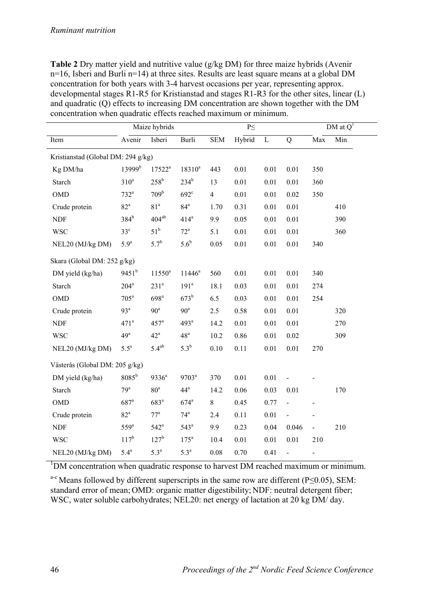**Table 2** Dry matter yield and nutritive value (g/kg DM) for three maize hybrids (Avenir n=16, Isberi and Burli n=14) at three sites. Results are least square means at a global DM concentration for both years with 3-4 harvest occasions per year, representing approx. developmental stages R1-R5 for Kristianstad and stages R1-R3 for the other sites, linear (L) and quadratic (Q) effects to increasing DM concentration are shown together with the DM concentration when quadratic effects reached maximum or minimum.

|                                    |                    | Maize hybrids      |                    |                | $P\leq$ |             |                          |                          | DM at $Q1$ |
|------------------------------------|--------------------|--------------------|--------------------|----------------|---------|-------------|--------------------------|--------------------------|------------|
| Item                               | Avenir             | Isberi             | Burli              | <b>SEM</b>     | Hybrid  | $\mathbf L$ | Q                        | Max                      | Min        |
| Kristianstad (Global DM: 294 g/kg) |                    |                    |                    |                |         |             |                          |                          |            |
| Kg DM/ha                           | 13999 <sup>b</sup> | $17522^a$          | $18310^a$          | 443            | 0.01    | 0.01        | 0.01                     | 350                      |            |
| Starch                             | $310^a$            | $258^{\rm b}$      | $234^b$            | 13             | 0.01    | 0.01        | 0.01                     | 360                      |            |
| <b>OMD</b>                         | $732^a$            | 709 <sup>b</sup>   | $692^\circ$        | $\overline{4}$ | 0.01    | 0.01        | 0.02                     | 350                      |            |
| Crude protein                      | $82^{\mathrm{a}}$  | 81 <sup>a</sup>    | 84 <sup>a</sup>    | 1.70           | 0.31    | 0.01        | 0.01                     |                          | 410        |
| <b>NDF</b>                         | $384^b$            | $404^{ab}$         | $414^a$            | 9.9            | 0.05    | 0.01        | 0.01                     |                          | 390        |
| <b>WSC</b>                         | $33^{\circ}$       | $51^{\rm b}$       | $72^{\mathrm{a}}$  | 5.1            | 0.01    | 0.01        | 0.01                     |                          | 360        |
| NEL20 (MJ/kg DM)                   | 5.9 <sup>a</sup>   | $5.7^{b}$          | $5.6^b$            | 0.05           | 0.01    | $0.01\,$    | 0.01                     | 340                      |            |
| Skara (Global DM: 252 g/kg)        |                    |                    |                    |                |         |             |                          |                          |            |
| DM yield (kg/ha)                   | $9451^b$           | $11550^a$          | $11446^a$          | 560            | 0.01    | 0.01        | 0.01                     | 340                      |            |
| Starch                             | $204^a$            | 231 <sup>a</sup>   | 191 <sup>a</sup>   | 18.1           | 0.03    | 0.01        | 0.01                     | 274                      |            |
| <b>OMD</b>                         | $705^a$            | 698 <sup>a</sup>   | $673^b$            | 6.5            | 0.03    | 0.01        | 0.01                     | 254                      |            |
| Crude protein                      | 93 <sup>a</sup>    | 90 <sup>a</sup>    | 90 <sup>a</sup>    | 2.5            | 0.58    | 0.01        | 0.01                     |                          | 320        |
| <b>NDF</b>                         | 471 <sup>a</sup>   | $457^{\mathrm{a}}$ | 493 <sup>a</sup>   | 14.2           | 0.01    | 0.01        | 0.01                     |                          | 270        |
| <b>WSC</b>                         | 49 <sup>a</sup>    | $42^{\mathrm{a}}$  | 48 <sup>a</sup>    | 10.2           | 0.86    | 0.01        | 0.02                     |                          | 309        |
| NEL20 (MJ/kg DM)                   | $5.5^a$            | $5.4^{ab}$         | $5.3^{b}$          | 0.10           | 0.11    | 0.01        | 0.01                     | 270                      |            |
| Västerås (Global DM: 205 g/kg)     |                    |                    |                    |                |         |             |                          |                          |            |
| DM yield (kg/ha)                   | $8085^{\rm b}$     | $9336^a$           | 9703 <sup>a</sup>  | 370            | 0.01    | 0.01        |                          |                          |            |
| Starch                             | 79 <sup>a</sup>    | 80 <sup>a</sup>    | $44^a$             | 14.2           | 0.06    | 0.03        | 0.01                     |                          | 170        |
| <b>OMD</b>                         | $687$ <sup>a</sup> | $683^a$            | $674$ <sup>a</sup> | 8              | 0.45    | 0.77        | $\blacksquare$           | $\overline{\phantom{0}}$ |            |
| Crude protein                      | 82 <sup>a</sup>    | 77 <sup>a</sup>    | 74 <sup>a</sup>    | 2.4            | 0.11    | 0.01        | $\blacksquare$           |                          |            |
| <b>NDF</b>                         | $559^{\circ}$      | $542^{\mathrm{a}}$ | $543^a$            | 9.9            | 0.23    | 0.04        | 0.046                    | $\overline{a}$           | 210        |
| <b>WSC</b>                         | $117^{b}$          | 127 <sup>b</sup>   | $175^a$            | 10.4           | 0.01    | 0.01        | 0.01                     | 210                      |            |
| NEL20 (MJ/kg DM)                   | $5.4^a$            | $5.3^a$            | 5.3 <sup>a</sup>   | 0.08           | 0.70    | 0.41        | $\overline{\phantom{0}}$ | $\overline{\phantom{0}}$ |            |

<sup>1</sup>DM concentration when quadratic response to harvest DM reached maximum or minimum.

a-c Means followed by different superscripts in the same row are different (P≤0.05), SEM: standard error of mean; OMD: organic matter digestibility; NDF: neutral detergent fiber; WSC, water soluble carbohydrates; NEL20: net energy of lactation at 20 kg DM/day.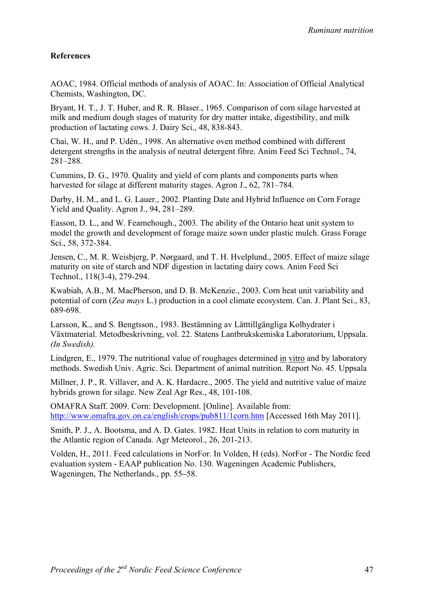## **References**

AOAC, 1984. Official methods of analysis of AOAC. In: Association of Official Analytical Chemists, Washington, DC.

Bryant, H. T., J. T. Huber, and R. R. Blaser., 1965. Comparison of corn silage harvested at milk and medium dough stages of maturity for dry matter intake, digestibility, and milk production of lactating cows. J. Dairy Sci., 48, 838-843.

Chai, W. H., and P. Udén., 1998. An alternative oven method combined with different detergent strengths in the analysis of neutral detergent fibre. Anim Feed Sci Technol., 74, 281–288.

Cummins, D. G., 1970. Quality and yield of corn plants and components parts when harvested for silage at different maturity stages. Agron J., 62, 781–784.

Darby, H. M., and L. G. Lauer., 2002. Planting Date and Hybrid Influence on Corn Forage Yield and Quality. Agron J., 94, 281–289.

Easson, D. L., and W. Fearnehough., 2003. The ability of the Ontario heat unit system to model the growth and development of forage maize sown under plastic mulch. Grass Forage Sci., 58, 372-384.

Jensen, C., M. R. Weisbjerg, P. Nørgaard, and T. H. Hvelplund., 2005. Effect of maize silage maturity on site of starch and NDF digestion in lactating dairy cows. Anim Feed Sci Technol., 118(3-4), 279-294.

Kwabiah, A.B., M. MacPherson, and D. B. McKenzie., 2003. Corn heat unit variability and potential of corn (*Zea mays* L.) production in a cool climate ecosystem. Can. J. Plant Sci., 83, 689-698.

Larsson, K., and S. Bengtsson., 1983. Bestämning av Lätttillgängliga Kolhydrater i Växtmaterial. Metodbeskrivning, vol. 22. Statens Lantbrukskemiska Laboratorium, Uppsala. *(In Swedish).* 

Lindgren, E., 1979. The nutritional value of roughages determined in vitro and by laboratory methods. Swedish Univ. Agric. Sci. Department of animal nutrition. Report No. 45. Uppsala

Millner, J. P., R. Villaver, and A. K. Hardacre., 2005. The yield and nutritive value of maize hybrids grown for silage. New Zeal Agr Res., 48, 101-108.

OMAFRA Staff. 2009. Corn: Development. [Online]. Available from: http://www.omafra.gov.on.ca/english/crops/pub811/1corn.htm [Accessed 16th May 2011].

Smith, P. J., A. Bootsma, and A. D. Gates. 1982. Heat Units in relation to corn maturity in the Atlantic region of Canada. Agr Meteorol., 26, 201-213.

Volden, H., 2011. Feed calculations in NorFor. In Volden, H (eds). NorFor - The Nordic feed evaluation system - EAAP publication No. 130. Wageningen Academic Publishers, Wageningen, The Netherlands., pp. 55**–**58.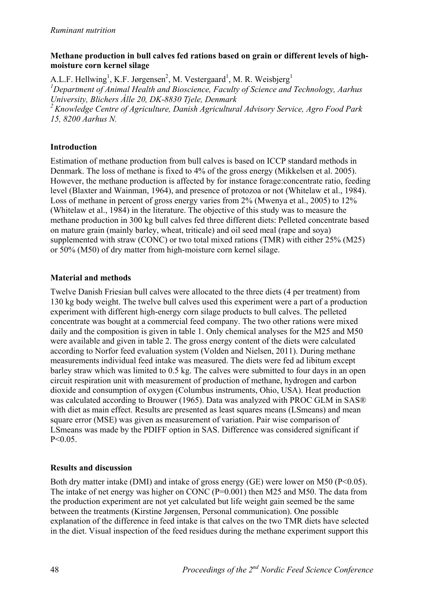#### *Ruminant nutrition*

### **Methane production in bull calves fed rations based on grain or different levels of highmoisture corn kernel silage**

A.L.F. Hellwing<sup>1</sup>, K.F. Jørgensen<sup>2</sup>, M. Vestergaard<sup>1</sup>, M. R. Weisbjerg<sup>1</sup><br><sup>1</sup>Dengatment of Animal Health and Piescignee, Easylin of Science and *Department of Animal Health and Bioscience, Faculty of Science and Technology, Aarhus University, Blichers Álle 20, DK-8830 Tjele, Denmark 2 Knowledge Centre of Agriculture, Danish Agricultural Advisory Service, Agro Food Park 15, 8200 Aarhus N.* 

### **Introduction**

Estimation of methane production from bull calves is based on ICCP standard methods in Denmark. The loss of methane is fixed to 4% of the gross energy (Mikkelsen et al. 2005). However, the methane production is affected by for instance forage:concentrate ratio, feeding level (Blaxter and Wainman, 1964), and presence of protozoa or not (Whitelaw et al., 1984). Loss of methane in percent of gross energy varies from 2% (Mwenya et al., 2005) to 12% (Whitelaw et al., 1984) in the literature. The objective of this study was to measure the methane production in 300 kg bull calves fed three different diets: Pelleted concentrate based on mature grain (mainly barley, wheat, triticale) and oil seed meal (rape and soya) supplemented with straw (CONC) or two total mixed rations (TMR) with either 25% (M25) or 50% (M50) of dry matter from high-moisture corn kernel silage.

## **Material and methods**

Twelve Danish Friesian bull calves were allocated to the three diets (4 per treatment) from 130 kg body weight. The twelve bull calves used this experiment were a part of a production experiment with different high-energy corn silage products to bull calves. The pelleted concentrate was bought at a commercial feed company. The two other rations were mixed daily and the composition is given in table 1. Only chemical analyses for the M25 and M50 were available and given in table 2. The gross energy content of the diets were calculated according to Norfor feed evaluation system (Volden and Nielsen, 2011). During methane measurements individual feed intake was measured. The diets were fed ad libitum except barley straw which was limited to 0.5 kg. The calves were submitted to four days in an open circuit respiration unit with measurement of production of methane, hydrogen and carbon dioxide and consumption of oxygen (Columbus instruments, Ohio, USA). Heat production was calculated according to Brouwer (1965). Data was analyzed with PROC GLM in SAS® with diet as main effect. Results are presented as least squares means (LSmeans) and mean square error (MSE) was given as measurement of variation. Pair wise comparison of LSmeans was made by the PDIFF option in SAS. Difference was considered significant if  $P < 0.05$ .

# **Results and discussion**

Both dry matter intake (DMI) and intake of gross energy (GE) were lower on M50 (P<0.05). The intake of net energy was higher on CONC (P=0.001) then M25 and M50. The data from the production experiment are not yet calculated but life weight gain seemed be the same between the treatments (Kirstine Jørgensen, Personal communication). One possible explanation of the difference in feed intake is that calves on the two TMR diets have selected in the diet. Visual inspection of the feed residues during the methane experiment support this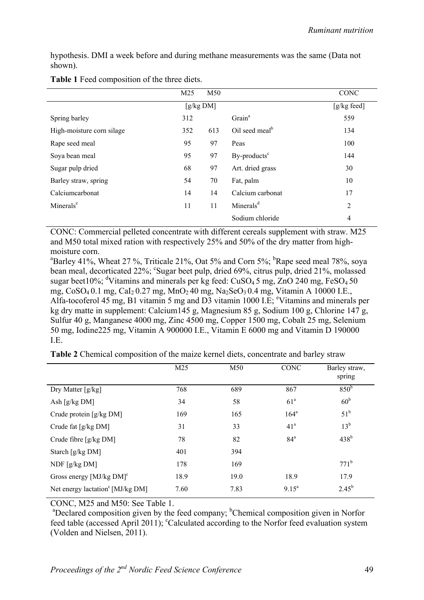hypothesis. DMI a week before and during methane measurements was the same (Data not shown).

|                           | M <sub>25</sub> | M50       |                            | CONC           |
|---------------------------|-----------------|-----------|----------------------------|----------------|
|                           |                 | [g/kg DM] |                            | [g/kg feed]    |
| Spring barley             | 312             |           | Grain <sup>a</sup>         | 559            |
| High-moisture corn silage | 352             | 613       | Oil seed meal <sup>b</sup> | 134            |
| Rape seed meal            | 95              | 97        | Peas                       | 100            |
| Soya bean meal            | 95              | 97        | By-products <sup>c</sup>   | 144            |
| Sugar pulp dried          | 68              | 97        | Art. dried grass           | 30             |
| Barley straw, spring      | 54              | 70        | Fat, palm                  | 10             |
| Calciumcarbonat           | 14              | 14        | Calcium carbonat           | 17             |
| Minerals <sup>e</sup>     | 11              | 11        | Minerals <sup>d</sup>      | $\overline{2}$ |
|                           |                 |           | Sodium chloride            | 4              |

| Table 1 Feed composition of the three diets. |  |
|----------------------------------------------|--|
|----------------------------------------------|--|

CONC: Commercial pelleted concentrate with different cereals supplement with straw. M25 and M50 total mixed ration with respectively 25% and 50% of the dry matter from highmoisture corn.

<sup>a</sup>Barley 41%, Wheat 27 %, Triticale 21%, Oat 5% and Corn 5%; <sup>b</sup>Rape seed meal 78%, soya bean meal, decorticated 22%; <sup>c</sup>Sugar beet pulp, dried 69%, citrus pulp, dried 21%, molassed sugar beet 10%; <sup>d</sup>Vitamins and minerals per kg feed:  $CuSO<sub>4</sub>5$  mg,  $ZnO$  240 mg,  $FeSO<sub>4</sub>50$ mg, CoSO<sub>4</sub> 0.1 mg, CaI<sub>2</sub> 0.27 mg, MnO<sub>2</sub> 40 mg, Na<sub>2</sub>SeO<sub>3</sub> 0.4 mg, Vitamin A 10000 I.E., Alfa-tocoferol 45 mg, B1 vitamin 5 mg and D3 vitamin 1000 I.E; <sup>e</sup>Vitamins and minerals per kg dry matte in supplement: Calcium145 g, Magnesium 85 g, Sodium 100 g, Chlorine 147 g, Sulfur 40 g, Manganese 4000 mg, Zinc 4500 mg, Copper 1500 mg, Cobalt 25 mg, Selenium 50 mg, Iodine225 mg, Vitamin A 900000 I.E., Vitamin E 6000 mg and Vitamin D 190000 I.E.

|  |  |  | Table 2 Chemical composition of the maize kernel diets, concentrate and barley straw |  |
|--|--|--|--------------------------------------------------------------------------------------|--|
|--|--|--|--------------------------------------------------------------------------------------|--|

|                                              | M <sub>25</sub> | M50  | <b>CONC</b>       | Barley straw,<br>spring |
|----------------------------------------------|-----------------|------|-------------------|-------------------------|
| Dry Matter [g/kg]                            | 768             | 689  | 867               | 850 <sup>b</sup>        |
| Ash $[g/kg DM]$                              | 34              | 58   | 61 <sup>a</sup>   | 60 <sup>b</sup>         |
| Crude protein [g/kg DM]                      | 169             | 165  | 164 <sup>a</sup>  | $51^{\rm b}$            |
| Crude fat [g/kg DM]                          | 31              | 33   | 41 <sup>a</sup>   | $13^b$                  |
| Crude fibre $[g/kg DM]$                      | 78              | 82   | 84 <sup>a</sup>   | $438^b$                 |
| Starch [g/kg DM]                             | 401             | 394  |                   |                         |
| NDF $[g/kg DM]$                              | 178             | 169  |                   | $771^b$                 |
| Gross energy [MJ/kg DM] <sup>c</sup>         | 18.9            | 19.0 | 18.9              | 17.9                    |
| Net energy lactation <sup>c</sup> [MJ/kg DM] | 7.60            | 7.83 | $9.15^{\text{a}}$ | $2.45^{b}$              |

CONC, M25 and M50: See Table 1.

<sup>a</sup>Declared composition given by the feed company; <sup>b</sup>Chemical composition given in Norfor feed table (accessed April 2011); <sup>c</sup>Calculated according to the Norfor feed evaluation system (Volden and Nielsen, 2011).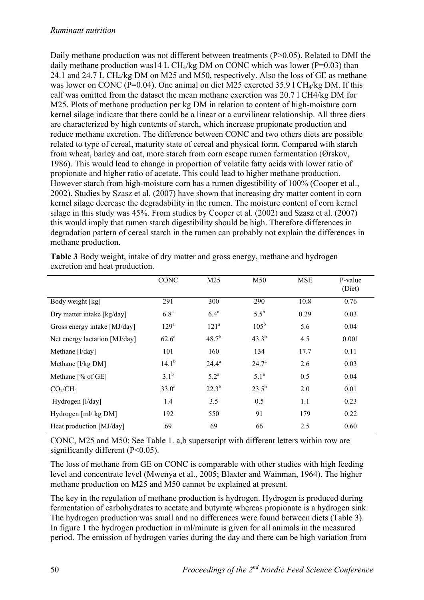Daily methane production was not different between treatments (P>0.05). Related to DMI the daily methane production was14 L CH<sub>4</sub>/kg DM on CONC which was lower (P=0.03) than 24.1 and 24.7 L CH4/kg DM on M25 and M50, respectively. Also the loss of GE as methane was lower on CONC (P=0.04). One animal on diet M25 excreted 35.9 l CH<sub>4</sub>/kg DM. If this calf was omitted from the dataset the mean methane excretion was 20.7 l CH4/kg DM for M25. Plots of methane production per kg DM in relation to content of high-moisture corn kernel silage indicate that there could be a linear or a curvilinear relationship. All three diets are characterized by high contents of starch, which increase propionate production and reduce methane excretion. The difference between CONC and two others diets are possible related to type of cereal, maturity state of cereal and physical form. Compared with starch from wheat, barley and oat, more starch from corn escape rumen fermentation (Ørskov, 1986). This would lead to change in proportion of volatile fatty acids with lower ratio of propionate and higher ratio of acetate. This could lead to higher methane production. However starch from high-moisture corn has a rumen digestibility of 100% (Cooper et al., 2002). Studies by Szasz et al. (2007) have shown that increasing dry matter content in corn kernel silage decrease the degradability in the rumen. The moisture content of corn kernel silage in this study was 45%. From studies by Cooper et al. (2002) and Szasz et al. (2007) this would imply that rumen starch digestibility should be high. Therefore differences in degradation pattern of cereal starch in the rumen can probably not explain the differences in methane production.

|                               | <b>CONC</b>       | M <sub>25</sub>    | M50              | <b>MSE</b> | P-value<br>(Diet) |
|-------------------------------|-------------------|--------------------|------------------|------------|-------------------|
| Body weight [kg]              | 291               | 300                | 290              | 10.8       | 0.76              |
| Dry matter intake [kg/day]    | 6.8 <sup>a</sup>  | 6.4 <sup>a</sup>   | $5.5^{\rm b}$    | 0.29       | 0.03              |
| Gross energy intake [MJ/day]  | 129 <sup>a</sup>  | 121 <sup>a</sup>   | $105^{\rm b}$    | 5.6        | 0.04              |
| Net energy lactation [MJ/day] | $62.6^a$          | $48.7^{b}$         | $43.3^{b}$       | 4.5        | 0.001             |
| Methane [l/day]               | 101               | 160                | 134              | 17.7       | 0.11              |
| Methane [l/kg DM]             | $14.1^{b}$        | $24.4^a$           | $24.7^{\circ}$   | 2.6        | 0.03              |
| Methane [% of GE]             | $3.1^{b}$         | $5.2^{\mathrm{a}}$ | 5.1 <sup>a</sup> | 0.5        | 0.04              |
| $CO_2/CH_4$                   | 33.0 <sup>a</sup> | $22.3^{b}$         | $23.5^{b}$       | 2.0        | 0.01              |
| Hydrogen [l/day]              | 1.4               | 3.5                | 0.5              | 1.1        | 0.23              |
| Hydrogen [ml/ kg DM]          | 192               | 550                | 91               | 179        | 0.22              |
| Heat production [MJ/day]      | 69                | 69                 | 66               | 2.5        | 0.60              |

**Table 3** Body weight, intake of dry matter and gross energy, methane and hydrogen excretion and heat production.

CONC, M25 and M50: See Table 1. a,b superscript with different letters within row are significantly different (P<0.05).

The loss of methane from GE on CONC is comparable with other studies with high feeding level and concentrate level (Mwenya et al., 2005; Blaxter and Wainman, 1964). The higher methane production on M25 and M50 cannot be explained at present.

The key in the regulation of methane production is hydrogen. Hydrogen is produced during fermentation of carbohydrates to acetate and butyrate whereas propionate is a hydrogen sink. The hydrogen production was small and no differences were found between diets (Table 3). In figure 1 the hydrogen production in ml/minute is given for all animals in the measured period. The emission of hydrogen varies during the day and there can be high variation from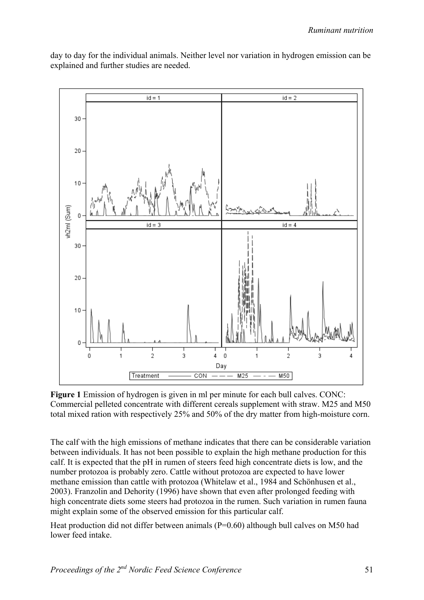

day to day for the individual animals. Neither level nor variation in hydrogen emission can be explained and further studies are needed.

**Figure 1** Emission of hydrogen is given in ml per minute for each bull calves. CONC: Commercial pelleted concentrate with different cereals supplement with straw. M25 and M50 total mixed ration with respectively 25% and 50% of the dry matter from high-moisture corn.

The calf with the high emissions of methane indicates that there can be considerable variation between individuals. It has not been possible to explain the high methane production for this calf. It is expected that the pH in rumen of steers feed high concentrate diets is low, and the number protozoa is probably zero. Cattle without protozoa are expected to have lower methane emission than cattle with protozoa (Whitelaw et al., 1984 and Schönhusen et al., 2003). Franzolin and Dehority (1996) have shown that even after prolonged feeding with high concentrate diets some steers had protozoa in the rumen. Such variation in rumen fauna might explain some of the observed emission for this particular calf.

Heat production did not differ between animals (P=0.60) although bull calves on M50 had lower feed intake.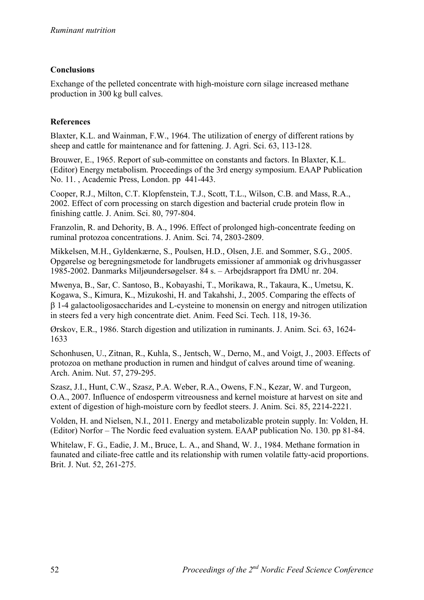# **Conclusions**

Exchange of the pelleted concentrate with high-moisture corn silage increased methane production in 300 kg bull calves.

# **References**

Blaxter, K.L. and Wainman, F.W., 1964. The utilization of energy of different rations by sheep and cattle for maintenance and for fattening. J. Agri. Sci. 63, 113-128.

Brouwer, E., 1965. Report of sub-committee on constants and factors. In Blaxter, K.L. (Editor) Energy metabolism. Proceedings of the 3rd energy symposium. EAAP Publication No. 11. , Academic Press, London. pp 441-443.

Cooper, R.J., Milton, C.T. Klopfenstein, T.J., Scott, T.L., Wilson, C.B. and Mass, R.A., 2002. Effect of corn processing on starch digestion and bacterial crude protein flow in finishing cattle. J. Anim. Sci. 80, 797-804.

Franzolin, R. and Dehority, B. A., 1996. Effect of prolonged high-concentrate feeding on ruminal protozoa concentrations. J. Anim. Sci. 74, 2803-2809.

Mikkelsen, M.H., Gyldenkærne, S., Poulsen, H.D., Olsen, J.E. and Sommer, S.G., 2005. Opgørelse og beregningsmetode for landbrugets emissioner af ammoniak og drivhusgasser 1985-2002. Danmarks Miljøundersøgelser. 84 s. – Arbejdsrapport fra DMU nr. 204.

Mwenya, B., Sar, C. Santoso, B., Kobayashi, T., Morikawa, R., Takaura, K., Umetsu, K. Kogawa, S., Kimura, K., Mizukoshi, H. and Takahshi, J., 2005. Comparing the effects of 1-4 galactooligosaccharides and L-cysteine to monensin on energy and nitrogen utilization in steers fed a very high concentrate diet. Anim. Feed Sci. Tech. 118, 19-36.

Ørskov, E.R., 1986. Starch digestion and utilization in ruminants. J. Anim. Sci. 63, 1624- 1633

Schonhusen, U., Zitnan, R., Kuhla, S., Jentsch, W., Derno, M., and Voigt, J., 2003. Effects of protozoa on methane production in rumen and hindgut of calves around time of weaning. Arch. Anim. Nut. 57, 279-295.

Szasz, J.I., Hunt, C.W., Szasz, P.A. Weber, R.A., Owens, F.N., Kezar, W. and Turgeon, O.A., 2007. Influence of endosperm vitreousness and kernel moisture at harvest on site and extent of digestion of high-moisture corn by feedlot steers. J. Anim. Sci. 85, 2214-2221.

Volden, H. and Nielsen, N.I., 2011. Energy and metabolizable protein supply. In: Volden, H. (Editor) Norfor – The Nordic feed evaluation system. EAAP publication No. 130. pp 81-84.

Whitelaw, F. G., Eadie, J. M., Bruce, L. A., and Shand, W. J., 1984. Methane formation in faunated and ciliate-free cattle and its relationship with rumen volatile fatty-acid proportions. Brit. J. Nut. 52, 261-275.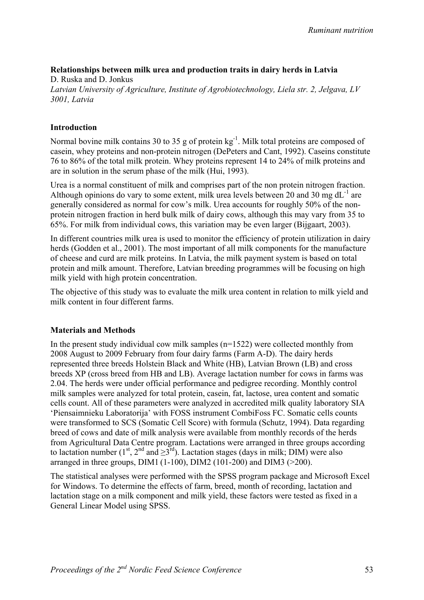## **Relationships between milk urea and production traits in dairy herds in Latvia**

D. Ruska and D. Jonkus *Latvian University of Agriculture, Institute of Agrobiotechnology, Liela str. 2, Jelgava, LV 3001, Latvia*

### **Introduction**

Normal bovine milk contains 30 to 35 g of protein  $kg^{-1}$ . Milk total proteins are composed of casein, whey proteins and non-protein nitrogen (DePeters and Cant, 1992). Caseins constitute 76 to 86% of the total milk protein. Whey proteins represent 14 to 24% of milk proteins and are in solution in the serum phase of the milk (Hui, 1993).

Urea is a normal constituent of milk and comprises part of the non protein nitrogen fraction. Although opinions do vary to some extent, milk urea levels between 20 and 30 mg  $dL^{-1}$  are generally considered as normal for cow's milk. Urea accounts for roughly 50% of the nonprotein nitrogen fraction in herd bulk milk of dairy cows, although this may vary from 35 to 65%. For milk from individual cows, this variation may be even larger (Bijgaart, 2003).

In different countries milk urea is used to monitor the efficiency of protein utilization in dairy herds (Godden et al., 2001). The most important of all milk components for the manufacture of cheese and curd are milk proteins. In Latvia, the milk payment system is based on total protein and milk amount. Therefore, Latvian breeding programmes will be focusing on high milk yield with high protein concentration.

The objective of this study was to evaluate the milk urea content in relation to milk yield and milk content in four different farms.

#### **Materials and Methods**

In the present study individual cow milk samples  $(n=1522)$  were collected monthly from 2008 August to 2009 February from four dairy farms (Farm A-D). The dairy herds represented three breeds Holstein Black and White (HB), Latvian Brown (LB) and cross breeds XP (cross breed from HB and LB). Average lactation number for cows in farms was 2.04. The herds were under official performance and pedigree recording. Monthly control milk samples were analyzed for total protein, casein, fat, lactose, urea content and somatic cells count. All of these parameters were analyzed in accredited milk quality laboratory SIA 'Piensaimnieku Laboratorija' with FOSS instrument CombiFoss FC. Somatic cells counts were transformed to SCS (Somatic Cell Score) with formula (Schutz, 1994). Data regarding breed of cows and date of milk analysis were available from monthly records of the herds from Agricultural Data Centre program. Lactations were arranged in three groups according to lactation number (1<sup>st</sup>, 2<sup>nd</sup> and  $\geq 3^{rd}$ ). Lactation stages (days in milk; DIM) were also arranged in three groups, DIM1 (1-100), DIM2 (101-200) and DIM3 ( $>200$ ).

The statistical analyses were performed with the SPSS program package and Microsoft Excel for Windows. To determine the effects of farm, breed, month of recording, lactation and lactation stage on a milk component and milk yield, these factors were tested as fixed in a General Linear Model using SPSS.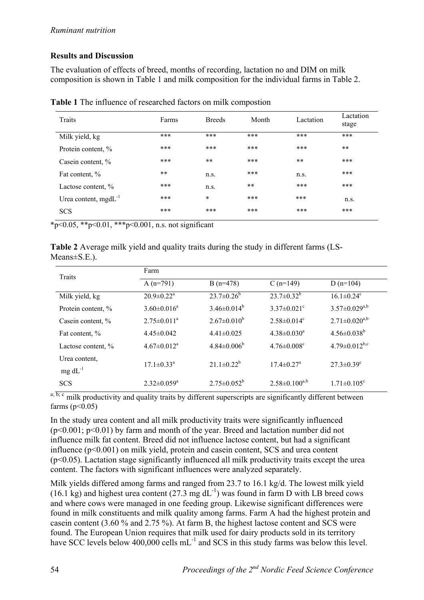# **Results and Discussion**

The evaluation of effects of breed, months of recording, lactation no and DIM on milk composition is shown in Table 1 and milk composition for the individual farms in Table 2.

| Traits                    | Farms | <b>Breeds</b> | Month | Lactation | Lactation<br>stage |
|---------------------------|-------|---------------|-------|-----------|--------------------|
| Milk yield, kg            | ***   | ***           | ***   | ***       | ***                |
| Protein content, %        | ***   | ***           | ***   | ***       | $***$              |
| Casein content, %         | ***   | $***$         | ***   | $**$      | ***                |
| Fat content, %            | $***$ | n.s.          | ***   | n.s.      | ***                |
| Lactose content, %        | ***   | n.s.          | $***$ | ***       | ***                |
| Urea content, $mgdL^{-1}$ | ***   | $\ast$        | ***   | ***       | n.s.               |
| <b>SCS</b>                | ***   | ***           | ***   | ***       | ***                |

**Table 1** The influence of researched factors on milk compostion

 $*_{p<0.05, *p<0.01, **p<0.001, n.s.}$  not significant

**Table 2** Average milk yield and quality traits during the study in different farms (LS-Means±S.E.).

| <b>Traits</b>                    | Farm                         |                    |                               |                              |  |  |  |  |  |
|----------------------------------|------------------------------|--------------------|-------------------------------|------------------------------|--|--|--|--|--|
|                                  | A $(n=791)$                  | $B(n=478)$         | $C(n=149)$                    | D $(n=104)$                  |  |  |  |  |  |
| Milk yield, kg                   | $20.9 \pm 0.22$ <sup>a</sup> | $23.7 \pm 0.26^b$  | $23.7 \pm 0.32^b$             | $16.1 \pm 0.24$ <sup>c</sup> |  |  |  |  |  |
| Protein content, %               | $3.60 \pm 0.016^a$           | $3.46\pm0.014^b$   | $3.37 \pm 0.021$ <sup>c</sup> | $3.57 \pm 0.029^{a,b}$       |  |  |  |  |  |
| Casein content, %                | $2.75 \pm 0.011^a$           | $2.67 \pm 0.010^b$ | $2.58 \pm 0.014$ <sup>c</sup> | $2.71 \pm 0.020^{a,b}$       |  |  |  |  |  |
| Fat content, %                   | $4.45\pm0.042$               | $4.41\pm0.025$     | $4.38 \pm 0.030^a$            | $4.56 \pm 0.038^b$           |  |  |  |  |  |
| Lactose content, %               | $4.67 \pm 0.012^a$           | $4.84 \pm 0.006^b$ | $4.76 \pm 0.008$ <sup>c</sup> | $4.79 \pm 0.012^{b,c}$       |  |  |  |  |  |
| Urea content,<br>$mg \, dL^{-1}$ | $17.1 \pm 0.33$ <sup>a</sup> | $21.1 \pm 0.22^b$  | $17.4 \pm 0.27$ <sup>a</sup>  | $27.3 \pm 0.39^c$            |  |  |  |  |  |
| <b>SCS</b>                       | $2.32 \pm 0.059^a$           | $2.75 \pm 0.052^b$ | $2.58 \pm 0.100^{a,b}$        | $1.71 \pm 0.105^c$           |  |  |  |  |  |

 $a, b, c$  milk productivity and quality traits by different superscripts are significantly different between farms ( $p < 0.05$ )

In the study urea content and all milk productivity traits were significantly influenced  $(p<0.001; p<0.01)$  by farm and month of the year. Breed and lactation number did not influence milk fat content. Breed did not influence lactose content, but had a significant influence (p<0.001) on milk yield, protein and casein content, SCS and urea content  $(p<0.05)$ . Lactation stage significantly influenced all milk productivity traits except the urea content. The factors with significant influences were analyzed separately.

Milk yields differed among farms and ranged from 23.7 to 16.1 kg/d. The lowest milk yield (16.1 kg) and highest urea content (27.3 mg  $dL^{-1}$ ) was found in farm D with LB breed cows and where cows were managed in one feeding group. Likewise significant differences were found in milk constituents and milk quality among farms. Farm A had the highest protein and casein content (3.60 % and 2.75 %). At farm B, the highest lactose content and SCS were found. The European Union requires that milk used for dairy products sold in its territory have SCC levels below 400,000 cells mL<sup>-1</sup> and SCS in this study farms was below this level.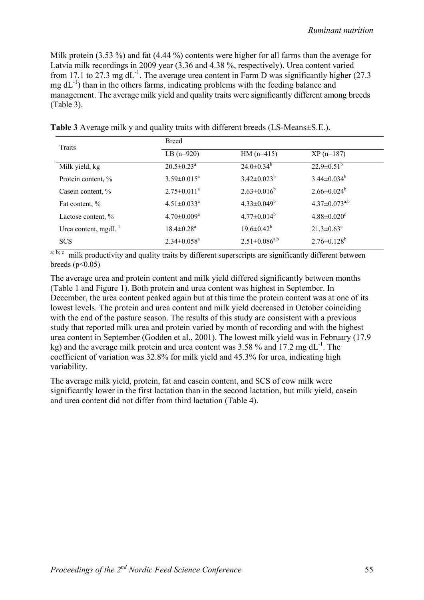Milk protein (3.53 %) and fat (4.44 %) contents were higher for all farms than the average for Latvia milk recordings in 2009 year (3.36 and 4.38 %, respectively). Urea content varied from 17.1 to 27.3 mg  $dL^{-1}$ . The average urea content in Farm D was significantly higher (27.3)  $mg \, dL^{-1}$ ) than in the others farms, indicating problems with the feeding balance and management. The average milk yield and quality traits were significantly different among breeds (Table 3).

| <b>Traits</b>             | <b>Breed</b>                  |                        |                               |  |  |
|---------------------------|-------------------------------|------------------------|-------------------------------|--|--|
|                           | $LB(n=920)$                   | $HM (n=415)$           | $XP(n=187)$                   |  |  |
| Milk yield, kg            | $20.5 \pm 0.23^a$             | $24.0 \pm 0.34^b$      | $22.9 \pm 0.51^b$             |  |  |
| Protein content, %        | $3.59 \pm 0.015^a$            | $3.42 \pm 0.023^b$     | $3.44 \pm 0.034^b$            |  |  |
| Casein content, %         | $2.75 \pm 0.011^a$            | $2.63 \pm 0.016^b$     | $2.66 \pm 0.024^b$            |  |  |
| Fat content, %            | $4.51 \pm 0.033$ <sup>a</sup> | $4.33 \pm 0.049^b$     | $4.37 \pm 0.073^{a,b}$        |  |  |
| Lactose content, %        | $4.70 \pm 0.009^a$            | $4.77 \pm 0.014^b$     | $4.88 \pm 0.020$ <sup>c</sup> |  |  |
| Urea content, $mgdL^{-1}$ | $18.4 \pm 0.28$ <sup>a</sup>  | $19.6 \pm 0.42^b$      | $21.3 \pm 0.63$ <sup>c</sup>  |  |  |
| <b>SCS</b>                | $2.34 \pm 0.058$ <sup>a</sup> | $2.51 \pm 0.086^{a,b}$ | $2.76 \pm 0.128^b$            |  |  |

**Table 3** Average milk y and quality traits with different breeds (LS-Means±S.E.).

 $a; b; c$  milk productivity and quality traits by different superscripts are significantly different between breeds  $(n<0.05)$ 

The average urea and protein content and milk yield differed significantly between months (Table 1 and Figure 1). Both protein and urea content was highest in September. In December, the urea content peaked again but at this time the protein content was at one of its lowest levels. The protein and urea content and milk yield decreased in October coinciding with the end of the pasture season. The results of this study are consistent with a previous study that reported milk urea and protein varied by month of recording and with the highest urea content in September (Godden et al., 2001). The lowest milk yield was in February (17.9 kg) and the average milk protein and urea content was  $3.58\%$  and  $17.2 \text{ mg d}L^{-1}$ . The coefficient of variation was 32.8% for milk yield and 45.3% for urea, indicating high variability.

The average milk yield, protein, fat and casein content, and SCS of cow milk were significantly lower in the first lactation than in the second lactation, but milk yield, casein and urea content did not differ from third lactation (Table 4).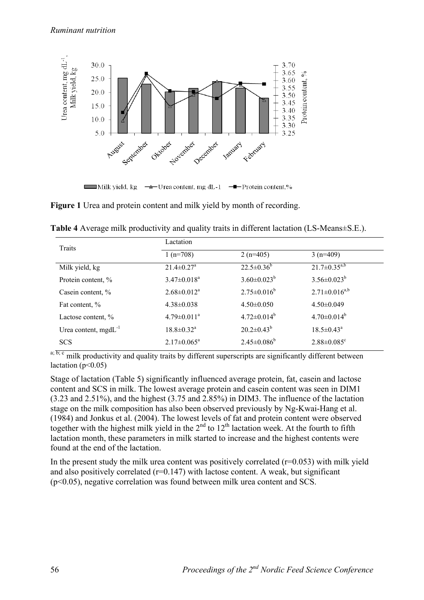

**Figure 1** Urea and protein content and milk yield by month of recording.

| Traits                    | Lactation                     |                    |                               |  |  |
|---------------------------|-------------------------------|--------------------|-------------------------------|--|--|
|                           | $1(n=708)$                    | 2 ( $n=405$ )      | $3(n=409)$                    |  |  |
| Milk yield, kg            | $21.4 \pm 0.27$ <sup>a</sup>  | $22.5 \pm 0.36^b$  | $21.7 \pm 0.35^{a,b}$         |  |  |
| Protein content, %        | $3.47 \pm 0.018$ <sup>a</sup> | $3.60 \pm 0.023^b$ | $3.56 \pm 0.023^b$            |  |  |
| Casein content, %         | $2.68 \pm 0.012^a$            | $2.75 \pm 0.016^b$ | $2.71 \pm 0.016^{a,b}$        |  |  |
| Fat content, %            | $4.38 \pm 0.038$              | $4.50\pm0.050$     | $4.50\pm0.049$                |  |  |
| Lactose content, %        | $4.79 \pm 0.011^a$            | $4.72 \pm 0.014^b$ | $4.70 \pm 0.014^b$            |  |  |
| Urea content, $mgdL^{-1}$ | $18.8 \pm 0.32$ <sup>a</sup>  | $20.2 \pm 0.43^b$  | $18.5 \pm 0.43^{\circ}$       |  |  |
| <b>SCS</b>                | $2.17 \pm 0.065^a$            | $2.45 \pm 0.086^b$ | $2.88 \pm 0.085$ <sup>c</sup> |  |  |

**Table 4** Average milk productivity and quality traits in different lactation (LS-Means±S.E.).

 $a; b; c$  milk productivity and quality traits by different superscripts are significantly different between lactation ( $p<0.05$ )

Stage of lactation (Table 5) significantly influenced average protein, fat, casein and lactose content and SCS in milk. The lowest average protein and casein content was seen in DIM1 (3.23 and 2.51%), and the highest (3.75 and 2.85%) in DIM3. The influence of the lactation stage on the milk composition has also been observed previously by Ng-Kwai-Hang et al. (1984) and Jonkus et al. (2004). The lowest levels of fat and protein content were observed together with the highest milk yield in the  $2<sup>nd</sup>$  to  $12<sup>th</sup>$  lactation week. At the fourth to fifth lactation month, these parameters in milk started to increase and the highest contents were found at the end of the lactation.

In the present study the milk urea content was positively correlated  $(r=0.053)$  with milk yield and also positively correlated  $(r=0.147)$  with lactose content. A weak, but significant (p<0.05), negative correlation was found between milk urea content and SCS.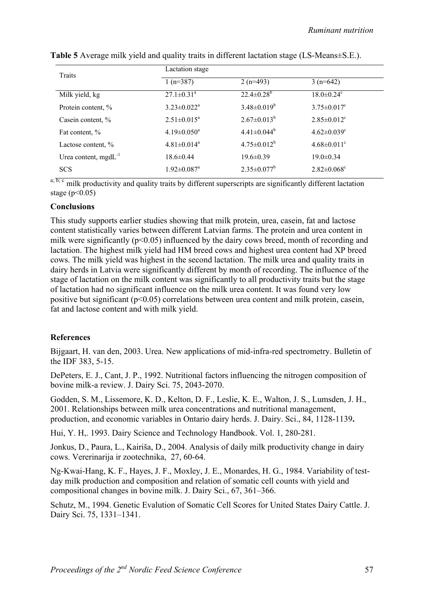| <b>Traits</b>             | Lactation stage               |                    |                               |  |  |
|---------------------------|-------------------------------|--------------------|-------------------------------|--|--|
|                           | $1(n=387)$                    | $2(n=493)$         | $3(n=642)$                    |  |  |
| Milk yield, kg            | $27.1 \pm 0.31$ <sup>a</sup>  | $22.4 \pm 0.28^b$  | $18.0 \pm 0.24$ <sup>c</sup>  |  |  |
| Protein content, %        | $3.23 \pm 0.022^a$            | $3.48 \pm 0.019^b$ | $3.75 \pm 0.017$ °            |  |  |
| Casein content, %         | $2.51 \pm 0.015^a$            | $2.67 \pm 0.013^b$ | $2.85 \pm 0.012$ <sup>c</sup> |  |  |
| Fat content, %            | $4.19 \pm 0.050^a$            | $4.41 \pm 0.044^b$ | $4.62 \pm 0.039$ <sup>c</sup> |  |  |
| Lactose content, %        | $4.81 \pm 0.014$ <sup>a</sup> | $4.75 \pm 0.012^b$ | $4.68 \pm 0.011$ <sup>c</sup> |  |  |
| Urea content, $mgdL^{-1}$ | $18.6 \pm 0.44$               | $19.6 \pm 0.39$    | $19.0 \pm 0.34$               |  |  |
| <b>SCS</b>                | $1.92 \pm 0.087$ <sup>a</sup> | $2.35 \pm 0.077^b$ | $2.82 \pm 0.068$ <sup>c</sup> |  |  |

| Table 5 Average milk yield and quality traits in different lactation stage (LS-Means±S.E.). |  |  |
|---------------------------------------------------------------------------------------------|--|--|
|                                                                                             |  |  |

 $a, b, c$  milk productivity and quality traits by different superscripts are significantly different lactation stage ( $p < 0.05$ )

#### **Conclusions**

This study supports earlier studies showing that milk protein, urea, casein, fat and lactose content statistically varies between different Latvian farms. The protein and urea content in milk were significantly  $(p<0.05)$  influenced by the dairy cows breed, month of recording and lactation. The highest milk yield had HM breed cows and highest urea content had XP breed cows. The milk yield was highest in the second lactation. The milk urea and quality traits in dairy herds in Latvia were significantly different by month of recording. The influence of the stage of lactation on the milk content was significantly to all productivity traits but the stage of lactation had no significant influence on the milk urea content. It was found very low positive but significant (p<0.05) correlations between urea content and milk protein, casein, fat and lactose content and with milk yield.

### **References**

Bijgaart, H. van den, 2003. Urea. New applications of mid-infra-red spectrometry. Bulletin of the IDF 383, 5-15.

DePeters, E. J., Cant, J. P., 1992. Nutritional factors influencing the nitrogen composition of bovine milk-a review. J. Dairy Sci. 75, 2043-2070.

Godden, S. M., Lissemore, K. D., Kelton, D. F., Leslie, K. E., Walton, J. S., Lumsden, J. H., 2001. Relationships between milk urea concentrations and nutritional management, production, and economic variables in Ontario dairy herds. J. Dairy. Sci., 84, 1128-1139**.** 

Hui, Y. H,. 1993. Dairy Science and Technology Handbook. Vol. 1, 280-281.

Jonkus, D., Paura, L., Kairiša, D., 2004. Analysis of daily milk productivity change in dairy cows. Vererinarija ir zootechnika, 27, 60-64.

Ng-Kwai-Hang, K. F., Hayes, J. F., Moxley, J. E., Monardes, H. G., 1984. Variability of testday milk production and composition and relation of somatic cell counts with yield and compositional changes in bovine milk. J. Dairy Sci., 67, 361–366.

Schutz, M., 1994. Genetic Evalution of Somatic Cell Scores for United States Dairy Cattle. J. Dairy Sci. 75, 1331–1341.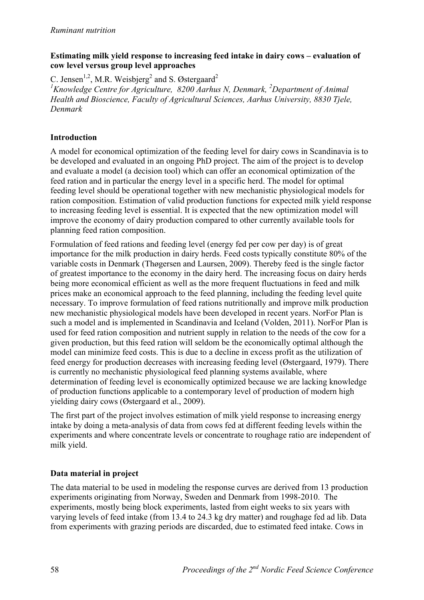## **Estimating milk yield response to increasing feed intake in dairy cows – evaluation of cow level versus group level approaches**

C. Jensen<sup>1,2</sup>, M.R. Weisbjerg<sup>2</sup> and S. Østergaard<sup>2</sup>

<sup>1</sup> Knowledge Centre for Agriculture, 8200 Aarhus N, Denmark, <sup>2</sup> Department of Animal *Health and Bioscience, Faculty of Agricultural Sciences, Aarhus University, 8830 Tjele, Denmark* 

## **Introduction**

A model for economical optimization of the feeding level for dairy cows in Scandinavia is to be developed and evaluated in an ongoing PhD project. The aim of the project is to develop and evaluate a model (a decision tool) which can offer an economical optimization of the feed ration and in particular the energy level in a specific herd. The model for optimal feeding level should be operational together with new mechanistic physiological models for ration composition. Estimation of valid production functions for expected milk yield response to increasing feeding level is essential. It is expected that the new optimization model will improve the economy of dairy production compared to other currently available tools for planning feed ration composition.

Formulation of feed rations and feeding level (energy fed per cow per day) is of great importance for the milk production in dairy herds. Feed costs typically constitute 80% of the variable costs in Denmark (Thøgersen and Laursen, 2009). Thereby feed is the single factor of greatest importance to the economy in the dairy herd. The increasing focus on dairy herds being more economical efficient as well as the more frequent fluctuations in feed and milk prices make an economical approach to the feed planning, including the feeding level quite necessary. To improve formulation of feed rations nutritionally and improve milk production new mechanistic physiological models have been developed in recent years. NorFor Plan is such a model and is implemented in Scandinavia and Iceland (Volden, 2011). NorFor Plan is used for feed ration composition and nutrient supply in relation to the needs of the cow for a given production, but this feed ration will seldom be the economically optimal although the model can minimize feed costs. This is due to a decline in excess profit as the utilization of feed energy for production decreases with increasing feeding level (Østergaard, 1979). There is currently no mechanistic physiological feed planning systems available, where determination of feeding level is economically optimized because we are lacking knowledge of production functions applicable to a contemporary level of production of modern high yielding dairy cows (Østergaard et al., 2009).

The first part of the project involves estimation of milk yield response to increasing energy intake by doing a meta-analysis of data from cows fed at different feeding levels within the experiments and where concentrate levels or concentrate to roughage ratio are independent of milk yield.

# **Data material in project**

The data material to be used in modeling the response curves are derived from 13 production experiments originating from Norway, Sweden and Denmark from 1998-2010. The experiments, mostly being block experiments, lasted from eight weeks to six years with varying levels of feed intake (from 13.4 to 24.3 kg dry matter) and roughage fed ad lib. Data from experiments with grazing periods are discarded, due to estimated feed intake. Cows in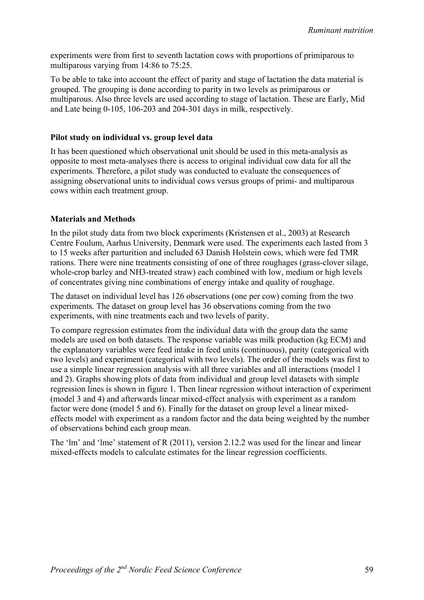experiments were from first to seventh lactation cows with proportions of primiparous to multiparous varying from 14:86 to 75:25.

To be able to take into account the effect of parity and stage of lactation the data material is grouped. The grouping is done according to parity in two levels as primiparous or multiparous. Also three levels are used according to stage of lactation. These are Early, Mid and Late being 0-105, 106-203 and 204-301 days in milk, respectively.

#### **Pilot study on individual vs. group level data**

It has been questioned which observational unit should be used in this meta-analysis as opposite to most meta-analyses there is access to original individual cow data for all the experiments. Therefore, a pilot study was conducted to evaluate the consequences of assigning observational units to individual cows versus groups of primi- and multiparous cows within each treatment group.

### **Materials and Methods**

In the pilot study data from two block experiments (Kristensen et al., 2003) at Research Centre Foulum, Aarhus University, Denmark were used. The experiments each lasted from 3 to 15 weeks after parturition and included 63 Danish Holstein cows, which were fed TMR rations. There were nine treatments consisting of one of three roughages (grass-clover silage, whole-crop barley and NH3-treated straw) each combined with low, medium or high levels of concentrates giving nine combinations of energy intake and quality of roughage.

The dataset on individual level has 126 observations (one per cow) coming from the two experiments. The dataset on group level has 36 observations coming from the two experiments, with nine treatments each and two levels of parity.

To compare regression estimates from the individual data with the group data the same models are used on both datasets. The response variable was milk production (kg ECM) and the explanatory variables were feed intake in feed units (continuous), parity (categorical with two levels) and experiment (categorical with two levels). The order of the models was first to use a simple linear regression analysis with all three variables and all interactions (model 1 and 2). Graphs showing plots of data from individual and group level datasets with simple regression lines is shown in figure 1. Then linear regression without interaction of experiment (model 3 and 4) and afterwards linear mixed-effect analysis with experiment as a random factor were done (model 5 and 6). Finally for the dataset on group level a linear mixedeffects model with experiment as a random factor and the data being weighted by the number of observations behind each group mean.

The 'lm' and 'lme' statement of R (2011), version 2.12.2 was used for the linear and linear mixed-effects models to calculate estimates for the linear regression coefficients.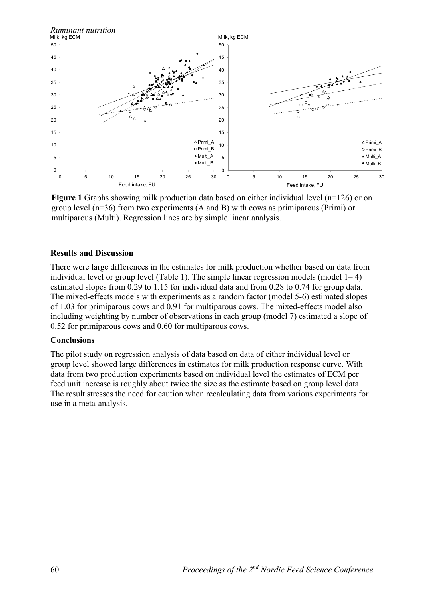

**Figure 1** Graphs showing milk production data based on either individual level (n=126) or on group level (n=36) from two experiments (A and B) with cows as primiparous (Primi) or multiparous (Multi). Regression lines are by simple linear analysis.

#### **Results and Discussion**

There were large differences in the estimates for milk production whether based on data from individual level or group level (Table 1). The simple linear regression models (model  $1-4$ ) estimated slopes from 0.29 to 1.15 for individual data and from 0.28 to 0.74 for group data. The mixed-effects models with experiments as a random factor (model 5-6) estimated slopes of 1.03 for primiparous cows and 0.91 for multiparous cows. The mixed-effects model also including weighting by number of observations in each group (model 7) estimated a slope of 0.52 for primiparous cows and 0.60 for multiparous cows.

#### **Conclusions**

The pilot study on regression analysis of data based on data of either individual level or group level showed large differences in estimates for milk production response curve. With data from two production experiments based on individual level the estimates of ECM per feed unit increase is roughly about twice the size as the estimate based on group level data. The result stresses the need for caution when recalculating data from various experiments for use in a meta-analysis.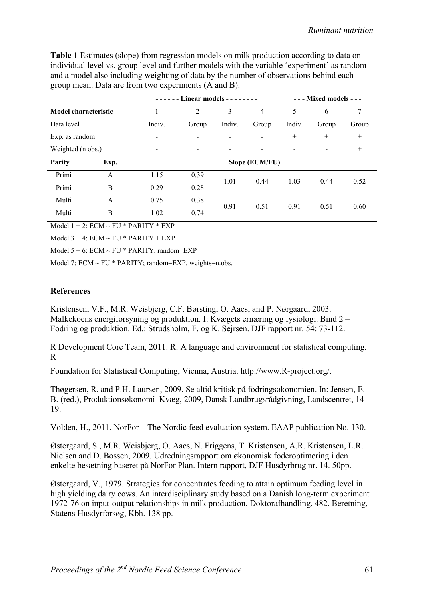**Table 1** Estimates (slope) from regression models on milk production according to data on individual level vs. group level and further models with the variable 'experiment' as random and a model also including weighting of data by the number of observations behind each group mean. Data are from two experiments (A and B).

|                      |      | $----$ Linear models - - - - - - - |                |                          | $---$ Mixed models $---$ |        |                          |        |
|----------------------|------|------------------------------------|----------------|--------------------------|--------------------------|--------|--------------------------|--------|
| Model characteristic |      |                                    | 2              | 3                        | 4                        | 5      | 6                        | 7      |
| Data level           |      | Indiv.                             | Group          | Indiv.                   | Group                    | Indiv. | Group                    | Group  |
| Exp. as random       |      | $\qquad \qquad \blacksquare$       | $\blacksquare$ | $\blacksquare$           | $\blacksquare$           | $^{+}$ | $^{+}$                   | $+$    |
| Weighted (n obs.)    |      |                                    | -              | $\overline{\phantom{a}}$ |                          |        | $\overline{\phantom{a}}$ | $^{+}$ |
| Parity               | Exp. | Slope (ECM/FU)                     |                |                          |                          |        |                          |        |
| Primi                | A    | 1.15                               | 0.39           | 1.01                     | 0.44                     | 1.03   | 0.44                     | 0.52   |
| Primi                | B    | 0.29                               | 0.28           |                          |                          |        |                          |        |
| Multi                | A    | 0.75                               | 0.38           | 0.91                     | 0.51                     | 0.91   | 0.51                     | 0.60   |
| Multi                | B    | 1.02                               | 0.74           |                          |                          |        |                          |        |

Model  $1 + 2$ :  $ECM \sim FU * PARTY * EXP$ 

Model  $3 + 4$ : ECM ~ FU \* PARITY + EXP

Model  $5 + 6$ : ECM ~ FU \* PARITY, random=EXP

Model 7:  $ECM \sim FU * PARITY$ ; random= $EXP$ , weights=n.obs.

#### **References**

Kristensen, V.F., M.R. Weisbjerg, C.F. Børsting, O. Aaes, and P. Nørgaard, 2003. Malkekoens energiforsyning og produktion. I: Kvægets ernæring og fysiologi. Bind 2 – Fodring og produktion. Ed.: Strudsholm, F. og K. Sejrsen. DJF rapport nr. 54: 73-112.

R Development Core Team, 2011. R: A language and environment for statistical computing. R

Foundation for Statistical Computing, Vienna, Austria. http://www.R-project.org/.

Thøgersen, R. and P.H. Laursen, 2009. Se altid kritisk på fodringsøkonomien. In: Jensen, E. B. (red.), Produktionsøkonomi Kvæg, 2009, Dansk Landbrugsrådgivning, Landscentret, 14- 19.

Volden, H., 2011. NorFor – The Nordic feed evaluation system. EAAP publication No. 130.

Østergaard, S., M.R. Weisbjerg, O. Aaes, N. Friggens, T. Kristensen, A.R. Kristensen, L.R. Nielsen and D. Bossen, 2009. Udredningsrapport om økonomisk foderoptimering i den enkelte besætning baseret på NorFor Plan. Intern rapport, DJF Husdyrbrug nr. 14. 50pp.

Østergaard, V., 1979. Strategies for concentrates feeding to attain optimum feeding level in high yielding dairy cows. An interdisciplinary study based on a Danish long-term experiment 1972-76 on input-output relationships in milk production. Doktorafhandling. 482. Beretning, Statens Husdyrforsøg, Kbh. 138 pp.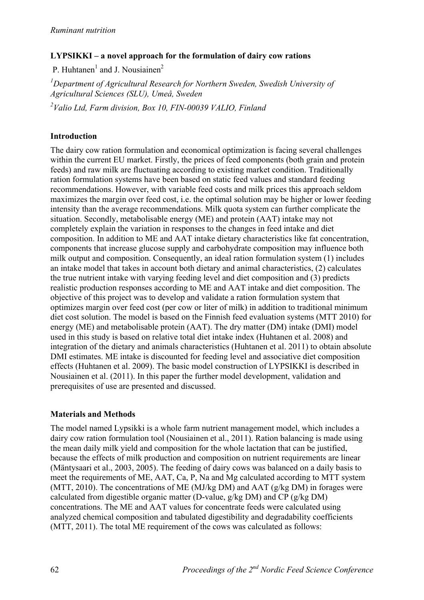## **LYPSIKKI – a novel approach for the formulation of dairy cow rations**

P. Huhtanen<sup>1</sup> and J. Nousiainen<sup>2</sup>

<sup>1</sup>Department of Agricultural Research for Northern Sweden, Swedish University of *Agricultural Sciences (SLU), Umeå, Sweden* 

*2 Valio Ltd, Farm division, Box 10, FIN-00039 VALIO, Finland* 

## **Introduction**

The dairy cow ration formulation and economical optimization is facing several challenges within the current EU market. Firstly, the prices of feed components (both grain and protein feeds) and raw milk are fluctuating according to existing market condition. Traditionally ration formulation systems have been based on static feed values and standard feeding recommendations. However, with variable feed costs and milk prices this approach seldom maximizes the margin over feed cost, i.e. the optimal solution may be higher or lower feeding intensity than the average recommendations. Milk quota system can further complicate the situation. Secondly, metabolisable energy (ME) and protein (AAT) intake may not completely explain the variation in responses to the changes in feed intake and diet composition. In addition to ME and AAT intake dietary characteristics like fat concentration, components that increase glucose supply and carbohydrate composition may influence both milk output and composition. Consequently, an ideal ration formulation system (1) includes an intake model that takes in account both dietary and animal characteristics, (2) calculates the true nutrient intake with varying feeding level and diet composition and (3) predicts realistic production responses according to ME and AAT intake and diet composition. The objective of this project was to develop and validate a ration formulation system that optimizes margin over feed cost (per cow or liter of milk) in addition to traditional minimum diet cost solution. The model is based on the Finnish feed evaluation systems (MTT 2010) for energy (ME) and metabolisable protein (AAT). The dry matter (DM) intake (DMI) model used in this study is based on relative total diet intake index (Huhtanen et al. 2008) and integration of the dietary and animals characteristics (Huhtanen et al. 2011) to obtain absolute DMI estimates. ME intake is discounted for feeding level and associative diet composition effects (Huhtanen et al. 2009). The basic model construction of LYPSIKKI is described in Nousiainen et al. (2011). In this paper the further model development, validation and prerequisites of use are presented and discussed.

### **Materials and Methods**

The model named Lypsikki is a whole farm nutrient management model, which includes a dairy cow ration formulation tool (Nousiainen et al., 2011). Ration balancing is made using the mean daily milk yield and composition for the whole lactation that can be justified, because the effects of milk production and composition on nutrient requirements are linear (Mäntysaari et al., 2003, 2005). The feeding of dairy cows was balanced on a daily basis to meet the requirements of ME, AAT, Ca, P, Na and Mg calculated according to MTT system (MTT, 2010). The concentrations of ME (MJ/kg DM) and AAT (g/kg DM) in forages were calculated from digestible organic matter (D-value, g/kg DM) and CP (g/kg DM) concentrations. The ME and AAT values for concentrate feeds were calculated using analyzed chemical composition and tabulated digestibility and degradability coefficients (MTT, 2011). The total ME requirement of the cows was calculated as follows: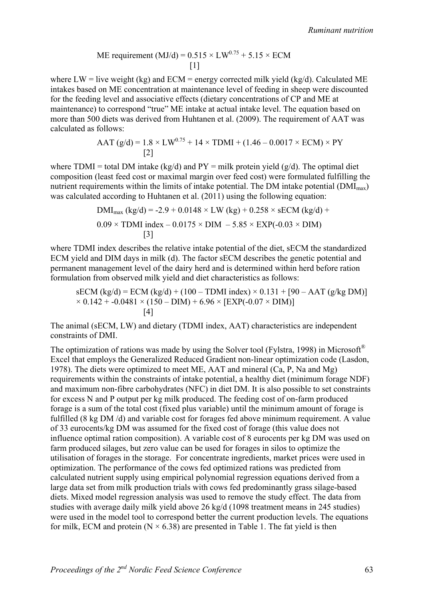ME requirement (MJ/d) = 
$$
0.515 \times LW^{0.75} + 5.15 \times ECM
$$
  
[1]

where  $LW =$  live weight (kg) and  $ECM =$  energy corrected milk yield (kg/d). Calculated ME intakes based on ME concentration at maintenance level of feeding in sheep were discounted for the feeding level and associative effects (dietary concentrations of CP and ME at maintenance) to correspond "true" ME intake at actual intake level. The equation based on more than 500 diets was derived from Huhtanen et al. (2009). The requirement of AAT was calculated as follows:

$$
AAT (g/d) = 1.8 \times LW^{0.75} + 14 \times TDMI + (1.46 - 0.0017 \times ECM) \times PY
$$
  
[2]

where TDMI = total DM intake (kg/d) and  $PY = milk$  protein yield (g/d). The optimal diet composition (least feed cost or maximal margin over feed cost) were formulated fulfilling the nutrient requirements within the limits of intake potential. The DM intake potential  $(DMI_{max})$ was calculated according to Huhtanen et al. (2011) using the following equation:

$$
DMI_{\text{max}} (kg/d) = -2.9 + 0.0148 \times LW (kg) + 0.258 \times sECM (kg/d) + 0.09 \times TDMI index - 0.0175 \times DIM - 5.85 \times EXP(-0.03 \times DIM)
$$
  
[3]

where TDMI index describes the relative intake potential of the diet, sECM the standardized ECM yield and DIM days in milk (d). The factor sECM describes the genetic potential and permanent management level of the dairy herd and is determined within herd before ration formulation from observed milk yield and diet characteristics as follows:

$$
sECM (kg/d) = ECM (kg/d) + (100 - TDMI index) \times 0.131 + [90 - AAT (g/kg DM)]
$$
  
× 0.142 + -0.0481 × (150 – DIM) + 6.96 × [EXP(-0.07 × DIM)]  
[4]

The animal (sECM, LW) and dietary (TDMI index, AAT) characteristics are independent constraints of DMI.

The optimization of rations was made by using the Solver tool (Fylstra, 1998) in Microsoft<sup>®</sup> Excel that employs the Generalized Reduced Gradient non-linear optimization code (Lasdon, 1978). The diets were optimized to meet ME, AAT and mineral (Ca, P, Na and Mg) requirements within the constraints of intake potential, a healthy diet (minimum forage NDF) and maximum non-fibre carbohydrates (NFC) in diet DM. It is also possible to set constraints for excess N and P output per kg milk produced. The feeding cost of on-farm produced forage is a sum of the total cost (fixed plus variable) until the minimum amount of forage is fulfilled (8 kg DM/d) and variable cost for forages fed above minimum requirement. A value of 33 eurocents/kg DM was assumed for the fixed cost of forage (this value does not influence optimal ration composition). A variable cost of 8 eurocents per kg DM was used on farm produced silages, but zero value can be used for forages in silos to optimize the utilisation of forages in the storage. For concentrate ingredients, market prices were used in optimization. The performance of the cows fed optimized rations was predicted from calculated nutrient supply using empirical polynomial regression equations derived from a large data set from milk production trials with cows fed predominantly grass silage-based diets. Mixed model regression analysis was used to remove the study effect. The data from studies with average daily milk yield above 26 kg/d (1098 treatment means in 245 studies) were used in the model tool to correspond better the current production levels. The equations for milk, ECM and protein ( $N \times 6.38$ ) are presented in Table 1. The fat yield is then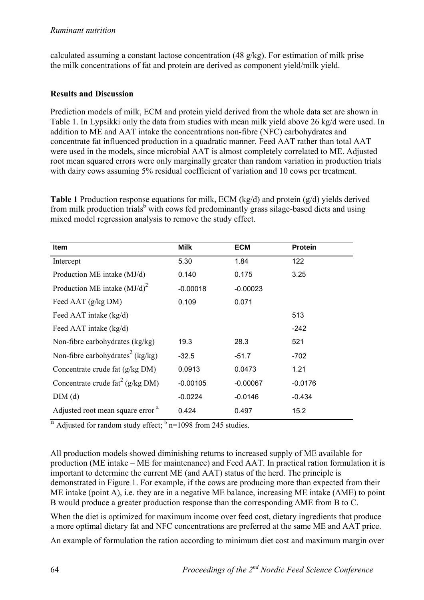calculated assuming a constant lactose concentration (48 g/kg). For estimation of milk prise the milk concentrations of fat and protein are derived as component yield/milk yield.

## **Results and Discussion**

Prediction models of milk, ECM and protein yield derived from the whole data set are shown in Table 1. In Lypsikki only the data from studies with mean milk yield above 26 kg/d were used. In addition to ME and AAT intake the concentrations non-fibre (NFC) carbohydrates and concentrate fat influenced production in a quadratic manner. Feed AAT rather than total AAT were used in the models, since microbial AAT is almost completely correlated to ME. Adjusted root mean squared errors were only marginally greater than random variation in production trials with dairy cows assuming 5% residual coefficient of variation and 10 cows per treatment.

**Table 1** Production response equations for milk, ECM (kg/d) and protein (g/d) yields derived from milk production trials<sup>b</sup> with cows fed predominantly grass silage-based diets and using mixed model regression analysis to remove the study effect.

| <b>Item</b>                                  | <b>Milk</b> | <b>ECM</b> | <b>Protein</b> |
|----------------------------------------------|-------------|------------|----------------|
| Intercept                                    | 5.30        | 1.84       | 122            |
| Production ME intake (MJ/d)                  | 0.140       | 0.175      | 3.25           |
| Production ME intake $(MJ/d)^2$              | $-0.00018$  | $-0.00023$ |                |
| Feed AAT (g/kg DM)                           | 0.109       | 0.071      |                |
| Feed AAT intake (kg/d)                       |             |            | 513            |
| Feed AAT intake (kg/d)                       |             |            | $-242$         |
| Non-fibre carbohydrates (kg/kg)              | 19.3        | 28.3       | 521            |
| Non-fibre carbohydrates <sup>2</sup> (kg/kg) | $-32.5$     | $-51.7$    | $-702$         |
| Concentrate crude fat (g/kg DM)              | 0.0913      | 0.0473     | 1.21           |
| Concentrate crude $\text{fat}^2$ (g/kg DM)   | $-0.00105$  | $-0.00067$ | $-0.0176$      |
| DIM (d)                                      | $-0.0224$   | $-0.0146$  | $-0.434$       |
| Adjusted root mean square error <sup>a</sup> | 0.424       | 0.497      | 15.2           |

<sup>a</sup> Adjusted for random study effect;  $\frac{b}{n}$  n=1098 from 245 studies.

All production models showed diminishing returns to increased supply of ME available for production (ME intake – ME for maintenance) and Feed AAT. In practical ration formulation it is important to determine the current ME (and AAT) status of the herd. The principle is demonstrated in Figure 1. For example, if the cows are producing more than expected from their ME intake (point A), i.e. they are in a negative ME balance, increasing ME intake (ΔME) to point B would produce a greater production response than the corresponding ΔME from B to C.

When the diet is optimized for maximum income over feed cost, dietary ingredients that produce a more optimal dietary fat and NFC concentrations are preferred at the same ME and AAT price.

An example of formulation the ration according to minimum diet cost and maximum margin over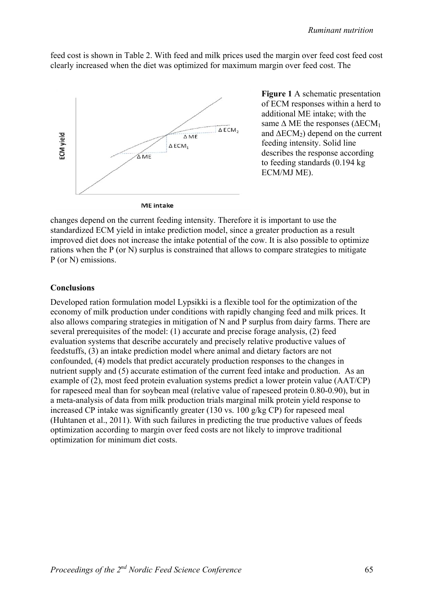feed cost is shown in Table 2. With feed and milk prices used the margin over feed cost feed cost clearly increased when the diet was optimized for maximum margin over feed cost. The



**Figure 1** A schematic presentation of ECM responses within a herd to additional ME intake; with the same  $\triangle$  ME the responses ( $\triangle$ ECM<sub>1</sub> and  $\triangle ECM_2$ ) depend on the current feeding intensity. Solid line describes the response according to feeding standards (0.194 kg ECM/MJ ME).

changes depend on the current feeding intensity. Therefore it is important to use the standardized ECM yield in intake prediction model, since a greater production as a result improved diet does not increase the intake potential of the cow. It is also possible to optimize rations when the P (or N) surplus is constrained that allows to compare strategies to mitigate P (or N) emissions.

#### **Conclusions**

Developed ration formulation model Lypsikki is a flexible tool for the optimization of the economy of milk production under conditions with rapidly changing feed and milk prices. It also allows comparing strategies in mitigation of N and P surplus from dairy farms. There are several prerequisites of the model: (1) accurate and precise forage analysis, (2) feed evaluation systems that describe accurately and precisely relative productive values of feedstuffs, (3) an intake prediction model where animal and dietary factors are not confounded, (4) models that predict accurately production responses to the changes in nutrient supply and (5) accurate estimation of the current feed intake and production. As an example of (2), most feed protein evaluation systems predict a lower protein value (AAT/CP) for rapeseed meal than for soybean meal (relative value of rapeseed protein 0.80-0.90), but in a meta-analysis of data from milk production trials marginal milk protein yield response to increased CP intake was significantly greater (130 vs. 100 g/kg CP) for rapeseed meal (Huhtanen et al., 2011). With such failures in predicting the true productive values of feeds optimization according to margin over feed costs are not likely to improve traditional optimization for minimum diet costs.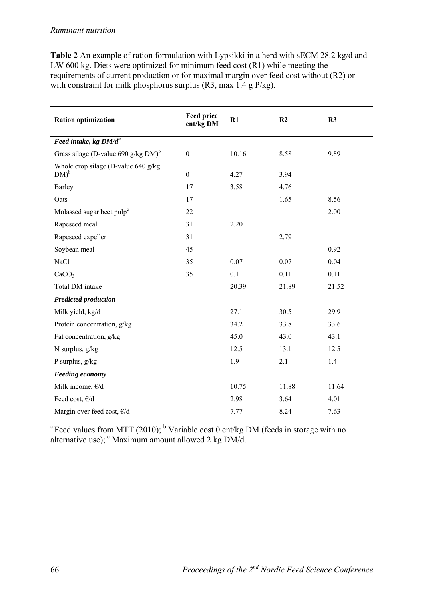| <b>Table 2</b> An example of ration formulation with Lypsikki in a herd with sECM 28.2 kg/d and |
|-------------------------------------------------------------------------------------------------|
| LW 600 kg. Diets were optimized for minimum feed cost $(R1)$ while meeting the                  |
| requirements of current production or for maximal margin over feed cost without (R2) or         |
| with constraint for milk phosphorus surplus $(R3, \text{max } 1.4 \text{ g } P/\text{kg})$ .    |

| <b>Ration optimization</b>                         | <b>Feed price</b><br>cnt/kg DM | R1    | R <sub>2</sub> | R3    |
|----------------------------------------------------|--------------------------------|-------|----------------|-------|
| Feed intake, kg DM/d <sup>a</sup>                  |                                |       |                |       |
| Grass silage (D-value 690 g/kg $DM$ ) <sup>b</sup> | $\boldsymbol{0}$               | 10.16 | 8.58           | 9.89  |
| Whole crop silage (D-value 640 g/kg)<br>$DM)^b$    | $\boldsymbol{0}$               | 4.27  | 3.94           |       |
| Barley                                             | 17                             | 3.58  | 4.76           |       |
| Oats                                               | 17                             |       | 1.65           | 8.56  |
| Molassed sugar beet pulp <sup>c</sup>              | 22                             |       |                | 2.00  |
| Rapeseed meal                                      | 31                             | 2.20  |                |       |
| Rapeseed expeller                                  | 31                             |       | 2.79           |       |
| Soybean meal                                       | 45                             |       |                | 0.92  |
| <b>NaCl</b>                                        | 35                             | 0.07  | 0.07           | 0.04  |
| CaCO <sub>3</sub>                                  | 35                             | 0.11  | 0.11           | 0.11  |
| Total DM intake                                    |                                | 20.39 | 21.89          | 21.52 |
| <b>Predicted production</b>                        |                                |       |                |       |
| Milk yield, kg/d                                   |                                | 27.1  | 30.5           | 29.9  |
| Protein concentration, g/kg                        |                                | 34.2  | 33.8           | 33.6  |
| Fat concentration, g/kg                            |                                | 45.0  | 43.0           | 43.1  |
| N surplus, g/kg                                    |                                | 12.5  | 13.1           | 12.5  |
| P surplus, $g/kg$                                  |                                | 1.9   | 2.1            | 1.4   |
| <b>Feeding economy</b>                             |                                |       |                |       |
| Milk income, $\varepsilon/d$                       |                                | 10.75 | 11.88          | 11.64 |
| Feed cost, $\varepsilon/d$                         |                                | 2.98  | 3.64           | 4.01  |
| Margin over feed cost, €/d                         |                                | 7.77  | 8.24           | 7.63  |

<sup>a</sup> Feed values from MTT (2010); <sup>b</sup> Variable cost 0 cnt/kg DM (feeds in storage with no alternative use);  $\textdegree$  Maximum amount allowed 2 kg DM/d.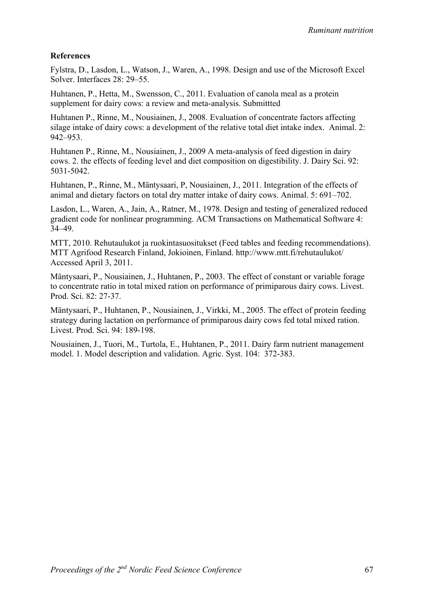# **References**

Fylstra, D., Lasdon, L., Watson, J., Waren, A., 1998. Design and use of the Microsoft Excel Solver. Interfaces 28: 29–55.

Huhtanen, P., Hetta, M., Swensson, C., 2011. Evaluation of canola meal as a protein supplement for dairy cows: a review and meta-analysis. Submittted

Huhtanen P., Rinne, M., Nousiainen, J., 2008. Evaluation of concentrate factors affecting silage intake of dairy cows: a development of the relative total diet intake index. Animal. 2: 942–953.

Huhtanen P., Rinne, M., Nousiainen, J., 2009 A meta-analysis of feed digestion in dairy cows. 2. the effects of feeding level and diet composition on digestibility. J. Dairy Sci. 92: 5031-5042.

Huhtanen, P., Rinne, M., Mäntysaari, P, Nousiainen, J., 2011. Integration of the effects of animal and dietary factors on total dry matter intake of dairy cows. Animal. 5: 691–702.

Lasdon, L., Waren, A., Jain, A., Ratner, M., 1978. Design and testing of generalized reduced gradient code for nonlinear programming. ACM Transactions on Mathematical Software 4: 34–49.

MTT, 2010. Rehutaulukot ja ruokintasuositukset (Feed tables and feeding recommendations). MTT Agrifood Research Finland, Jokioinen, Finland. http://www.mtt.fi/rehutaulukot/ Accessed April 3, 2011.

Mäntysaari, P., Nousiainen, J., Huhtanen, P., 2003. The effect of constant or variable forage to concentrate ratio in total mixed ration on performance of primiparous dairy cows. Livest. Prod. Sci. 82: 27-37.

Mäntysaari, P., Huhtanen, P., Nousiainen, J., Virkki, M., 2005. The effect of protein feeding strategy during lactation on performance of primiparous dairy cows fed total mixed ration. Livest. Prod. Sci. 94: 189-198.

Nousiainen, J., Tuori, M., Turtola, E., Huhtanen, P., 2011. Dairy farm nutrient management model. 1. Model description and validation. Agric. Syst. 104: 372-383.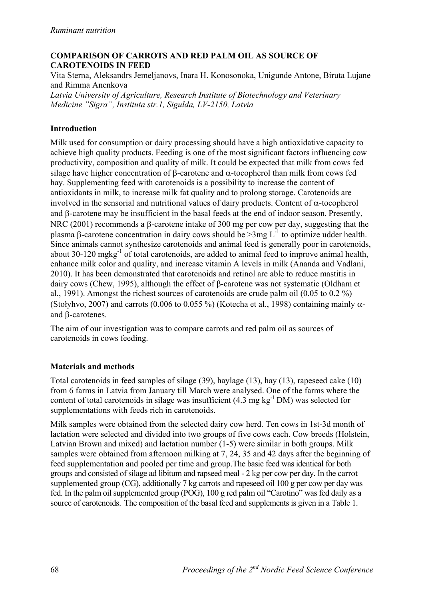## **COMPARISON OF CARROTS AND RED PALM OIL AS SOURCE OF CAROTENOIDS IN FEED**

Vita Sterna, Aleksandrs Jemeljanovs, Inara H. Konosonoka, Unigunde Antone, Biruta Lujane and Rimma Anenkova

*Latvia University of Agriculture, Research Institute of Biotechnology and Veterinary Medicine "Sigra", Instituta str.1, Sigulda, LV-2150, Latvia*

## **Introduction**

Milk used for consumption or dairy processing should have a high antioxidative capacity to achieve high quality products. Feeding is one of the most significant factors influencing cow productivity, composition and quality of milk. It could be expected that milk from cows fed silage have higher concentration of  $\beta$ -carotene and  $\alpha$ -tocopherol than milk from cows fed hay. Supplementing feed with carotenoids is a possibility to increase the content of antioxidants in milk, to increase milk fat quality and to prolong storage. Carotenoids are involved in the sensorial and nutritional values of dairy products. Content of  $\alpha$ -tocopherol and  $\beta$ -carotene may be insufficient in the basal feeds at the end of indoor season. Presently, NRC (2001) recommends a  $\beta$ -carotene intake of 300 mg per cow per day, suggesting that the plasma  $\beta$ -carotene concentration in dairy cows should be  $>3$ mg L<sup>-1</sup> to optimize udder health. Since animals cannot synthesize carotenoids and animal feed is generally poor in carotenoids, about 30-120 mgkg<sup>-1</sup> of total carotenoids, are added to animal feed to improve animal health. enhance milk color and quality, and increase vitamin A levels in milk (Ananda and Vadlani, 2010). It has been demonstrated that carotenoids and retinol are able to reduce mastitis in dairy cows (Chew, 1995), although the effect of β-carotene was not systematic (Oldham et al., 1991). Amongst the richest sources of carotenoids are crude palm oil (0.05 to 0.2 %) (Stołyhvo, 2007) and carrots (0.006 to 0.055 %) (Kotecha et al., 1998) containing mainly  $\alpha$ and B-carotenes.

The aim of our investigation was to compare carrots and red palm oil as sources of carotenoids in cows feeding.

### **Materials and methods**

Total carotenoids in feed samples of silage (39), haylage (13), hay (13), rapeseed cake (10) from 6 farms in Latvia from January till March were analysed. One of the farms where the content of total carotenoids in silage was insufficient  $(4.3 \text{ mg kg}^{-1} \text{DM})$  was selected for supplementations with feeds rich in carotenoids.

Milk samples were obtained from the selected dairy cow herd. Ten cows in 1st-3d month of lactation were selected and divided into two groups of five cows each. Cow breeds (Holstein, Latvian Brown and mixed) and lactation number (1-5) were similar in both groups. Milk samples were obtained from afternoon milking at 7, 24, 35 and 42 days after the beginning of feed supplementation and pooled per time and group.The basic feed was identical for both groups and consisted of silage ad libitum and rapseed meal - 2 kg per cow per day. In the carrot supplemented group (CG), additionally 7 kg carrots and rapeseed oil 100 g per cow per day was fed. In the palm oil supplemented group (POG), 100 g red palm oil "Carotino" was fed daily as a source of carotenoids. The composition of the basal feed and supplements is given in a Table 1.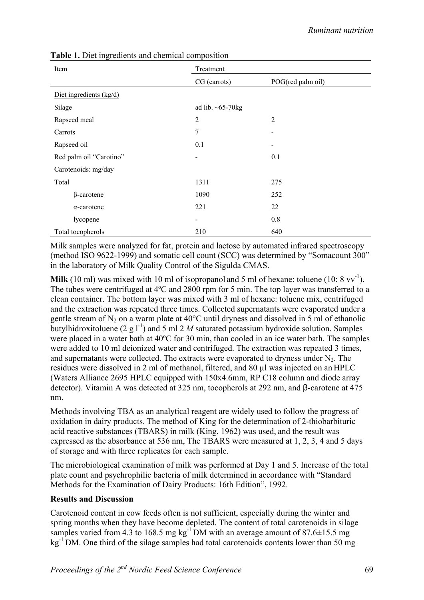| Item                    | Treatment               |                   |  |
|-------------------------|-------------------------|-------------------|--|
|                         | CG (carrots)            | POG(red palm oil) |  |
| Diet ingredients (kg/d) |                         |                   |  |
| Silage                  | ad lib. $\sim 65-70$ kg |                   |  |
| Rapseed meal            | $\overline{c}$          | $\overline{2}$    |  |
| Carrots                 | 7                       |                   |  |
| Rapseed oil             | 0.1                     |                   |  |
| Red palm oil "Carotino" | -                       | 0.1               |  |
| Carotenoids: mg/day     |                         |                   |  |
| Total                   | 1311                    | 275               |  |
| $\beta$ -carotene       | 1090                    | 252               |  |
| $\alpha$ -carotene      | 221                     | 22                |  |
| lycopene                | -                       | 0.8               |  |
| Total tocopherols       | 210                     | 640               |  |

**Table 1.** Diet ingredients and chemical composition

Milk samples were analyzed for fat, protein and lactose by automated infrared spectroscopy (method ISO 9622-1999) and somatic cell count (SCC) was determined by "Somacount 300" in the laboratory of Milk Quality Control of the Sigulda CMAS.

**Milk** (10 ml) was mixed with 10 ml of isopropanol and 5 ml of hexane: toluene (10:  $8 \text{ vv}^{-1}$ ). The tubes were centrifuged at 4ºC and 2800 rpm for 5 min. The top layer was transferred to a clean container. The bottom layer was mixed with 3 ml of hexane: toluene mix, centrifuged and the extraction was repeated three times. Collected supernatants were evaporated under a gentle stream of  $N_2$  on a warm plate at 40 $^{\circ}$ C until dryness and dissolved in 5 ml of ethanolic butylhidroxitoluene (2 g  $I^{-1}$ ) and 5 ml 2 *M* saturated potassium hydroxide solution. Samples were placed in a water bath at 40ºC for 30 min, than cooled in an ice water bath. The samples were added to 10 ml deionized water and centrifuged. The extraction was repeated 3 times, and supernatants were collected. The extracts were evaporated to dryness under  $N_2$ . The residues were dissolved in 2 ml of methanol, filtered, and 80 µl was injected on an HPLC (Waters Alliance 2695 HPLC equipped with 150x4.6mm, RP C18 column and diode array detector). Vitamin A was detected at 325 nm, tocopherols at 292 nm, and β-carotene at 475 nm.

Methods involving TBA as an analytical reagent are widely used to follow the progress of oxidation in dairy products. The method of King for the determination of 2-thiobarbituric acid reactive substances (TBARS) in milk (King, 1962) was used, and the result was expressed as the absorbance at 536 nm, The TBARS were measured at 1, 2, 3, 4 and 5 days of storage and with three replicates for each sample.

The microbiological examination of milk was performed at Day 1 and 5. Increase of the total plate count and psychrophilic bacteria of milk determined in accordance with "Standard Methods for the Examination of Dairy Products: 16th Edition", 1992.

### **Results and Discussion**

Carotenoid content in cow feeds often is not sufficient, especially during the winter and spring months when they have become depleted. The content of total carotenoids in silage samples varied from 4.3 to 168.5 mg kg<sup>-1</sup>DM with an average amount of 87.6 $\pm$ 15.5 mg kg<sup>-1</sup> DM. One third of the silage samples had total carotenoids contents lower than 50 mg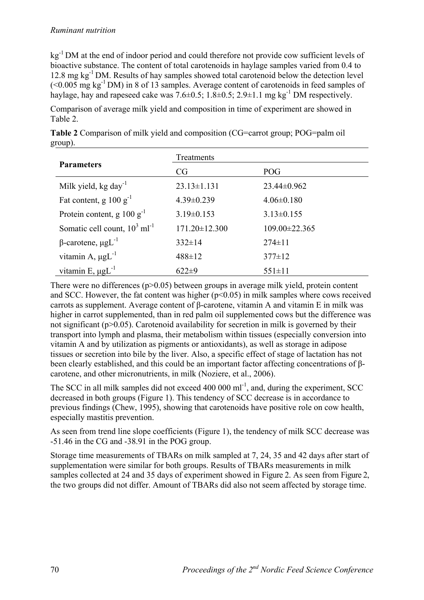### *Ruminant nutrition*

kg<sup>-1</sup> DM at the end of indoor period and could therefore not provide cow sufficient levels of bioactive substance. The content of total carotenoids in haylage samples varied from 0.4 to 12.8 mg kg<sup>-1</sup> DM. Results of hay samples showed total carotenoid below the detection level  $(< 0.005$  mg kg<sup>-1</sup> DM) in 8 of 13 samples. Average content of carotenoids in feed samples of haylage, hay and rapeseed cake was  $7.6\pm0.5$ ;  $1.8\pm0.5$ ;  $2.9\pm1.1$  mg kg<sup>-1</sup> DM respectively.

Comparison of average milk yield and composition in time of experiment are showed in Table 2.

|                                             | Treatments          |                     |  |  |  |  |
|---------------------------------------------|---------------------|---------------------|--|--|--|--|
| <b>Parameters</b>                           | CG                  | <b>POG</b>          |  |  |  |  |
| Milk yield, kg day <sup>-1</sup>            | $23.13 \pm 1.131$   | $23.44\pm0.962$     |  |  |  |  |
| Fat content, g $100 g^{-1}$                 | $4.39 \pm 0.239$    | $4.06 \pm 0.180$    |  |  |  |  |
| Protein content, g $100 g^{-1}$             | $3.19\pm0.153$      | $3.13 \pm 0.155$    |  |  |  |  |
| Somatic cell count, $10^3$ ml <sup>-1</sup> | $171.20 \pm 12.300$ | $109.00 \pm 22.365$ |  |  |  |  |
| $\beta$ -carotene, $\mu g L^{-1}$           | $332 \pm 14$        | $274 \pm 11$        |  |  |  |  |
| vitamin A, $\mu g L^{-1}$                   | $488 \pm 12$        | $377 \pm 12$        |  |  |  |  |
| vitamin E, $\mu g L^{-1}$                   | $622\pm9$           | $551 \pm 11$        |  |  |  |  |

**Table 2** Comparison of milk yield and composition (CG=carrot group; POG=palm oil group).

There were no differences  $(p>0.05)$  between groups in average milk yield, protein content and SCC. However, the fat content was higher  $(p<0.05)$  in milk samples where cows received carrots as supplement. Average content of β-carotene, vitamin A and vitamin E in milk was higher in carrot supplemented, than in red palm oil supplemented cows but the difference was not significant (p>0.05). Carotenoid availability for secretion in milk is governed by their transport into lymph and plasma, their metabolism within tissues (especially conversion into vitamin A and by utilization as pigments or antioxidants), as well as storage in adipose tissues or secretion into bile by the liver. Also, a specific effect of stage of lactation has not been clearly established, and this could be an important factor affecting concentrations of βcarotene, and other micronutrients, in milk (Noziere, et al., 2006).

The SCC in all milk samples did not exceed  $400\,000\,\mathrm{ml}^{-1}$ , and, during the experiment, SCC decreased in both groups (Figure 1). This tendency of SCC decrease is in accordance to previous findings (Chew, 1995), showing that carotenoids have positive role on cow health, especially mastitis prevention.

As seen from trend line slope coefficients (Figure 1), the tendency of milk SCC decrease was -51.46 in the CG and -38.91 in the POG group.

Storage time measurements of TBARs on milk sampled at 7, 24, 35 and 42 days after start of supplementation were similar for both groups. Results of TBARs measurements in milk samples collected at 24 and 35 days of experiment showed in Figure 2. As seen from Figure 2, the two groups did not differ. Amount of TBARs did also not seem affected by storage time.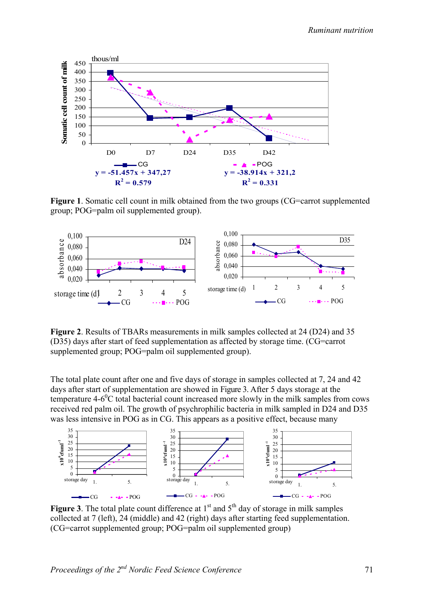

**Figure 1.** Somatic cell count in milk obtained from the two groups (CG=carrot supplemented group; POG=palm oil supplemented group).



**Figure 2**. Results of TBARs measurements in milk samples collected at 24 (D24) and 35 (D35) days after start of feed supplementation as affected by storage time. (CG=carrot supplemented group; POG=palm oil supplemented group).

The total plate count after one and five days of storage in samples collected at 7, 24 and 42 days after start of supplementation are showed in Figure 3. After 5 days storage at the temperature  $4-6^{\circ}$ C total bacterial count increased more slowly in the milk samples from cows received red palm oil. The growth of psychrophilic bacteria in milk sampled in D24 and D35 was less intensive in POG as in CG. This appears as a positive effect, because many



**Figure 3**. The total plate count difference at  $1<sup>st</sup>$  and  $5<sup>th</sup>$  day of storage in milk samples collected at 7 (left), 24 (middle) and 42 (right) days after starting feed supplementation. (CG=carrot supplemented group; POG=palm oil supplemented group)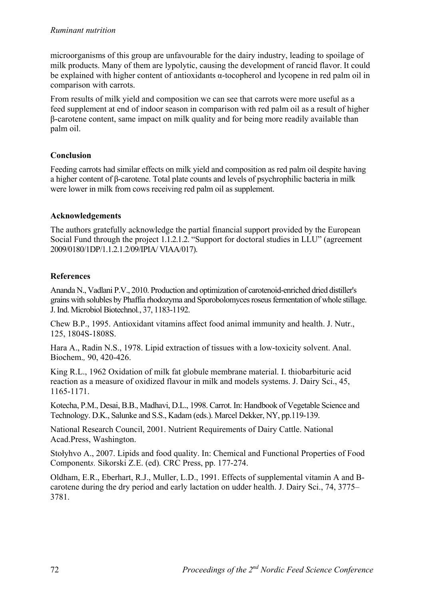#### *Ruminant nutrition*

microorganisms of this group are unfavourable for the dairy industry, leading to spoilage of milk products. Many of them are lypolytic, causing the development of rancid flavor. It could be explained with higher content of antioxidants α-tocopherol and lycopene in red palm oil in comparison with carrots.

From results of milk yield and composition we can see that carrots were more useful as a feed supplement at end of indoor season in comparison with red palm oil as a result of higher β-carotene content, same impact on milk quality and for being more readily available than palm oil.

# **Conclusion**

Feeding carrots had similar effects on milk yield and composition as red palm oil despite having a higher content of β-carotene. Total plate counts and levels of psychrophilic bacteria in milk were lower in milk from cows receiving red palm oil as supplement.

### **Acknowledgements**

The authors gratefully acknowledge the partial financial support provided by the European Social Fund through the project 1.1.2.1.2. "Support for doctoral studies in LLU" (agreement 2009/0180/1DP/1.1.2.1.2/09/IPIA/ VIAA/017).

# **References**

Ananda N., Vadlani P.V., 2010. Production and optimization of carotenoid-enriched dried distiller's grains with solubles by Phaffia rhodozyma and Sporobolomyces roseus fermentation of whole stillage. J. Ind. Microbiol Biotechnol*.*, 37, 1183-1192.

Chew B.P., 1995. Antioxidant vitamins affect food animal immunity and health. J. Nutr., 125, 1804S-1808S.

Hara A., Radin N.S., 1978. Lipid extraction of tissues with a low-toxicity solvent. Anal. Biochem.*,* 90, 420-426.

King R.L., 1962 Oxidation of milk fat globule membrane material. I. thiobarbituric acid reaction as a measure of oxidized flavour in milk and models systems. J. Dairy Sci., 45, 1165-1171.

Kotecha, P.M., Desai, B.B., Madhavi, D.L., 1998. Carrot. In: Handbook of Vegetable Science and Technology. D.K., Salunke and S.S., Kadam (eds.). Marcel Dekker, NY, pp.119-139.

National Research Council, 2001. Nutrient Requirements of Dairy Cattle. National Acad.Press, Washington.

Stołyhvo A., 2007. Lipids and food quality. In: Chemical and Functional Properties of Food Component*s.* Sikorski Z.E. (ed)*.* CRC Press, pp. 177-274.

Oldham, E.R., Eberhart, R.J., Muller, L.D., 1991. Effects of supplemental vitamin A and Bcarotene during the dry period and early lactation on udder health. J. Dairy Sci., 74, 3775– 3781.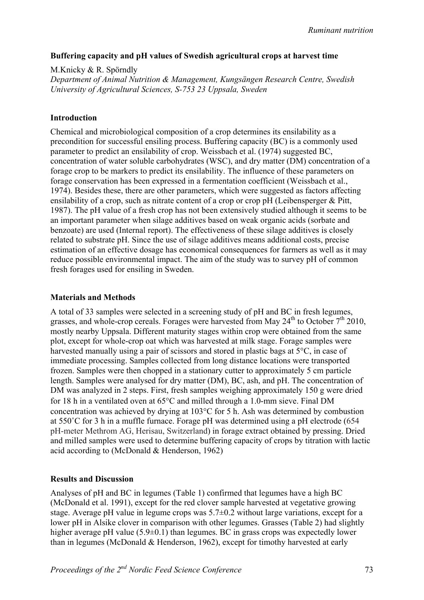#### **Buffering capacity and pH values of Swedish agricultural crops at harvest time**

M.Knicky & R. Spörndly *Department of Animal Nutrition & Management, Kungsängen Research Centre, Swedish University of Agricultural Sciences, S-753 23 Uppsala, Sweden*

#### **Introduction**

Chemical and microbiological composition of a crop determines its ensilability as a precondition for successful ensiling process. Buffering capacity (BC) is a commonly used parameter to predict an ensilability of crop. Weissbach et al. (1974) suggested BC, concentration of water soluble carbohydrates (WSC), and dry matter (DM) concentration of a forage crop to be markers to predict its ensilability. The influence of these parameters on forage conservation has been expressed in a fermentation coefficient (Weissbach et al., 1974). Besides these, there are other parameters, which were suggested as factors affecting ensilability of a crop, such as nitrate content of a crop or crop pH (Leibensperger & Pitt, 1987). The pH value of a fresh crop has not been extensively studied although it seems to be an important parameter when silage additives based on weak organic acids (sorbate and benzoate) are used (Internal report). The effectiveness of these silage additives is closely related to substrate pH. Since the use of silage additives means additional costs, precise estimation of an effective dosage has economical consequences for farmers as well as it may reduce possible environmental impact. The aim of the study was to survey pH of common fresh forages used for ensiling in Sweden.

#### **Materials and Methods**

A total of 33 samples were selected in a screening study of pH and BC in fresh legumes, grasses, and whole-crop cereals. Forages were harvested from May  $24^{th}$  to October  $7^{th}$  2010, mostly nearby Uppsala. Different maturity stages within crop were obtained from the same plot, except for whole-crop oat which was harvested at milk stage. Forage samples were harvested manually using a pair of scissors and stored in plastic bags at 5°C, in case of immediate processing. Samples collected from long distance locations were transported frozen. Samples were then chopped in a stationary cutter to approximately 5 cm particle length. Samples were analysed for dry matter (DM), BC, ash, and pH. The concentration of DM was analyzed in 2 steps. First, fresh samples weighing approximately 150 g were dried for 18 h in a ventilated oven at  $65^{\circ}$ C and milled through a 1.0-mm sieve. Final DM concentration was achieved by drying at  $103^{\circ}$ C for 5 h. Ash was determined by combustion at 550˚C for 3 h in a muffle furnace. Forage pH was determined using a pH electrode (654 pH-meter Methrom AG, Herisau, Switzerland) in forage extract obtained by pressing. Dried and milled samples were used to determine buffering capacity of crops by titration with lactic acid according to (McDonald & Henderson, 1962)

### **Results and Discussion**

Analyses of pH and BC in legumes (Table 1) confirmed that legumes have a high BC (McDonald et al. 1991), except for the red clover sample harvested at vegetative growing stage. Average pH value in legume crops was 5.7±0.2 without large variations, except for a lower pH in Alsike clover in comparison with other legumes. Grasses (Table 2) had slightly higher average pH value (5.9±0.1) than legumes. BC in grass crops was expectedly lower than in legumes (McDonald & Henderson, 1962), except for timothy harvested at early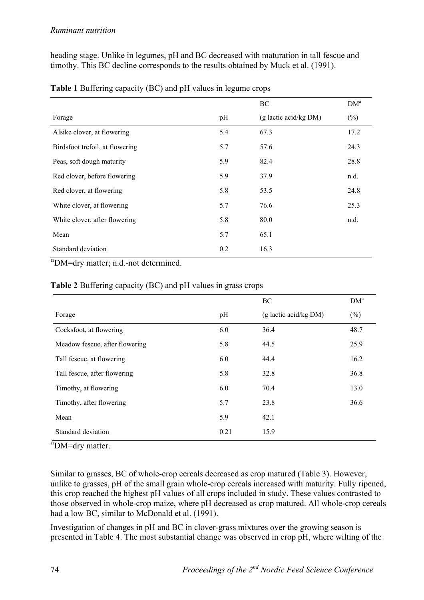heading stage. Unlike in legumes, pH and BC decreased with maturation in tall fescue and timothy. This BC decline corresponds to the results obtained by Muck et al. (1991).

|                                         |     | BC                      | DM <sup>a</sup> |
|-----------------------------------------|-----|-------------------------|-----------------|
| Forage                                  | pH  | $(g$ lactic acid/kg DM) | $(\%)$          |
| Alsike clover, at flowering             | 5.4 | 67.3                    | 17.2            |
| Birdsfoot trefoil, at flowering         | 5.7 | 57.6                    | 24.3            |
| Peas, soft dough maturity               | 5.9 | 82.4                    | 28.8            |
| Red clover, before flowering            | 5.9 | 37.9                    | n.d.            |
| Red clover, at flowering                | 5.8 | 53.5                    | 24.8            |
| White clover, at flowering              | 5.7 | 76.6                    | 25.3            |
| White clover, after flowering           | 5.8 | 80.0                    | n.d.            |
| Mean                                    | 5.7 | 65.1                    |                 |
| Standard deviation<br>$9 - 1$<br>$\sim$ | 0.2 | 16.3                    |                 |

**Table 1** Buffering capacity (BC) and pH values in legume crops

a DM=dry matter; n.d.-not determined.

|                                |      | BC                      | DM <sup>a</sup> |
|--------------------------------|------|-------------------------|-----------------|
| Forage                         | pH   | $(g$ lactic acid/kg DM) | $(\%)$          |
| Cocksfoot, at flowering        | 6.0  | 36.4                    | 48.7            |
| Meadow fescue, after flowering | 5.8  | 44.5                    | 25.9            |
| Tall fescue, at flowering      | 6.0  | 44.4                    | 16.2            |
| Tall fescue, after flowering   | 5.8  | 32.8                    | 36.8            |
| Timothy, at flowering          | 6.0  | 70.4                    | 13.0            |
| Timothy, after flowering       | 5.7  | 23.8                    | 36.6            |
| Mean                           | 5.9  | 42.1                    |                 |
| Standard deviation             | 0.21 | 15.9                    |                 |

### **Table 2** Buffering capacity (BC) and pH values in grass crops

a<sub>DM=dry</sub> matter.

Similar to grasses, BC of whole-crop cereals decreased as crop matured (Table 3). However, unlike to grasses, pH of the small grain whole-crop cereals increased with maturity. Fully ripened, this crop reached the highest pH values of all crops included in study. These values contrasted to those observed in whole-crop maize, where pH decreased as crop matured. All whole-crop cereals had a low BC, similar to McDonald et al. (1991).

Investigation of changes in pH and BC in clover-grass mixtures over the growing season is presented in Table 4. The most substantial change was observed in crop pH, where wilting of the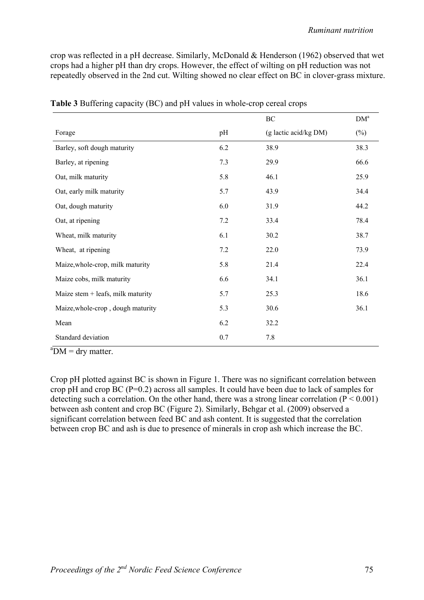crop was reflected in a pH decrease. Similarly, McDonald & Henderson (1962) observed that wet crops had a higher pH than dry crops. However, the effect of wilting on pH reduction was not repeatedly observed in the 2nd cut. Wilting showed no clear effect on BC in clover-grass mixture.

|                                     |     | $\rm BC$              | DM <sup>a</sup> |
|-------------------------------------|-----|-----------------------|-----------------|
| Forage                              | pH  | (g lactic acid/kg DM) | $(\%)$          |
| Barley, soft dough maturity         | 6.2 | 38.9                  | 38.3            |
| Barley, at ripening                 | 7.3 | 29.9                  | 66.6            |
| Oat, milk maturity                  | 5.8 | 46.1                  | 25.9            |
| Oat, early milk maturity            | 5.7 | 43.9                  | 34.4            |
| Oat, dough maturity                 | 6.0 | 31.9                  | 44.2            |
| Oat, at ripening                    | 7.2 | 33.4                  | 78.4            |
| Wheat, milk maturity                | 6.1 | 30.2                  | 38.7            |
| Wheat, at ripening                  | 7.2 | 22.0                  | 73.9            |
| Maize, whole-crop, milk maturity    | 5.8 | 21.4                  | 22.4            |
| Maize cobs, milk maturity           | 6.6 | 34.1                  | 36.1            |
| Maize stem $+$ leafs, milk maturity | 5.7 | 25.3                  | 18.6            |
| Maize, whole-crop, dough maturity   | 5.3 | 30.6                  | 36.1            |
| Mean                                | 6.2 | 32.2                  |                 |
| Standard deviation                  | 0.7 | 7.8                   |                 |

**Table 3** Buffering capacity (BC) and pH values in whole-crop cereal crops

 $a<sup>a</sup>DM = dry matter.$ 

Crop pH plotted against BC is shown in Figure 1. There was no significant correlation between crop pH and crop BC (P=0.2) across all samples. It could have been due to lack of samples for detecting such a correlation. On the other hand, there was a strong linear correlation ( $P < 0.001$ ) between ash content and crop BC (Figure 2). Similarly, Behgar et al. (2009) observed a significant correlation between feed BC and ash content. It is suggested that the correlation between crop BC and ash is due to presence of minerals in crop ash which increase the BC.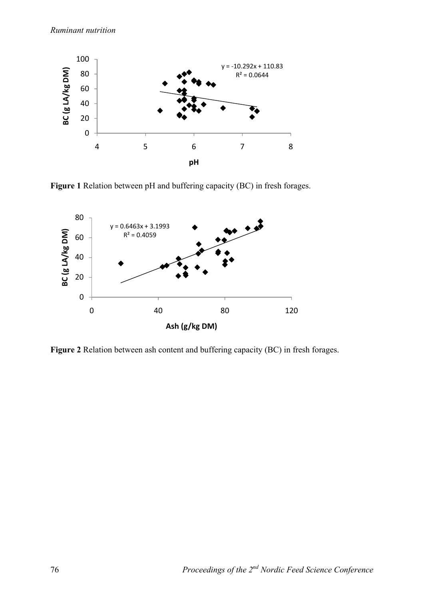

**Figure 1** Relation between pH and buffering capacity (BC) in fresh forages.



**Figure 2** Relation between ash content and buffering capacity (BC) in fresh forages.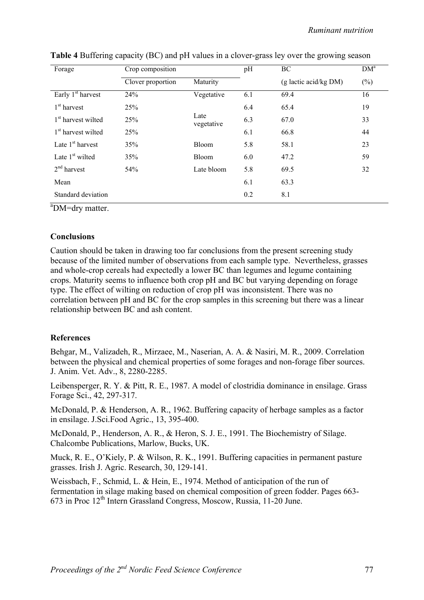*Ruminant nutrition*

| Forage                         | Crop composition  |                    | pH  | BC                      | DM <sup>a</sup> |
|--------------------------------|-------------------|--------------------|-----|-------------------------|-----------------|
|                                | Clover proportion | Maturity           |     | $(g$ lactic acid/kg DM) | $(\%)$          |
| Early 1 <sup>st</sup> harvest  | 24%               | Vegetative         | 6.1 | 69.4                    | 16              |
| $1st$ harvest                  | 25%               |                    | 6.4 | 65.4                    | 19              |
| 1 <sup>st</sup> harvest wilted | 25%               | Late<br>vegetative | 6.3 | 67.0                    | 33              |
| 1 <sup>st</sup> harvest wilted | 25%               |                    | 6.1 | 66.8                    | 44              |
| Late $1st$ harvest             | 35%               | <b>Bloom</b>       | 5.8 | 58.1                    | 23              |
| Late $1st$ wilted              | 35%               | <b>Bloom</b>       | 6.0 | 47.2                    | 59              |
| $2nd$ harvest                  | 54%               | Late bloom         | 5.8 | 69.5                    | 32              |
| Mean                           |                   |                    | 6.1 | 63.3                    |                 |
| Standard deviation             |                   |                    | 0.2 | 8.1                     |                 |

| Table 4 Buffering capacity (BC) and pH values in a clover-grass ley over the growing season |  |  |  |  |  |
|---------------------------------------------------------------------------------------------|--|--|--|--|--|
|                                                                                             |  |  |  |  |  |

<sup>a</sup>DM=dry matter.

#### **Conclusions**

Caution should be taken in drawing too far conclusions from the present screening study because of the limited number of observations from each sample type. Nevertheless, grasses and whole-crop cereals had expectedly a lower BC than legumes and legume containing crops. Maturity seems to influence both crop pH and BC but varying depending on forage type. The effect of wilting on reduction of crop pH was inconsistent. There was no correlation between pH and BC for the crop samples in this screening but there was a linear relationship between BC and ash content.

### **References**

Behgar, M., Valizadeh, R., Mirzaee, M., Naserian, A. A. & Nasiri, M. R., 2009. Correlation between the physical and chemical properties of some forages and non-forage fiber sources. J. Anim. Vet. Adv., 8, 2280-2285.

Leibensperger, R. Y. & Pitt, R. E., 1987. A model of clostridia dominance in ensilage. Grass Forage Sci., 42, 297-317.

McDonald, P. & Henderson, A. R., 1962. Buffering capacity of herbage samples as a factor in ensilage. J.Sci.Food Agric., 13, 395-400.

McDonald, P., Henderson, A. R., & Heron, S. J. E., 1991. The Biochemistry of Silage. Chalcombe Publications, Marlow, Bucks, UK.

Muck, R. E., O'Kiely, P. & Wilson, R. K., 1991. Buffering capacities in permanent pasture grasses. Irish J. Agric. Research, 30, 129-141.

Weissbach, F., Schmid, L. & Hein, E., 1974. Method of anticipation of the run of fermentation in silage making based on chemical composition of green fodder. Pages 663- 673 in Proc 12th Intern Grassland Congress, Moscow, Russia, 11-20 June.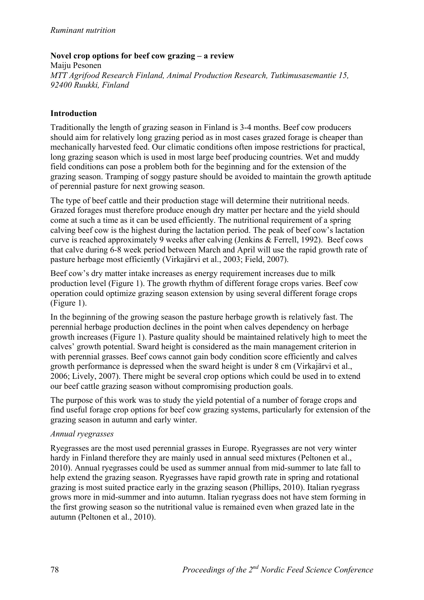# **Novel crop options for beef cow grazing – a review**

Maiju Pesonen *MTT Agrifood Research Finland, Animal Production Research, Tutkimusasemantie 15, 92400 Ruukki, Finland* 

### **Introduction**

Traditionally the length of grazing season in Finland is 3-4 months. Beef cow producers should aim for relatively long grazing period as in most cases grazed forage is cheaper than mechanically harvested feed. Our climatic conditions often impose restrictions for practical, long grazing season which is used in most large beef producing countries. Wet and muddy field conditions can pose a problem both for the beginning and for the extension of the grazing season. Tramping of soggy pasture should be avoided to maintain the growth aptitude of perennial pasture for next growing season.

The type of beef cattle and their production stage will determine their nutritional needs. Grazed forages must therefore produce enough dry matter per hectare and the yield should come at such a time as it can be used efficiently. The nutritional requirement of a spring calving beef cow is the highest during the lactation period. The peak of beef cow's lactation curve is reached approximately 9 weeks after calving (Jenkins & Ferrell, 1992). Beef cows that calve during 6-8 week period between March and April will use the rapid growth rate of pasture herbage most efficiently (Virkajärvi et al., 2003; Field, 2007).

Beef cow's dry matter intake increases as energy requirement increases due to milk production level (Figure 1). The growth rhythm of different forage crops varies. Beef cow operation could optimize grazing season extension by using several different forage crops (Figure 1).

In the beginning of the growing season the pasture herbage growth is relatively fast. The perennial herbage production declines in the point when calves dependency on herbage growth increases (Figure 1). Pasture quality should be maintained relatively high to meet the calves' growth potential. Sward height is considered as the main management criterion in with perennial grasses. Beef cows cannot gain body condition score efficiently and calves growth performance is depressed when the sward height is under 8 cm (Virkajärvi et al., 2006; Lively, 2007). There might be several crop options which could be used in to extend our beef cattle grazing season without compromising production goals.

The purpose of this work was to study the yield potential of a number of forage crops and find useful forage crop options for beef cow grazing systems, particularly for extension of the grazing season in autumn and early winter.

### *Annual ryegrasses*

Ryegrasses are the most used perennial grasses in Europe. Ryegrasses are not very winter hardy in Finland therefore they are mainly used in annual seed mixtures (Peltonen et al., 2010). Annual ryegrasses could be used as summer annual from mid-summer to late fall to help extend the grazing season. Ryegrasses have rapid growth rate in spring and rotational grazing is most suited practice early in the grazing season (Phillips, 2010). Italian ryegrass grows more in mid-summer and into autumn. Italian ryegrass does not have stem forming in the first growing season so the nutritional value is remained even when grazed late in the autumn (Peltonen et al., 2010).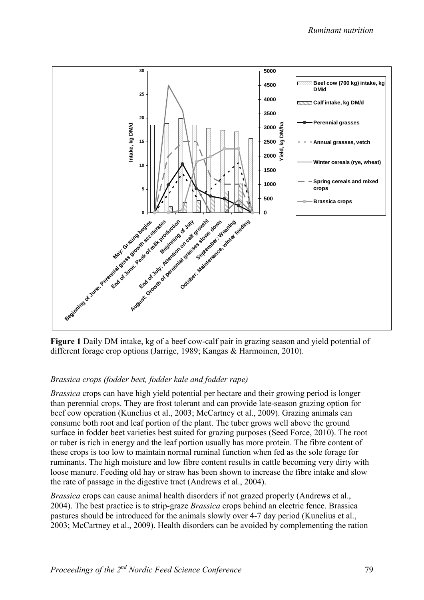

**Figure 1** Daily DM intake, kg of a beef cow-calf pair in grazing season and yield potential of different forage crop options (Jarrige, 1989; Kangas & Harmoinen, 2010).

# *Brassica crops (fodder beet, fodder kale and fodder rape)*

*Brassica* crops can have high yield potential per hectare and their growing period is longer than perennial crops. They are frost tolerant and can provide late-season grazing option for beef cow operation (Kunelius et al., 2003; McCartney et al., 2009). Grazing animals can consume both root and leaf portion of the plant. The tuber grows well above the ground surface in fodder beet varieties best suited for grazing purposes (Seed Force, 2010). The root or tuber is rich in energy and the leaf portion usually has more protein. The fibre content of these crops is too low to maintain normal ruminal function when fed as the sole forage for ruminants. The high moisture and low fibre content results in cattle becoming very dirty with loose manure. Feeding old hay or straw has been shown to increase the fibre intake and slow the rate of passage in the digestive tract (Andrews et al., 2004).

*Brassica* crops can cause animal health disorders if not grazed properly (Andrews et al., 2004). The best practice is to strip-graze *Brassica* crops behind an electric fence. Brassica pastures should be introduced for the animals slowly over 4-7 day period (Kunelius et al., 2003; McCartney et al., 2009). Health disorders can be avoided by complementing the ration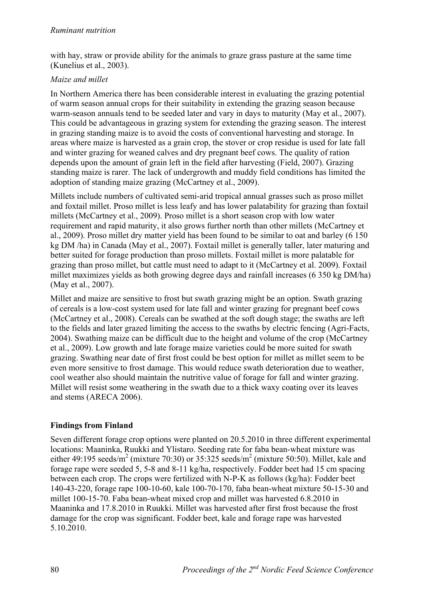with hay, straw or provide ability for the animals to graze grass pasture at the same time (Kunelius et al., 2003).

# *Maize and millet*

In Northern America there has been considerable interest in evaluating the grazing potential of warm season annual crops for their suitability in extending the grazing season because warm-season annuals tend to be seeded later and vary in days to maturity (May et al., 2007). This could be advantageous in grazing system for extending the grazing season. The interest in grazing standing maize is to avoid the costs of conventional harvesting and storage. In areas where maize is harvested as a grain crop, the stover or crop residue is used for late fall and winter grazing for weaned calves and dry pregnant beef cows. The quality of ration depends upon the amount of grain left in the field after harvesting (Field, 2007). Grazing standing maize is rarer. The lack of undergrowth and muddy field conditions has limited the adoption of standing maize grazing (McCartney et al., 2009).

Millets include numbers of cultivated semi-arid tropical annual grasses such as proso millet and foxtail millet. Proso millet is less leafy and has lower palatability for grazing than foxtail millets (McCartney et al., 2009). Proso millet is a short season crop with low water requirement and rapid maturity, it also grows further north than other millets (McCartney et al., 2009). Proso millet dry matter yield has been found to be similar to oat and barley (6 150 kg DM /ha) in Canada (May et al., 2007). Foxtail millet is generally taller, later maturing and better suited for forage production than proso millets. Foxtail millet is more palatable for grazing than proso millet, but cattle must need to adapt to it (McCartney et al. 2009). Foxtail millet maximizes yields as both growing degree days and rainfall increases (6 350 kg DM/ha) (May et al., 2007).

Millet and maize are sensitive to frost but swath grazing might be an option. Swath grazing of cereals is a low-cost system used for late fall and winter grazing for pregnant beef cows (McCartney et al., 2008). Cereals can be swathed at the soft dough stage; the swaths are left to the fields and later grazed limiting the access to the swaths by electric fencing (Agri-Facts, 2004). Swathing maize can be difficult due to the height and volume of the crop (McCartney et al., 2009). Low growth and late forage maize varieties could be more suited for swath grazing. Swathing near date of first frost could be best option for millet as millet seem to be even more sensitive to frost damage. This would reduce swath deterioration due to weather, cool weather also should maintain the nutritive value of forage for fall and winter grazing. Millet will resist some weathering in the swath due to a thick waxy coating over its leaves and stems (ARECA 2006).

# **Findings from Finland**

Seven different forage crop options were planted on 20.5.2010 in three different experimental locations: Maaninka, Ruukki and Ylistaro. Seeding rate for faba bean-wheat mixture was either 49:195 seeds/m<sup>2</sup> (mixture 70:30) or 35:325 seeds/m<sup>2</sup> (mixture 50:50). Millet, kale and forage rape were seeded 5, 5-8 and 8-11 kg/ha, respectively. Fodder beet had 15 cm spacing between each crop. The crops were fertilized with N-P-K as follows (kg/ha): Fodder beet 140-43-220, forage rape 100-10-60, kale 100-70-170, faba bean-wheat mixture 50-15-30 and millet 100-15-70. Faba bean-wheat mixed crop and millet was harvested 6.8.2010 in Maaninka and 17.8.2010 in Ruukki. Millet was harvested after first frost because the frost damage for the crop was significant. Fodder beet, kale and forage rape was harvested 5.10.2010.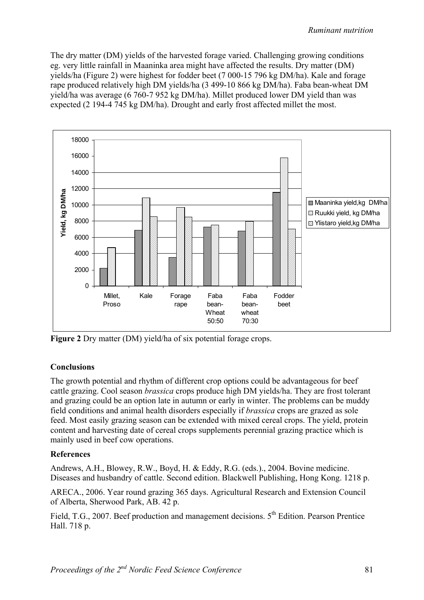The dry matter (DM) yields of the harvested forage varied. Challenging growing conditions eg. very little rainfall in Maaninka area might have affected the results. Dry matter (DM) yields/ha (Figure 2) were highest for fodder beet (7 000-15 796 kg DM/ha). Kale and forage rape produced relatively high DM yields/ha (3 499-10 866 kg DM/ha). Faba bean-wheat DM yield/ha was average (6 760-7 952 kg DM/ha). Millet produced lower DM yield than was expected (2 194-4 745 kg DM/ha). Drought and early frost affected millet the most.



**Figure 2** Dry matter (DM) yield/ha of six potential forage crops.

# **Conclusions**

The growth potential and rhythm of different crop options could be advantageous for beef cattle grazing. Cool season *brassica* crops produce high DM yields/ha. They are frost tolerant and grazing could be an option late in autumn or early in winter. The problems can be muddy field conditions and animal health disorders especially if *brassica* crops are grazed as sole feed. Most easily grazing season can be extended with mixed cereal crops. The yield, protein content and harvesting date of cereal crops supplements perennial grazing practice which is mainly used in beef cow operations.

# **References**

Andrews, A.H., Blowey, R.W., Boyd, H. & Eddy, R.G. (eds.)., 2004. Bovine medicine. Diseases and husbandry of cattle. Second edition. Blackwell Publishing, Hong Kong. 1218 p.

ARECA., 2006. Year round grazing 365 days. Agricultural Research and Extension Council of Alberta, Sherwood Park, AB. 42 p.

Field, T.G., 2007. Beef production and management decisions. 5<sup>th</sup> Edition. Pearson Prentice Hall. 718 p.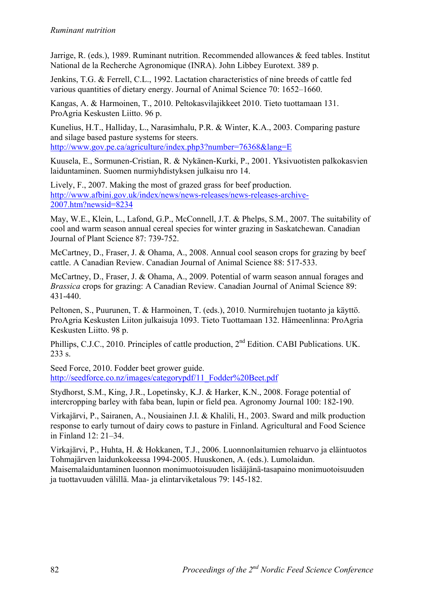Jarrige, R. (eds.), 1989. Ruminant nutrition. Recommended allowances & feed tables. Institut National de la Recherche Agronomique (INRA). John Libbey Eurotext. 389 p.

Jenkins, T.G. & Ferrell, C.L., 1992. Lactation characteristics of nine breeds of cattle fed various quantities of dietary energy. Journal of Animal Science 70: 1652–1660.

Kangas, A. & Harmoinen, T., 2010. Peltokasvilajikkeet 2010. Tieto tuottamaan 131. ProAgria Keskusten Liitto. 96 p.

Kunelius, H.T., Halliday, L., Narasimhalu, P.R. & Winter, K.A., 2003. Comparing pasture and silage based pasture systems for steers.

http://www.gov.pe.ca/agriculture/index.php3?number=76368&lang=E

Kuusela, E., Sormunen-Cristian, R. & Nykänen-Kurki, P., 2001. Yksivuotisten palkokasvien laiduntaminen. Suomen nurmiyhdistyksen julkaisu nro 14.

Lively, F., 2007. Making the most of grazed grass for beef production. http://www.afbini.gov.uk/index/news/news-releases/news-releases-archive-2007.htm?newsid=8234

May, W.E., Klein, L., Lafond, G.P., McConnell, J.T. & Phelps, S.M., 2007. The suitability of cool and warm season annual cereal species for winter grazing in Saskatchewan. Canadian Journal of Plant Science 87: 739-752.

McCartney, D., Fraser, J. & Ohama, A., 2008. Annual cool season crops for grazing by beef cattle. A Canadian Review. Canadian Journal of Animal Science 88: 517-533.

McCartney, D., Fraser, J. & Ohama, A., 2009. Potential of warm season annual forages and *Brassica* crops for grazing: A Canadian Review. Canadian Journal of Animal Science 89: 431-440.

Peltonen, S., Puurunen, T. & Harmoinen, T. (eds.), 2010. Nurmirehujen tuotanto ja käyttö. ProAgria Keskusten Liiton julkaisuja 1093. Tieto Tuottamaan 132. Hämeenlinna: ProAgria Keskusten Liitto. 98 p.

Phillips, C.J.C., 2010. Principles of cattle production, 2nd Edition. CABI Publications. UK. 233 s.

Seed Force, 2010. Fodder beet grower guide. http://seedforce.co.nz/images/categorypdf/11\_Fodder%20Beet.pdf

Stydhorst, S.M., King, J.R., Lopetinsky, K.J. & Harker, K.N., 2008. Forage potential of intercropping barley with faba bean, lupin or field pea. Agronomy Journal 100: 182-190.

Virkajärvi, P., Sairanen, A., Nousiainen J.I. & Khalili, H., 2003. Sward and milk production response to early turnout of dairy cows to pasture in Finland. Agricultural and Food Science in Finland 12: 21–34.

Virkajärvi, P., Huhta, H. & Hokkanen, T.J., 2006. Luonnonlaitumien rehuarvo ja eläintuotos Tohmajärven laidunkokeessa 1994-2005. Huuskonen, A. (eds.). Lumolaidun. Maisemalaiduntaminen luonnon monimuotoisuuden lisääjänä-tasapaino monimuotoisuuden ja tuottavuuden välillä. Maa- ja elintarviketalous 79: 145-182.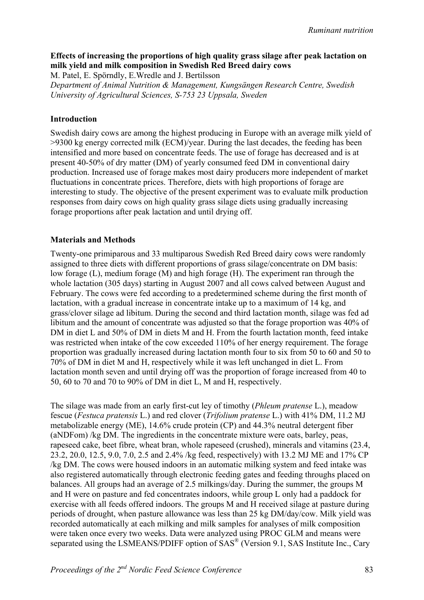# **Effects of increasing the proportions of high quality grass silage after peak lactation on milk yield and milk composition in Swedish Red Breed dairy cows**

M. Patel, E. Spörndly, E.Wredle and J. Bertilsson *Department of Animal Nutrition & Management, Kungsängen Research Centre, Swedish University of Agricultural Sciences, S-753 23 Uppsala, Sweden*

### **Introduction**

Swedish dairy cows are among the highest producing in Europe with an average milk yield of >9300 kg energy corrected milk (ECM)/year. During the last decades, the feeding has been intensified and more based on concentrate feeds. The use of forage has decreased and is at present 40-50% of dry matter (DM) of yearly consumed feed DM in conventional dairy production. Increased use of forage makes most dairy producers more independent of market fluctuations in concentrate prices. Therefore, diets with high proportions of forage are interesting to study. The objective of the present experiment was to evaluate milk production responses from dairy cows on high quality grass silage diets using gradually increasing forage proportions after peak lactation and until drying off.

#### **Materials and Methods**

Twenty-one primiparous and 33 multiparous Swedish Red Breed dairy cows were randomly assigned to three diets with different proportions of grass silage/concentrate on DM basis: low forage (L), medium forage (M) and high forage (H). The experiment ran through the whole lactation (305 days) starting in August 2007 and all cows calved between August and February. The cows were fed according to a predetermined scheme during the first month of lactation, with a gradual increase in concentrate intake up to a maximum of 14 kg, and grass/clover silage ad libitum. During the second and third lactation month, silage was fed ad libitum and the amount of concentrate was adjusted so that the forage proportion was 40% of DM in diet L and 50% of DM in diets M and H. From the fourth lactation month, feed intake was restricted when intake of the cow exceeded 110% of her energy requirement. The forage proportion was gradually increased during lactation month four to six from 50 to 60 and 50 to 70% of DM in diet M and H, respectively while it was left unchanged in diet L. From lactation month seven and until drying off was the proportion of forage increased from 40 to 50, 60 to 70 and 70 to 90% of DM in diet L, M and H, respectively.

The silage was made from an early first-cut ley of timothy (*Phleum pratense* L.), meadow fescue (*Festuca pratensis* L.) and red clover (*Trifolium pratense* L.) with 41% DM, 11.2 MJ metabolizable energy (ME), 14.6% crude protein (CP) and 44.3% neutral detergent fiber (aNDFom) /kg DM. The ingredients in the concentrate mixture were oats, barley, peas, rapeseed cake, beet fibre, wheat bran, whole rapeseed (crushed), minerals and vitamins (23.4, 23.2, 20.0, 12.5, 9.0, 7.0, 2.5 and 2.4% /kg feed, respectively) with 13.2 MJ ME and 17% CP /kg DM. The cows were housed indoors in an automatic milking system and feed intake was also registered automatically through electronic feeding gates and feeding throughs placed on balances. All groups had an average of 2.5 milkings/day. During the summer, the groups M and H were on pasture and fed concentrates indoors, while group L only had a paddock for exercise with all feeds offered indoors. The groups M and H received silage at pasture during periods of drought, when pasture allowance was less than 25 kg DM/day/cow. Milk yield was recorded automatically at each milking and milk samples for analyses of milk composition were taken once every two weeks. Data were analyzed using PROC GLM and means were separated using the LSMEANS/PDIFF option of SAS<sup>®</sup> (Version 9.1, SAS Institute Inc., Cary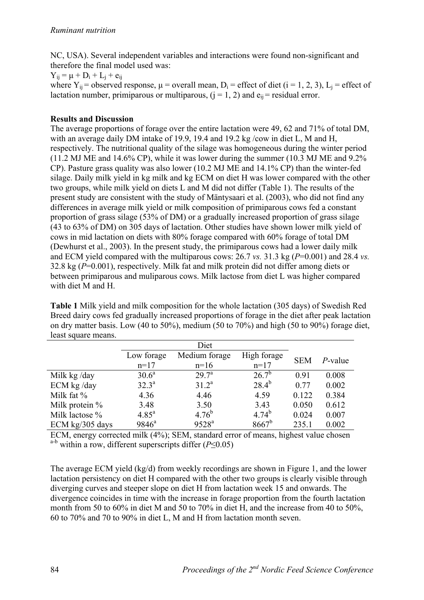NC, USA). Several independent variables and interactions were found non-significant and therefore the final model used was:

 $Y_{ii} = \mu + D_i + L_i + e_{ii}$ 

where  $Y_{ii}$  = observed response,  $\mu$  = overall mean,  $D_i$  = effect of diet (i = 1, 2, 3),  $L_i$  = effect of lactation number, primiparous or multiparous,  $(i = 1, 2)$  and  $e_{ii}$  = residual error.

# **Results and Discussion**

The average proportions of forage over the entire lactation were 49, 62 and 71% of total DM, with an average daily DM intake of 19.9, 19.4 and 19.2 kg/cow in diet L, M and H, respectively. The nutritional quality of the silage was homogeneous during the winter period (11.2 MJ ME and 14.6% CP), while it was lower during the summer (10.3 MJ ME and 9.2% CP). Pasture grass quality was also lower (10.2 MJ ME and 14.1% CP) than the winter-fed silage. Daily milk yield in kg milk and kg ECM on diet H was lower compared with the other two groups, while milk yield on diets L and M did not differ (Table 1). The results of the present study are consistent with the study of Mäntysaari et al. (2003), who did not find any differences in average milk yield or milk composition of primiparous cows fed a constant proportion of grass silage (53% of DM) or a gradually increased proportion of grass silage (43 to 63% of DM) on 305 days of lactation. Other studies have shown lower milk yield of cows in mid lactation on diets with 80% forage compared with 60% forage of total DM (Dewhurst et al., 2003). In the present study, the primiparous cows had a lower daily milk and ECM yield compared with the multiparous cows: 26.7 *vs.* 31.3 kg (*P*=0.001) and 28.4 *vs.* 32.8 kg (*P*=0.001), respectively. Milk fat and milk protein did not differ among diets or between primiparous and muliparous cows. Milk lactose from diet L was higher compared with diet M and H.

**Table 1** Milk yield and milk composition for the whole lactation (305 days) of Swedish Red Breed dairy cows fed gradually increased proportions of forage in the diet after peak lactation on dry matter basis. Low (40 to 50%), medium (50 to 70%) and high (50 to 90%) forage diet, least square means.

|                          |                | Diet              |             |            |            |
|--------------------------|----------------|-------------------|-------------|------------|------------|
|                          | Low forage     | Medium forage     | High forage | <b>SEM</b> | $P$ -value |
|                          | $n=17$         | $n=16$            | $n=17$      |            |            |
| Milk kg/day              | $30.6^a$       | 29.7 <sup>a</sup> | $26.7^{b}$  | 0.91       | 0.008      |
| ECM $kg$ /day            | $32.3^a$       | $31.2^a$          | $28.4^{b}$  | 0.77       | 0.002      |
| Milk fat %               | 4.36           | 4.46              | 4.59        | 0.122      | 0.384      |
| Milk protein $%$         | 3.48           | 3.50              | 3.43        | 0.050      | 0.612      |
| Milk lactose %           | $4.85^{\rm a}$ | $4.76^{b}$        | $4.74^{b}$  | 0.024      | 0.007      |
| ECM $\text{kg}/305$ days | $9846^{\circ}$ | 9528 <sup>a</sup> | $8667^b$    | 235.1      | 0.002      |

ECM, energy corrected milk (4%); SEM, standard error of means, highest value chosen a-b within a row, different superscripts differ (*P*≤0.05)

The average ECM yield (kg/d) from weekly recordings are shown in Figure 1, and the lower lactation persistency on diet H compared with the other two groups is clearly visible through diverging curves and steeper slope on diet H from lactation week 15 and onwards. The divergence coincides in time with the increase in forage proportion from the fourth lactation month from 50 to 60% in diet M and 50 to 70% in diet H, and the increase from 40 to 50%, 60 to 70% and 70 to 90% in diet L, M and H from lactation month seven.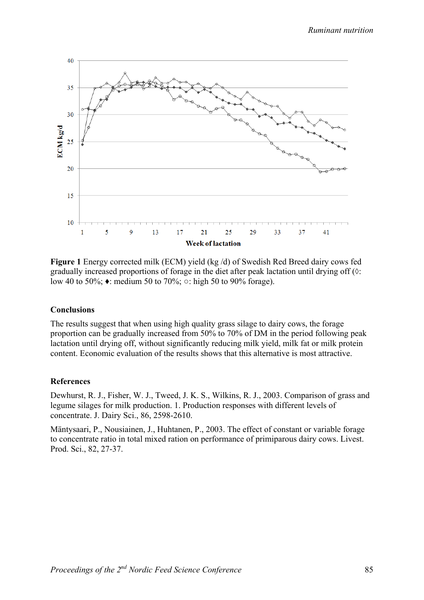

**Figure 1** Energy corrected milk (ECM) yield (kg /d) of Swedish Red Breed dairy cows fed gradually increased proportions of forage in the diet after peak lactation until drying off (◊: low 40 to 50%; ♦: medium 50 to 70%; ○: high 50 to 90% forage).

#### **Conclusions**

The results suggest that when using high quality grass silage to dairy cows, the forage proportion can be gradually increased from 50% to 70% of DM in the period following peak lactation until drying off, without significantly reducing milk yield, milk fat or milk protein content. Economic evaluation of the results shows that this alternative is most attractive.

#### **References**

Dewhurst, R. J., Fisher, W. J., Tweed, J. K. S., Wilkins, R. J., 2003. Comparison of grass and legume silages for milk production. 1. Production responses with different levels of concentrate. J. Dairy Sci., 86, 2598-2610.

Mäntysaari, P., Nousiainen, J., Huhtanen, P., 2003. The effect of constant or variable forage to concentrate ratio in total mixed ration on performance of primiparous dairy cows. Livest. Prod. Sci., 82, 27-37.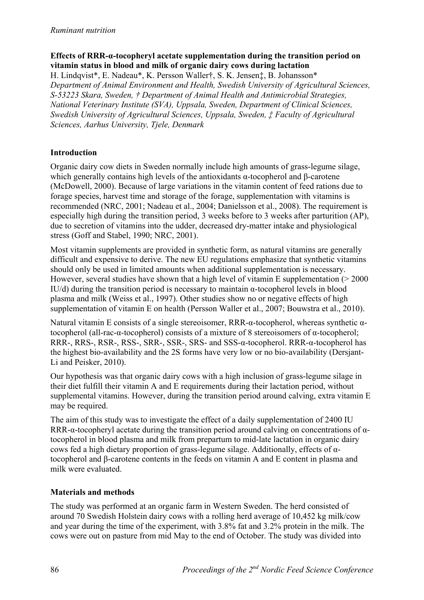# **Effects of RRR-α-tocopheryl acetate supplementation during the transition period on vitamin status in blood and milk of organic dairy cows during lactation**

H. Lindqvist\*, E. Nadeau\*, K. Persson Waller†, S. K. Jensen‡, B. Johansson\* *Department of Animal Environment and Health, Swedish University of Agricultural Sciences, S-53223 Skara, Sweden, † Department of Animal Health and Antimicrobial Strategies, National Veterinary Institute (SVA), Uppsala, Sweden, Department of Clinical Sciences, Swedish University of Agricultural Sciences, Uppsala, Sweden, ‡ Faculty of Agricultural Sciences, Aarhus University, Tjele, Denmark*

# **Introduction**

Organic dairy cow diets in Sweden normally include high amounts of grass-legume silage, which generally contains high levels of the antioxidants  $\alpha$ -tocopherol and  $\beta$ -carotene (McDowell, 2000). Because of large variations in the vitamin content of feed rations due to forage species, harvest time and storage of the forage, supplementation with vitamins is recommended (NRC, 2001; Nadeau et al., 2004; Danielsson et al., 2008). The requirement is especially high during the transition period, 3 weeks before to 3 weeks after parturition (AP), due to secretion of vitamins into the udder, decreased dry-matter intake and physiological stress (Goff and Stabel, 1990; NRC, 2001).

Most vitamin supplements are provided in synthetic form, as natural vitamins are generally difficult and expensive to derive. The new EU regulations emphasize that synthetic vitamins should only be used in limited amounts when additional supplementation is necessary. However, several studies have shown that a high level of vitamin E supplementation  $(>2000$ IU/d) during the transition period is necessary to maintain  $\alpha$ -tocopherol levels in blood plasma and milk (Weiss et al., 1997). Other studies show no or negative effects of high supplementation of vitamin E on health (Persson Waller et al., 2007; Bouwstra et al., 2010).

Natural vitamin E consists of a single stereoisomer, RRR-α-tocopherol, whereas synthetic αtocopherol (all-rac-α-tocopherol) consists of a mixture of 8 stereoisomers of α-tocopherol; RRR-, RRS-, RSR-, RSS-, SRR-, SSR-, SRS- and SSS-α-tocopherol. RRR-α-tocopherol has the highest bio-availability and the 2S forms have very low or no bio-availability (Dersjant-Li and Peisker, 2010).

Our hypothesis was that organic dairy cows with a high inclusion of grass-legume silage in their diet fulfill their vitamin A and E requirements during their lactation period, without supplemental vitamins. However, during the transition period around calving, extra vitamin E may be required.

The aim of this study was to investigate the effect of a daily supplementation of 2400 IU RRR-α-tocopheryl acetate during the transition period around calving on concentrations of αtocopherol in blood plasma and milk from prepartum to mid-late lactation in organic dairy cows fed a high dietary proportion of grass-legume silage. Additionally, effects of αtocopherol and β-carotene contents in the feeds on vitamin A and E content in plasma and milk were evaluated.

# **Materials and methods**

The study was performed at an organic farm in Western Sweden. The herd consisted of around 70 Swedish Holstein dairy cows with a rolling herd average of 10,452 kg milk/cow and year during the time of the experiment, with 3.8% fat and 3.2% protein in the milk. The cows were out on pasture from mid May to the end of October. The study was divided into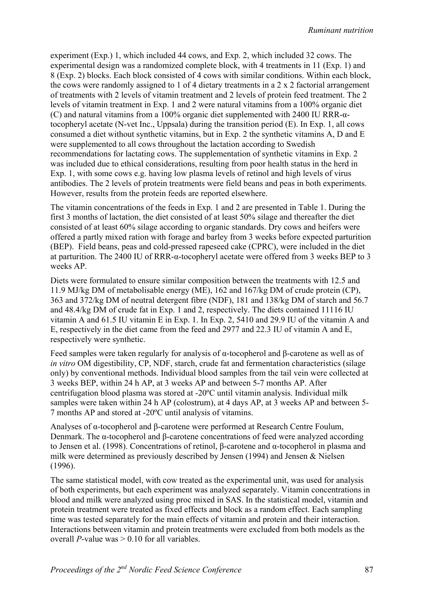experiment (Exp.) 1, which included 44 cows, and Exp. 2, which included 32 cows. The experimental design was a randomized complete block, with 4 treatments in 11 (Exp. 1) and 8 (Exp. 2) blocks. Each block consisted of 4 cows with similar conditions. Within each block, the cows were randomly assigned to 1 of 4 dietary treatments in a 2 x 2 factorial arrangement of treatments with 2 levels of vitamin treatment and 2 levels of protein feed treatment. The 2 levels of vitamin treatment in Exp. 1 and 2 were natural vitamins from a 100% organic diet (C) and natural vitamins from a 100% organic diet supplemented with 2400 IU RRR-αtocopheryl acetate (N-vet Inc., Uppsala) during the transition period (E). In Exp. 1, all cows consumed a diet without synthetic vitamins, but in Exp. 2 the synthetic vitamins A, D and E were supplemented to all cows throughout the lactation according to Swedish recommendations for lactating cows. The supplementation of synthetic vitamins in Exp. 2 was included due to ethical considerations, resulting from poor health status in the herd in Exp. 1, with some cows e.g. having low plasma levels of retinol and high levels of virus antibodies. The 2 levels of protein treatments were field beans and peas in both experiments. However, results from the protein feeds are reported elsewhere.

The vitamin concentrations of the feeds in Exp. 1 and 2 are presented in Table 1. During the first 3 months of lactation, the diet consisted of at least 50% silage and thereafter the diet consisted of at least 60% silage according to organic standards. Dry cows and heifers were offered a partly mixed ration with forage and barley from 3 weeks before expected parturition (BEP). Field beans, peas and cold-pressed rapeseed cake (CPRC), were included in the diet at parturition. The 2400 IU of RRR-α-tocopheryl acetate were offered from 3 weeks BEP to 3 weeks AP.

Diets were formulated to ensure similar composition between the treatments with 12.5 and 11.9 MJ/kg DM of metabolisable energy (ME), 162 and 167/kg DM of crude protein (CP), 363 and 372/kg DM of neutral detergent fibre (NDF), 181 and 138/kg DM of starch and 56.7 and 48.4/kg DM of crude fat in Exp. 1 and 2, respectively. The diets contained 11116 IU vitamin A and 61.5 IU vitamin E in Exp. 1. In Exp. 2, 5410 and 29.9 IU of the vitamin A and E, respectively in the diet came from the feed and 2977 and 22.3 IU of vitamin A and E, respectively were synthetic.

Feed samples were taken regularly for analysis of α-tocopherol and β-carotene as well as of *in vitro* OM digestibility, CP, NDF, starch, crude fat and fermentation characteristics (silage only) by conventional methods. Individual blood samples from the tail vein were collected at 3 weeks BEP, within 24 h AP, at 3 weeks AP and between 5-7 months AP. After centrifugation blood plasma was stored at -20ºC until vitamin analysis. Individual milk samples were taken within 24 h AP (colostrum), at 4 days AP, at 3 weeks AP and between 5-7 months AP and stored at -20ºC until analysis of vitamins.

Analyses of α-tocopherol and β-carotene were performed at Research Centre Foulum, Denmark. The α-tocopherol and β-carotene concentrations of feed were analyzed according to Jensen et al. (1998). Concentrations of retinol, β-carotene and α-tocopherol in plasma and milk were determined as previously described by Jensen (1994) and Jensen & Nielsen (1996).

The same statistical model, with cow treated as the experimental unit, was used for analysis of both experiments, but each experiment was analyzed separately. Vitamin concentrations in blood and milk were analyzed using proc mixed in SAS. In the statistical model, vitamin and protein treatment were treated as fixed effects and block as a random effect. Each sampling time was tested separately for the main effects of vitamin and protein and their interaction. Interactions between vitamin and protein treatments were excluded from both models as the overall *P*-value was  $> 0.10$  for all variables.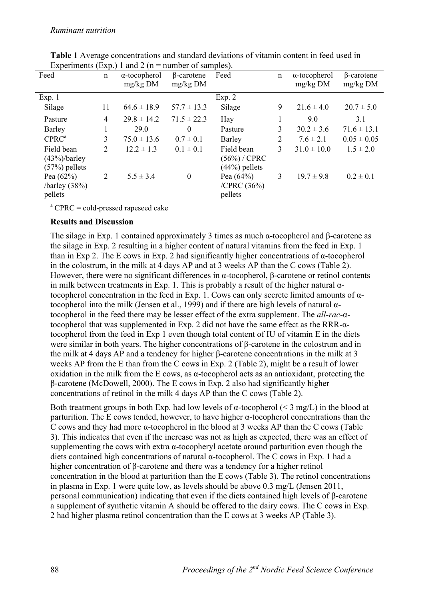| <b>DIPARTEMANA</b><br>Feed                       | $\mathbf{u}$<br>n | $1.444 = 111$<br>$\alpha$ -tocopherol<br>$mg/kg$ DM | $maximize$ or $sum = p$ .<br>$\beta$ -carotene<br>$mg/kg$ DM | Feed                                          | n              | $\alpha$ -tocopherol<br>$mg/kg$ DM | $\beta$ -carotene<br>$mg/kg$ DM |
|--------------------------------------------------|-------------------|-----------------------------------------------------|--------------------------------------------------------------|-----------------------------------------------|----------------|------------------------------------|---------------------------------|
| Exp. 1                                           |                   |                                                     |                                                              | Exp. $2$                                      |                |                                    |                                 |
| Silage                                           | 11                | $64.6 \pm 18.9$                                     | $57.7 \pm 13.3$                                              | Silage                                        | 9              | $21.6 \pm 4.0$                     | $20.7 \pm 5.0$                  |
| Pasture                                          | $\overline{4}$    | $29.8 \pm 14.2$                                     | $71.5 \pm 22.3$                                              | Hay                                           | 1              | 9.0                                | 3.1                             |
| Barley                                           |                   | 29.0                                                | $\theta$                                                     | Pasture                                       | 3              | $30.2 \pm 3.6$                     | $71.6 \pm 13.1$                 |
| CPRC <sup>a</sup>                                | 3                 | $75.0 \pm 13.6$                                     | $0.7 \pm 0.1$                                                | Barley                                        | $\overline{2}$ | $7.6 \pm 2.1$                      | $0.05 \pm 0.05$                 |
| Field bean<br>$(43%)$ /barley<br>$(57%)$ pellets | 2                 | $12.2 \pm 1.3$                                      | $0.1 \pm 0.1$                                                | Field bean<br>(56%) / CPRC<br>$(44%)$ pellets | 3              | $31.0 \pm 10.0$                    | $1.5 \pm 2.0$                   |
| Pea $(62%)$<br>/barley (38%)<br>pellets          | 2                 | $5.5 \pm 3.4$                                       | $\boldsymbol{0}$                                             | Pea $(64%)$<br>/CPRC $(36\%)$<br>pellets      | 3              | $19.7 \pm 9.8$                     | $0.2 \pm 0.1$                   |

**Table 1** Average concentrations and standard deviations of vitamin content in feed used in Experiments (Exp.) 1 and 2 ( $n =$  number of samples).

<sup>a</sup> CPRC = cold-pressed rapeseed cake

# **Results and Discussion**

The silage in Exp. 1 contained approximately 3 times as much  $\alpha$ -tocopherol and β-carotene as the silage in Exp. 2 resulting in a higher content of natural vitamins from the feed in Exp. 1 than in Exp 2. The E cows in Exp. 2 had significantly higher concentrations of α-tocopherol in the colostrum, in the milk at 4 days AP and at 3 weeks AP than the C cows (Table 2). However, there were no significant differences in α-tocopherol, β-carotene or retinol contents in milk between treatments in Exp. 1. This is probably a result of the higher natural  $\alpha$ tocopherol concentration in the feed in Exp. 1. Cows can only secrete limited amounts of αtocopherol into the milk (Jensen et al., 1999) and if there are high levels of natural αtocopherol in the feed there may be lesser effect of the extra supplement. The *all-rac*-αtocopherol that was supplemented in Exp. 2 did not have the same effect as the RRR-αtocopherol from the feed in Exp 1 even though total content of IU of vitamin E in the diets were similar in both years. The higher concentrations of β-carotene in the colostrum and in the milk at 4 days AP and a tendency for higher β-carotene concentrations in the milk at 3 weeks AP from the E than from the C cows in Exp. 2 (Table 2), might be a result of lower oxidation in the milk from the E cows, as  $\alpha$ -tocopherol acts as an antioxidant, protecting the β-carotene (McDowell, 2000). The E cows in Exp. 2 also had significantly higher concentrations of retinol in the milk 4 days AP than the C cows (Table 2).

Both treatment groups in both Exp. had low levels of  $\alpha$ -tocopherol (< 3 mg/L) in the blood at parturition. The E cows tended, however, to have higher α-tocopherol concentrations than the C cows and they had more α-tocopherol in the blood at 3 weeks AP than the C cows (Table 3). This indicates that even if the increase was not as high as expected, there was an effect of supplementing the cows with extra  $\alpha$ -tocopheryl acetate around parturition even though the diets contained high concentrations of natural α-tocopherol. The C cows in Exp. 1 had a higher concentration of β-carotene and there was a tendency for a higher retinol concentration in the blood at parturition than the E cows (Table 3). The retinol concentrations in plasma in Exp. 1 were quite low, as levels should be above 0.3 mg/L (Jensen 2011, personal communication) indicating that even if the diets contained high levels of β-carotene a supplement of synthetic vitamin A should be offered to the dairy cows. The C cows in Exp. 2 had higher plasma retinol concentration than the E cows at 3 weeks AP (Table 3).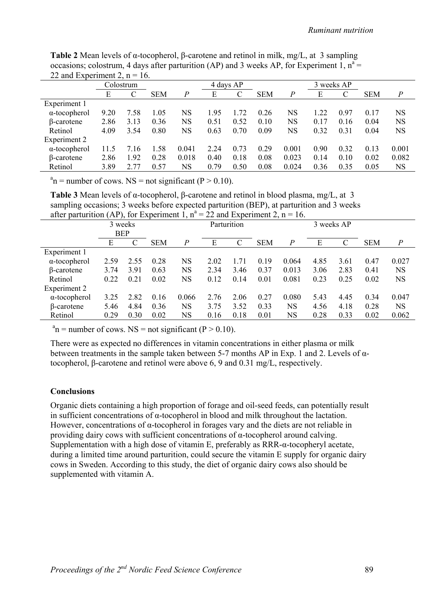| 22 and Experiment 2, $n = 16$ . |      |           |            |                |      |           |            |                  |      |            |            |                  |
|---------------------------------|------|-----------|------------|----------------|------|-----------|------------|------------------|------|------------|------------|------------------|
|                                 |      | Colostrum |            |                |      | 4 days AP |            |                  |      | 3 weeks AP |            |                  |
|                                 | Е    | C         | <b>SEM</b> | $\overline{P}$ | E    |           | <b>SEM</b> | $\boldsymbol{P}$ | Е    |            | <b>SEM</b> | $\boldsymbol{P}$ |
| Experiment 1                    |      |           |            |                |      |           |            |                  |      |            |            |                  |
| $\alpha$ -tocopherol            | 9.20 | 7.58      | .05        | NS             | 1.95 | 1.72      | 0.26       | NS               | 1.22 | 0.97       | 0.17       | NS               |
| β-carotene                      | 2.86 | 3.13      | 0.36       | NS             | 0.51 | 0.52      | 0.10       | <b>NS</b>        | 0.17 | 0.16       | 0.04       | <b>NS</b>        |
| Retinol                         | 4.09 | 3.54      | 0.80       | NS             | 0.63 | 0.70      | 0.09       | <b>NS</b>        | 0.32 | 0.31       | 0.04       | <b>NS</b>        |
| Experiment 2                    |      |           |            |                |      |           |            |                  |      |            |            |                  |
| $\alpha$ -tocopherol            | 11.5 | 7.16      | .58        | 0.041          | 2.24 | 0.73      | 0.29       | 0.001            | 0.90 | 0.32       | 0.13       | 0.001            |
| B-carotene                      | 2.86 | 1.92      | 0.28       | 0.018          | 0.40 | 0.18      | 0.08       | 0.023            | 0.14 | 0.10       | 0.02       | 0.082            |
| Retinol                         | 3.89 | 2 77      | 0.57       | <b>NS</b>      | 0.79 | 0.50      | 0.08       | 0.024            | 0.36 | 0.35       | 0.05       | NS               |

**Table 2** Mean levels of α-tocopherol, β-carotene and retinol in milk, mg/L, at 3 sampling occasions; colostrum, 4 days after parturition (AP) and 3 weeks AP, for Experiment 1,  $n^a$  = 22 and Experiment 2,  $n = 16$ .

 $a_n$  = number of cows. NS = not significant (P > 0.10).

**Table 3** Mean levels of α-tocopherol, β-carotene and retinol in blood plasma, mg/L, at 3 sampling occasions; 3 weeks before expected parturition (BEP), at parturition and 3 weeks after parturition (AP), for Experiment 1,  $n^a = 22$  and Experiment 2,  $n = 16$ .

|                      | 3 weeks<br><b>BEP</b> | $\overline{\phantom{a}}$ |            | Parturition    |      |               | 3 weeks AP |                  |      |      |            |                  |
|----------------------|-----------------------|--------------------------|------------|----------------|------|---------------|------------|------------------|------|------|------------|------------------|
|                      | Е                     |                          | <b>SEM</b> | $\overline{P}$ | E    | $\mathcal{C}$ | <b>SEM</b> | $\boldsymbol{P}$ | E    |      | <b>SEM</b> | $\boldsymbol{P}$ |
|                      |                       |                          |            |                |      |               |            |                  |      |      |            |                  |
| Experiment 1         |                       |                          |            |                |      |               |            |                  |      |      |            |                  |
| $\alpha$ -tocopherol | 2.59                  | 2.55                     | 0.28       | <b>NS</b>      | 2.02 | 1.71          | 0.19       | 0.064            | 4.85 | 3.61 | 0.47       | 0.027            |
| $\beta$ -carotene    | 3.74                  | 3.91                     | 0.63       | <b>NS</b>      | 2.34 | 3.46          | 0.37       | 0.013            | 3.06 | 2.83 | 0.41       | <b>NS</b>        |
| Retinol              | 0.22                  | 0.21                     | 0.02       | <b>NS</b>      | 0.12 | 0.14          | 0.01       | 0.081            | 0.23 | 0.25 | 0.02       | <b>NS</b>        |
| Experiment 2         |                       |                          |            |                |      |               |            |                  |      |      |            |                  |
| $\alpha$ -tocopherol | 3.25                  | 2.82                     | 0.16       | 0.066          | 2.76 | 2.06          | 0.27       | 0.080            | 5.43 | 4.45 | 0.34       | 0.047            |
| $\beta$ -carotene    | 5.46                  | 4.84                     | 0.36       | NS             | 3.75 | 3.52          | 0.33       | <b>NS</b>        | 4.56 | 4.18 | 0.28       | NS               |
| Retinol              | 0.29                  | 0.30                     | 0.02       | NS             | 0.16 | 0.18          | 0.01       | <b>NS</b>        | 0.28 | 0.33 | 0.02       | 0.062            |

 $a_n$  = number of cows. NS = not significant (P > 0.10).

There were as expected no differences in vitamin concentrations in either plasma or milk between treatments in the sample taken between 5-7 months AP in Exp. 1 and 2. Levels of αtocopherol, β-carotene and retinol were above 6, 9 and 0.31 mg/L, respectively.

### **Conclusions**

Organic diets containing a high proportion of forage and oil-seed feeds, can potentially result in sufficient concentrations of  $\alpha$ -tocopherol in blood and milk throughout the lactation. However, concentrations of α-tocopherol in forages vary and the diets are not reliable in providing dairy cows with sufficient concentrations of  $\alpha$ -tocopherol around calving. Supplementation with a high dose of vitamin E, preferably as RRR-α-tocopheryl acetate, during a limited time around parturition, could secure the vitamin E supply for organic dairy cows in Sweden. According to this study, the diet of organic dairy cows also should be supplemented with vitamin A.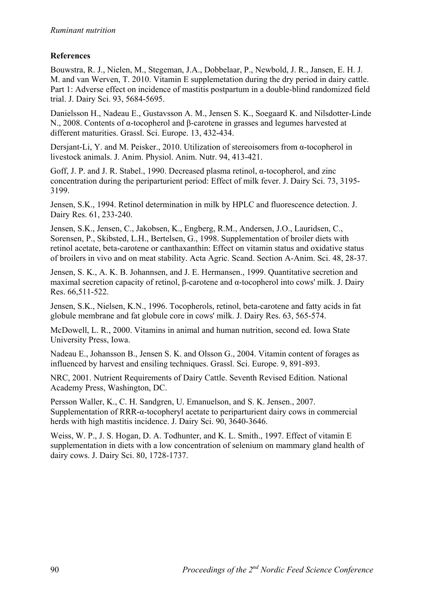# **References**

Bouwstra, R. J., Nielen, M., Stegeman, J.A., Dobbelaar, P., Newbold, J. R., Jansen, E. H. J. M. and van Werven, T. 2010. Vitamin E supplemetation during the dry period in dairy cattle. Part 1: Adverse effect on incidence of mastitis postpartum in a double-blind randomized field trial. J. Dairy Sci. 93, 5684-5695.

Danielsson H., Nadeau E., Gustavsson A. M., Jensen S. K., Soegaard K. and Nilsdotter-Linde N., 2008. Contents of α-tocopherol and β-carotene in grasses and legumes harvested at different maturities. Grassl. Sci. Europe. 13, 432-434.

Dersjant-Li, Y. and M. Peisker., 2010. Utilization of stereoisomers from α-tocopherol in livestock animals. J. Anim. Physiol. Anim. Nutr. 94, 413-421.

Goff, J. P. and J. R. Stabel., 1990. Decreased plasma retinol, α-tocopherol, and zinc concentration during the periparturient period: Effect of milk fever. J. Dairy Sci. 73, 3195- 3199.

Jensen, S.K., 1994. Retinol determination in milk by HPLC and fluorescence detection. J. Dairy Res. 61, 233-240.

Jensen, S.K., Jensen, C., Jakobsen, K., Engberg, R.M., Andersen, J.O., Lauridsen, C., Sorensen, P., Skibsted, L.H., Bertelsen, G., 1998. Supplementation of broiler diets with retinol acetate, beta-carotene or canthaxanthin: Effect on vitamin status and oxidative status of broilers in vivo and on meat stability. Acta Agric. Scand. Section A-Anim. Sci. 48, 28-37.

Jensen, S. K., A. K. B. Johannsen, and J. E. Hermansen., 1999. Quantitative secretion and maximal secretion capacity of retinol, β-carotene and α-tocopherol into cows' milk. J. Dairy Res. 66,511-522.

Jensen, S.K., Nielsen, K.N., 1996. Tocopherols, retinol, beta-carotene and fatty acids in fat globule membrane and fat globule core in cows' milk. J. Dairy Res. 63, 565-574.

McDowell, L. R., 2000. Vitamins in animal and human nutrition, second ed. Iowa State University Press, Iowa.

Nadeau E., Johansson B., Jensen S. K. and Olsson G., 2004. Vitamin content of forages as influenced by harvest and ensiling techniques. Grassl. Sci. Europe. 9, 891-893.

NRC, 2001. Nutrient Requirements of Dairy Cattle. Seventh Revised Edition. National Academy Press, Washington, DC.

Persson Waller, K., C. H. Sandgren, U. Emanuelson, and S. K. Jensen., 2007. Supplementation of RRR-α-tocopheryl acetate to periparturient dairy cows in commercial herds with high mastitis incidence. J. Dairy Sci. 90, 3640-3646.

Weiss, W. P., J. S. Hogan, D. A. Todhunter, and K. L. Smith., 1997. Effect of vitamin E supplementation in diets with a low concentration of selenium on mammary gland health of dairy cows. J. Dairy Sci. 80, 1728-1737.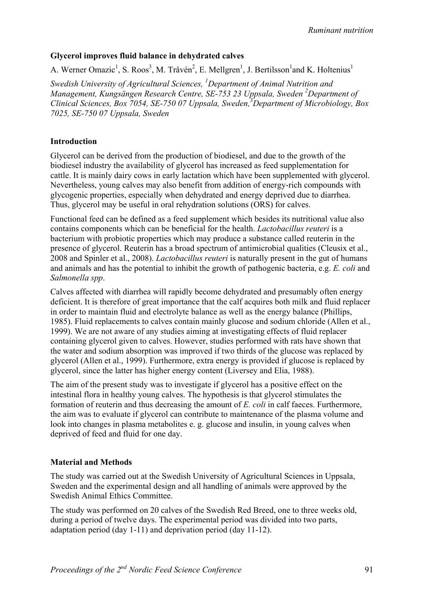*Ruminant nutrition*

## **Glycerol improves fluid balance in dehydrated calves**

A. Werner Omazic<sup>1</sup>, S. Roos<sup>3</sup>, M. Tråvén<sup>2</sup>, E. Mellgren<sup>1</sup>, J. Bertilsson<sup>1</sup>and K. Holtenius<sup>1</sup>

*Swedish University of Agricultural Sciences, 1 Department of Animal Nutrition and Management, Kungsängen Research Centre, SE-753 23 Uppsala, Sweden 2 Department of Clinical Sciences, Box 7054, SE-750 07 Uppsala, Sweden,3 Department of Microbiology, Box 7025, SE-750 07 Uppsala, Sweden* 

# **Introduction**

Glycerol can be derived from the production of biodiesel, and due to the growth of the biodiesel industry the availability of glycerol has increased as feed supplementation for cattle. It is mainly dairy cows in early lactation which have been supplemented with glycerol. Nevertheless, young calves may also benefit from addition of energy-rich compounds with glycogenic properties, especially when dehydrated and energy deprived due to diarrhea. Thus, glycerol may be useful in oral rehydration solutions (ORS) for calves.

Functional feed can be defined as a feed supplement which besides its nutritional value also contains components which can be beneficial for the health. *Lactobacillus reuteri* is a bacterium with probiotic properties which may produce a substance called reuterin in the presence of glycerol. Reuterin has a broad spectrum of antimicrobial qualities (Cleusix et al., 2008 and Spinler et al., 2008). *Lactobacillus reuteri* is naturally present in the gut of humans and animals and has the potential to inhibit the growth of pathogenic bacteria, e.g. *E. coli* and *Salmonella spp*.

Calves affected with diarrhea will rapidly become dehydrated and presumably often energy deficient. It is therefore of great importance that the calf acquires both milk and fluid replacer in order to maintain fluid and electrolyte balance as well as the energy balance (Phillips, 1985). Fluid replacements to calves contain mainly glucose and sodium chloride (Allen et al., 1999). We are not aware of any studies aiming at investigating effects of fluid replacer containing glycerol given to calves. However, studies performed with rats have shown that the water and sodium absorption was improved if two thirds of the glucose was replaced by glycerol (Allen et al., 1999). Furthermore, extra energy is provided if glucose is replaced by glycerol, since the latter has higher energy content (Liversey and Elia, 1988).

The aim of the present study was to investigate if glycerol has a positive effect on the intestinal flora in healthy young calves. The hypothesis is that glycerol stimulates the formation of reuterin and thus decreasing the amount of *E. coli* in calf faeces. Furthermore, the aim was to evaluate if glycerol can contribute to maintenance of the plasma volume and look into changes in plasma metabolites e. g. glucose and insulin, in young calves when deprived of feed and fluid for one day.

### **Material and Methods**

The study was carried out at the Swedish University of Agricultural Sciences in Uppsala, Sweden and the experimental design and all handling of animals were approved by the Swedish Animal Ethics Committee.

The study was performed on 20 calves of the Swedish Red Breed, one to three weeks old, during a period of twelve days. The experimental period was divided into two parts, adaptation period (day 1-11) and deprivation period (day 11-12).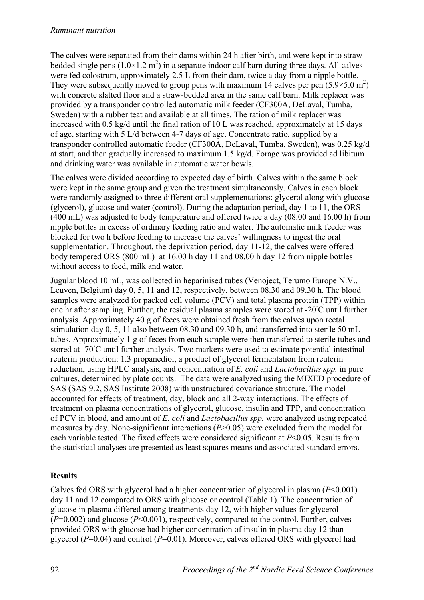The calves were separated from their dams within 24 h after birth, and were kept into strawbedded single pens  $(1.0 \times 1.2 \text{ m}^2)$  in a separate indoor calf barn during three days. All calves were fed colostrum, approximately 2.5 L from their dam, twice a day from a nipple bottle. They were subsequently moved to group pens with maximum 14 calves per pen  $(5.9 \times 5.0 \text{ m}^2)$ with concrete slatted floor and a straw-bedded area in the same calf barn. Milk replacer was provided by a transponder controlled automatic milk feeder (CF300A, DeLaval, Tumba, Sweden) with a rubber teat and available at all times. The ration of milk replacer was increased with 0.5 kg/d until the final ration of 10 L was reached, approximately at 15 days of age, starting with 5 L/d between 4-7 days of age. Concentrate ratio, supplied by a transponder controlled automatic feeder (CF300A, DeLaval, Tumba, Sweden), was 0.25 kg/d at start, and then gradually increased to maximum 1.5 kg/d. Forage was provided ad libitum and drinking water was available in automatic water bowls.

The calves were divided according to expected day of birth. Calves within the same block were kept in the same group and given the treatment simultaneously. Calves in each block were randomly assigned to three different oral supplementations: glycerol along with glucose (glycerol), glucose and water (control). During the adaptation period, day 1 to 11, the ORS (400 mL) was adjusted to body temperature and offered twice a day (08.00 and 16.00 h) from nipple bottles in excess of ordinary feeding ratio and water. The automatic milk feeder was blocked for two h before feeding to increase the calves' willingness to ingest the oral supplementation. Throughout, the deprivation period, day 11-12, the calves were offered body tempered ORS (800 mL) at 16.00 h day 11 and 08.00 h day 12 from nipple bottles without access to feed, milk and water.

Jugular blood 10 mL, was collected in heparinised tubes (Venoject, Terumo Europe N.V., Leuven, Belgium) day 0, 5, 11 and 12, respectively, between 08.30 and 09.30 h. The blood samples were analyzed for packed cell volume (PCV) and total plasma protein (TPP) within one hr after sampling. Further, the residual plasma samples were stored at -20◦ C until further analysis. Approximately 40 g of feces were obtained fresh from the calves upon rectal stimulation day 0, 5, 11 also between 08.30 and 09.30 h, and transferred into sterile 50 mL tubes. Approximately 1 g of feces from each sample were then transferred to sterile tubes and stored at -70°C until further analysis. Two markers were used to estimate potential intestinal reuterin production: 1.3 propanediol, a product of glycerol fermentation from reuterin reduction, using HPLC analysis, and concentration of *E. coli* and *Lactobacillus spp.* in pure cultures, determined by plate counts. The data were analyzed using the MIXED procedure of SAS (SAS 9.2, SAS Institute 2008) with unstructured covariance structure. The model accounted for effects of treatment, day, block and all 2-way interactions. The effects of treatment on plasma concentrations of glycerol, glucose, insulin and TPP, and concentration of PCV in blood, and amount of *E. coli* and *Lactobacillus spp.* were analyzed using repeated measures by day. None-significant interactions (*P*>0.05) were excluded from the model for each variable tested. The fixed effects were considered significant at *P*<0.05. Results from the statistical analyses are presented as least squares means and associated standard errors.

# **Results**

Calves fed ORS with glycerol had a higher concentration of glycerol in plasma (*P*<0.001) day 11 and 12 compared to ORS with glucose or control (Table 1). The concentration of glucose in plasma differed among treatments day 12, with higher values for glycerol  $(P=0.002)$  and glucose  $(P<0.001)$ , respectively, compared to the control. Further, calves provided ORS with glucose had higher concentration of insulin in plasma day 12 than glycerol (*P*=0.04) and control (*P*=0.01). Moreover, calves offered ORS with glycerol had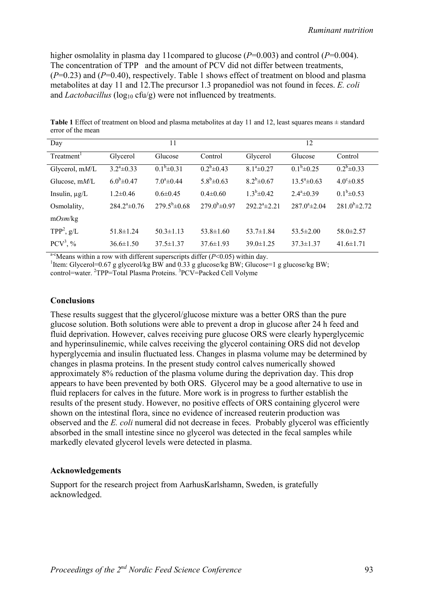higher osmolality in plasma day 11compared to glucose ( $P=0.003$ ) and control ( $P=0.004$ ). The concentration of TPP and the amount of PCV did not differ between treatments, (*P*=0.23) and (*P*=0.40), respectively. Table 1 shows effect of treatment on blood and plasma metabolites at day 11 and 12.The precursor 1.3 propanediol was not found in feces. *E. coli* and *Lactobacillus* ( $log_{10}$  cfu/g) were not influenced by treatments.

| Day                      |                    | 11                  |                          | 12                 |                         |                      |  |  |
|--------------------------|--------------------|---------------------|--------------------------|--------------------|-------------------------|----------------------|--|--|
| Treatment <sup>1</sup>   | Glycerol           | Glucose             | Control                  | Glycerol           | Glucose                 | Control              |  |  |
| Glycerol, mM/L           | $3.2^a \pm 0.33$   | $0.1^b \pm 0.31$    | $0.2^b \pm 0.43$         | $8.1^a \pm 0.27$   | $0.1^b \pm 0.25$        | $0.2^b \pm 0.33$     |  |  |
| Glucose, mM/L            | $6.0^{b} \pm 0.47$ | $7.0^{\circ}$ ±0.44 | $5.8^b \pm 0.63$         | $8.2^b \pm 0.67$   | $13.5^{\circ} \pm 0.63$ | $4.0^{\circ}$ ± 0.85 |  |  |
| Insulin, $\mu g/L$       | $1.2 \pm 0.46$     | $0.6 \pm 0.45$      | $0.4 \pm 0.60$           | $1.3^b \pm 0.42$   | $2.4^a \pm 0.39$        | $0.1^b \pm 0.53$     |  |  |
| Osmolality,              | $284.2^a \pm 0.76$ | $279.5^b \pm 0.68$  | $279.0^{\rm b} \pm 0.97$ | $292.2^a \pm 2.21$ | $287.0^{\circ}$ ±2.04   | $281.0^{b} \pm 2.72$ |  |  |
| mOsm/kg                  |                    |                     |                          |                    |                         |                      |  |  |
| TPP <sup>2</sup> , $g/L$ | $51.8 \pm 1.24$    | $50.3 \pm 1.13$     | $53.8 \pm 1.60$          | $53.7 \pm 1.84$    | $53.5 \pm 2.00$         | $58.0 \pm 2.57$      |  |  |
| $PCV^3$ , %              | $36.6 \pm 1.50$    | $37.5 \pm 1.37$     | $37.6 \pm 1.93$          | $39.0 \pm 1.25$    | $37.3 \pm 1.37$         | $41.6 \pm 1.71$      |  |  |

**Table 1** Effect of treatment on blood and plasma metabolites at day 11 and 12, least squares means ± standard error of the mean

<sup>a-c</sup>Means within a row with different superscripts differ  $(P<0.05)$  within day.

<sup>1</sup> Item: Glycerol=0.67 g glycerol/kg BW and 0.33 g glucose/kg BW; Glucose=1 g glucose/kg BW;

control=water. <sup>2</sup>TPP=Total Plasma Proteins. <sup>3</sup>PCV=Packed Cell Volyme

#### **Conclusions**

These results suggest that the glycerol/glucose mixture was a better ORS than the pure glucose solution. Both solutions were able to prevent a drop in glucose after 24 h feed and fluid deprivation. However, calves receiving pure glucose ORS were clearly hyperglycemic and hyperinsulinemic, while calves receiving the glycerol containing ORS did not develop hyperglycemia and insulin fluctuated less. Changes in plasma volume may be determined by changes in plasma proteins. In the present study control calves numerically showed approximately 8% reduction of the plasma volume during the deprivation day. This drop appears to have been prevented by both ORS. Glycerol may be a good alternative to use in fluid replacers for calves in the future. More work is in progress to further establish the results of the present study. However, no positive effects of ORS containing glycerol were shown on the intestinal flora, since no evidence of increased reuterin production was observed and the *E. coli* numeral did not decrease in feces. Probably glycerol was efficiently absorbed in the small intestine since no glycerol was detected in the fecal samples while markedly elevated glycerol levels were detected in plasma.

#### **Acknowledgements**

Support for the research project from AarhusKarlshamn, Sweden, is gratefully acknowledged.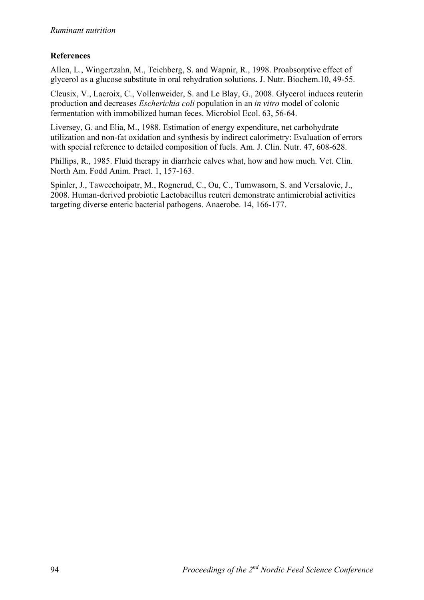# **References**

Allen, L., Wingertzahn, M., Teichberg, S. and Wapnir, R., 1998. Proabsorptive effect of glycerol as a glucose substitute in oral rehydration solutions. J. Nutr. Biochem.10, 49-55.

Cleusix, V., Lacroix, C., Vollenweider, S. and Le Blay, G., 2008. Glycerol induces reuterin production and decreases *Escherichia coli* population in an *in vitro* model of colonic fermentation with immobilized human feces. Microbiol Ecol. 63, 56-64.

Liversey, G. and Elia, M., 1988. Estimation of energy expenditure, net carbohydrate utilization and non-fat oxidation and synthesis by indirect calorimetry: Evaluation of errors with special reference to detailed composition of fuels. Am. J. Clin. Nutr. 47, 608-628.

Phillips, R., 1985. Fluid therapy in diarrheic calves what, how and how much. Vet. Clin. North Am. Fodd Anim. Pract. 1, 157-163.

Spinler, J., Taweechoipatr, M., Rognerud, C., Ou, C., Tumwasorn, S. and Versalovic, J., 2008. Human-derived probiotic Lactobacillus reuteri demonstrate antimicrobial activities targeting diverse enteric bacterial pathogens. Anaerobe. 14, 166-177.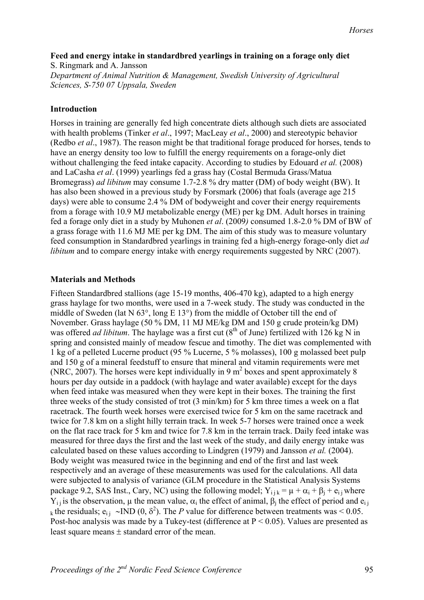## **Feed and energy intake in standardbred yearlings in training on a forage only diet**

S. Ringmark and A. Jansson *Department of Animal Nutrition & Management, Swedish University of Agricultural Sciences, S-750 07 Uppsala, Sweden*

## **Introduction**

Horses in training are generally fed high concentrate diets although such diets are associated with health problems (Tinker *et al*., 1997; MacLeay *et al*., 2000) and stereotypic behavior (Redbo *et al*., 1987). The reason might be that traditional forage produced for horses, tends to have an energy density too low to fulfill the energy requirements on a forage-only diet without challenging the feed intake capacity. According to studies by Edouard *et al.* (2008) and LaCasha *et al*. (1999) yearlings fed a grass hay (Costal Bermuda Grass/Matua Bromegrass) *ad libitum* may consume 1.7-2.8 % dry matter (DM) of body weight (BW). It has also been showed in a previous study by Forsmark (2006) that foals (average age 215 days) were able to consume 2.4 % DM of bodyweight and cover their energy requirements from a forage with 10.9 MJ metabolizable energy (ME) per kg DM. Adult horses in training fed a forage only diet in a study by Muhonen *et al*. (2009*)* consumed 1.8-2.0 % DM of BW of a grass forage with 11.6 MJ ME per kg DM. The aim of this study was to measure voluntary feed consumption in Standardbred yearlings in training fed a high-energy forage-only diet *ad libitum* and to compare energy intake with energy requirements suggested by NRC (2007).

### **Materials and Methods**

Fifteen Standardbred stallions (age 15-19 months, 406-470 kg), adapted to a high energy grass haylage for two months, were used in a 7-week study. The study was conducted in the middle of Sweden (lat N 63°, long E 13°) from the middle of October till the end of November. Grass haylage (50 % DM, 11 MJ ME/kg DM and 150 g crude protein/kg DM) was offered *ad libitum*. The haylage was a first cut  $(8<sup>th</sup>$  of June) fertilized with 126 kg N in spring and consisted mainly of meadow fescue and timothy. The diet was complemented with 1 kg of a pelleted Lucerne product (95 % Lucerne, 5 % molasses), 100 g molassed beet pulp and 150 g of a mineral feedstuff to ensure that mineral and vitamin requirements were met (NRC, 2007). The horses were kept individually in 9  $m<sup>2</sup>$  boxes and spent approximately 8 hours per day outside in a paddock (with haylage and water available) except for the days when feed intake was measured when they were kept in their boxes. The training the first three weeks of the study consisted of trot (3 min/km) for 5 km three times a week on a flat racetrack. The fourth week horses were exercised twice for 5 km on the same racetrack and twice for 7.8 km on a slight hilly terrain track. In week 5-7 horses were trained once a week on the flat race track for 5 km and twice for 7.8 km in the terrain track. Daily feed intake was measured for three days the first and the last week of the study, and daily energy intake was calculated based on these values according to Lindgren (1979) and Jansson *et al.* (2004). Body weight was measured twice in the beginning and end of the first and last week respectively and an average of these measurements was used for the calculations. All data were subjected to analysis of variance (GLM procedure in the Statistical Analysis Systems package 9.2, SAS Inst., Cary, NC) using the following model;  $Y_{i+k} = \mu + \alpha_i + \beta_i + e_{i}$  where  $Y_{i,j}$  is the observation,  $\mu$  the mean value,  $\alpha_i$  the effect of animal,  $\beta_i$  the effect of period and  $e_{i,j}$ k the residuals;  $e_{ij} \sim \text{IND} (0, \delta^2)$ . The *P* value for difference between treatments was < 0.05. Post-hoc analysis was made by a Tukey-test (difference at  $P \le 0.05$ ). Values are presented as least square means  $\pm$  standard error of the mean.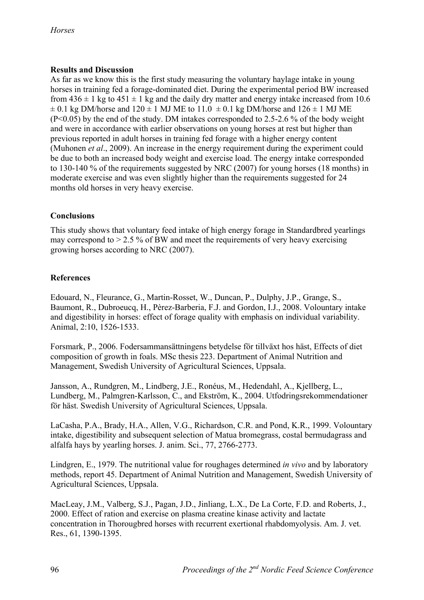# **Results and Discussion**

As far as we know this is the first study measuring the voluntary haylage intake in young horses in training fed a forage-dominated diet. During the experimental period BW increased from  $436 \pm 1$  kg to  $451 \pm 1$  kg and the daily dry matter and energy intake increased from 10.6  $\pm$  0.1 kg DM/horse and 120  $\pm$  1 MJ ME to 11.0  $\pm$  0.1 kg DM/horse and 126  $\pm$  1 MJ ME (P<0.05) by the end of the study. DM intakes corresponded to 2.5-2.6 % of the body weight and were in accordance with earlier observations on young horses at rest but higher than previous reported in adult horses in training fed forage with a higher energy content (Muhonen *et al*., 2009). An increase in the energy requirement during the experiment could be due to both an increased body weight and exercise load. The energy intake corresponded to 130-140 % of the requirements suggested by NRC (2007) for young horses (18 months) in moderate exercise and was even slightly higher than the requirements suggested for 24 months old horses in very heavy exercise.

# **Conclusions**

This study shows that voluntary feed intake of high energy forage in Standardbred yearlings may correspond to  $> 2.5$  % of BW and meet the requirements of very heavy exercising growing horses according to NRC (2007).

# **References**

Edouard, N., Fleurance, G., Martin-Rosset, W., Duncan, P., Dulphy, J.P., Grange, S., Baumont, R., Dubroeucq, H., Pèrez-Barberia, F.J. and Gordon, I.J., 2008. Volountary intake and digestibility in horses: effect of forage quality with emphasis on individual variability. Animal, 2:10, 1526-1533.

Forsmark, P., 2006. Fodersammansättningens betydelse för tillväxt hos häst, Effects of diet composition of growth in foals. MSc thesis 223. Department of Animal Nutrition and Management, Swedish University of Agricultural Sciences, Uppsala.

Jansson, A., Rundgren, M., Lindberg, J.E., Ronéus, M., Hedendahl, A., Kjellberg, L., Lundberg, M., Palmgren-Karlsson, C., and Ekström, K., 2004. Utfodringsrekommendationer för häst. Swedish University of Agricultural Sciences, Uppsala.

LaCasha, P.A., Brady, H.A., Allen, V.G., Richardson, C.R. and Pond, K.R., 1999. Volountary intake, digestibility and subsequent selection of Matua bromegrass, costal bermudagrass and alfalfa hays by yearling horses. J. anim. Sci., 77, 2766-2773.

Lindgren, E., 1979. The nutritional value for roughages determined *in vivo* and by laboratory methods, report 45. Department of Animal Nutrition and Management, Swedish University of Agricultural Sciences, Uppsala.

MacLeay, J.M., Valberg, S.J., Pagan, J.D., Jinliang, L.X., De La Corte, F.D. and Roberts, J., 2000. Effect of ration and exercise on plasma creatine kinase activity and lactate concentration in Thorougbred horses with recurrent exertional rhabdomyolysis. Am. J. vet. Res., 61, 1390-1395.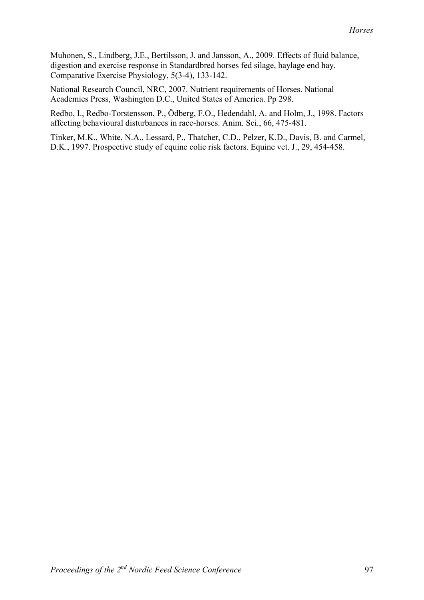Muhonen, S., Lindberg, J.E., Bertilsson, J. and Jansson, A., 2009. Effects of fluid balance, digestion and exercise response in Standardbred horses fed silage, haylage end hay. Comparative Exercise Physiology, 5(3-4), 133-142.

National Research Council, NRC, 2007. Nutrient requirements of Horses. National Academies Press, Washington D.C., United States of America. Pp 298.

Redbo, I., Redbo-Torstensson, P., Ödberg, F.O., Hedendahl, A. and Holm, J., 1998. Factors affecting behavioural disturbances in race-horses. Anim. Sci., 66, 475-481.

Tinker, M.K., White, N.A., Lessard, P., Thatcher, C.D., Pelzer, K.D., Davis, B. and Carmel, D.K., 1997. Prospective study of equine colic risk factors. Equine vet. J., 29, 454-458.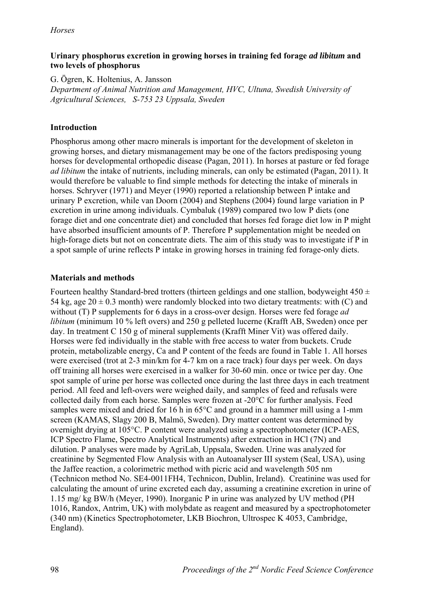## **Urinary phosphorus excretion in growing horses in training fed forage** *ad libitum* **and two levels of phosphorus**

G. Ögren, K. Holtenius, A. Jansson

*Department of Animal Nutrition and Management, HVC, Ultuna, Swedish University of Agricultural Sciences, S-753 23 Uppsala, Sweden* 

# **Introduction**

Phosphorus among other macro minerals is important for the development of skeleton in growing horses, and dietary mismanagement may be one of the factors predisposing young horses for developmental orthopedic disease (Pagan, 2011). In horses at pasture or fed forage *ad libitum* the intake of nutrients, including minerals, can only be estimated (Pagan, 2011). It would therefore be valuable to find simple methods for detecting the intake of minerals in horses. Schryver (1971) and Meyer (1990) reported a relationship between P intake and urinary P excretion, while van Doorn (2004) and Stephens (2004) found large variation in P excretion in urine among individuals. Cymbaluk (1989) compared two low P diets (one forage diet and one concentrate diet) and concluded that horses fed forage diet low in P might have absorbed insufficient amounts of P. Therefore P supplementation might be needed on high-forage diets but not on concentrate diets. The aim of this study was to investigate if P in a spot sample of urine reflects P intake in growing horses in training fed forage-only diets.

# **Materials and methods**

Fourteen healthy Standard-bred trotters (thirteen geldings and one stallion, bodyweight  $450 \pm$ 54 kg, age  $20 \pm 0.3$  month) were randomly blocked into two dietary treatments: with (C) and without (T) P supplements for 6 days in a cross-over design. Horses were fed forage *ad libitum* (minimum 10 % left overs) and 250 g pelleted lucerne (Krafft AB, Sweden) once per day. In treatment C 150 g of mineral supplements (Krafft Miner Vit) was offered daily. Horses were fed individually in the stable with free access to water from buckets. Crude protein, metabolizable energy, Ca and P content of the feeds are found in Table 1. All horses were exercised (trot at 2-3 min/km for 4-7 km on a race track) four days per week. On days off training all horses were exercised in a walker for 30-60 min. once or twice per day. One spot sample of urine per horse was collected once during the last three days in each treatment period. All feed and left-overs were weighed daily, and samples of feed and refusals were collected daily from each horse. Samples were frozen at -20°C for further analysis. Feed samples were mixed and dried for 16 h in 65°C and ground in a hammer mill using a 1-mm screen (KAMAS, Slagy 200 B, Malmö, Sweden). Dry matter content was determined by overnight drying at 105°C. P content were analyzed using a spectrophotometer (ICP-AES, ICP Spectro Flame, Spectro Analytical Instruments) after extraction in HCl (7N) and dilution. P analyses were made by AgriLab, Uppsala, Sweden. Urine was analyzed for creatinine by Segmented Flow Analysis with an Autoanalyser III system (Seal, USA), using the Jaffee reaction, a colorimetric method with picric acid and wavelength 505 nm (Technicon method No. SE4-0011FH4, Technicon, Dublin, Ireland). Creatinine was used for calculating the amount of urine excreted each day, assuming a creatinine excretion in urine of 1.15 mg/ kg BW/h (Meyer, 1990). Inorganic P in urine was analyzed by UV method (PH 1016, Randox, Antrim, UK) with molybdate as reagent and measured by a spectrophotometer (340 nm) (Kinetics Spectrophotometer, LKB Biochron, Ultrospec K 4053, Cambridge, England).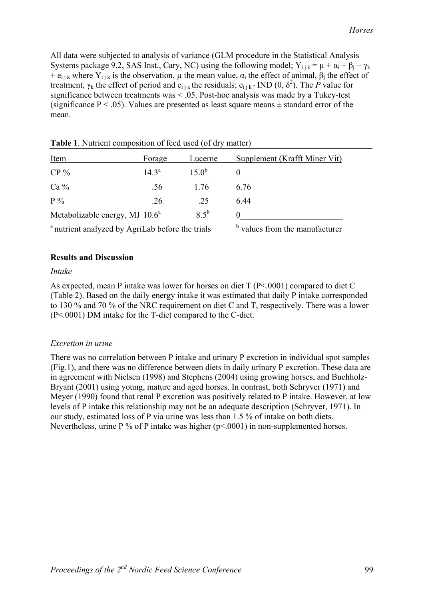All data were subjected to analysis of variance (GLM procedure in the Statistical Analysis Systems package 9.2, SAS Inst., Cary, NC) using the following model;  $Y_{i j k} = \mu + \alpha_i + \beta_j + \gamma_k$ +  $e_{ijk}$  where  $Y_{ijk}$  is the observation,  $\mu$  the mean value,  $\alpha_i$  the effect of animal,  $\beta_i$  the effect of treatment,  $\gamma_k$  the effect of period and  $e_{ijk}$  the residuals;  $e_{ijk}$  ND (0,  $\delta^2$ ). The *P* value for significance between treatments was  $\leq$  0.05. Post-hoc analysis was made by a Tukey-test (significance  $P < .05$ ). Values are presented as least square means  $\pm$  standard error of the mean.

| Item                              | Forage         | Lucerne       | Supplement (Krafft Miner Vit) |
|-----------------------------------|----------------|---------------|-------------------------------|
| $CP\%$                            | $14.3^{\circ}$ | $150^b$       |                               |
| $Ca\%$                            | .56            | 1.76          | 6.76                          |
| $P\%$                             | .26            | .25           | 644                           |
| Metabolizable energy, MJ $10.6^a$ |                | $8.5^{\rm b}$ |                               |
|                                   |                |               |                               |

**Table 1**. Nutrient composition of feed used (of dry matter)

<sup>a</sup> nutrient analyzed by AgriLab before the trials

 $\sigma$  values from the manufacturer

### **Results and Discussion**

#### *Intake*

As expected, mean P intake was lower for horses on diet T (P<.0001) compared to diet C (Table 2). Based on the daily energy intake it was estimated that daily P intake corresponded to 130 % and 70 % of the NRC requirement on diet C and T, respectively. There was a lower (P<.0001) DM intake for the T-diet compared to the C-diet.

### *Excretion in urine*

There was no correlation between P intake and urinary P excretion in individual spot samples (Fig.1), and there was no difference between diets in daily urinary P excretion. These data are in agreement with Nielsen (1998) and Stephens (2004) using growing horses, and Buchholz-Bryant (2001) using young, mature and aged horses. In contrast, both Schryver (1971) and Meyer (1990) found that renal P excretion was positively related to P intake. However, at low levels of P intake this relationship may not be an adequate description (Schryver, 1971). In our study, estimated loss of P via urine was less than 1.5 % of intake on both diets. Nevertheless, urine P % of P intake was higher (p<.0001) in non-supplemented horses.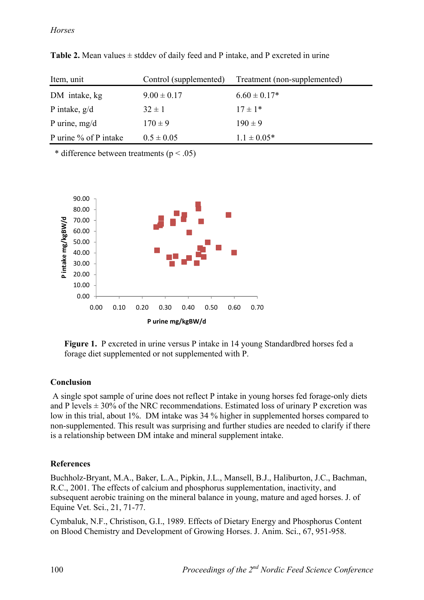| Item, unit            | Control (supplemented) | Treatment (non-supplemented) |
|-----------------------|------------------------|------------------------------|
| DM intake, kg         | $9.00 \pm 0.17$        | $6.60 \pm 0.17*$             |
| P intake, $g/d$       | $32 \pm 1$             | $17 \pm 1*$                  |
| P urine, $mg/d$       | $170 \pm 9$            | $190 \pm 9$                  |
| P urine % of P intake | $0.5 \pm 0.05$         | $1.1 \pm 0.05*$              |

**Table 2.** Mean values  $\pm$  stddev of daily feed and P intake, and P excreted in urine

\* difference between treatments ( $p < .05$ )



**Figure 1.** P excreted in urine versus P intake in 14 young Standardbred horses fed a forage diet supplemented or not supplemented with P.

# **Conclusion**

A single spot sample of urine does not reflect P intake in young horses fed forage-only diets and P levels  $\pm$  30% of the NRC recommendations. Estimated loss of urinary P excretion was low in this trial, about 1%. DM intake was 34 % higher in supplemented horses compared to non-supplemented. This result was surprising and further studies are needed to clarify if there is a relationship between DM intake and mineral supplement intake.

# **References**

Buchholz-Bryant, M.A., Baker, L.A., Pipkin, J.L., Mansell, B.J., Haliburton, J.C., Bachman, R.C., 2001. The effects of calcium and phosphorus supplementation, inactivity, and subsequent aerobic training on the mineral balance in young, mature and aged horses. J. of Equine Vet. Sci., 21, 71-77.

Cymbaluk, N.F., Christison, G.I., 1989. Effects of Dietary Energy and Phosphorus Content on Blood Chemistry and Development of Growing Horses. J. Anim. Sci., 67, 951-958.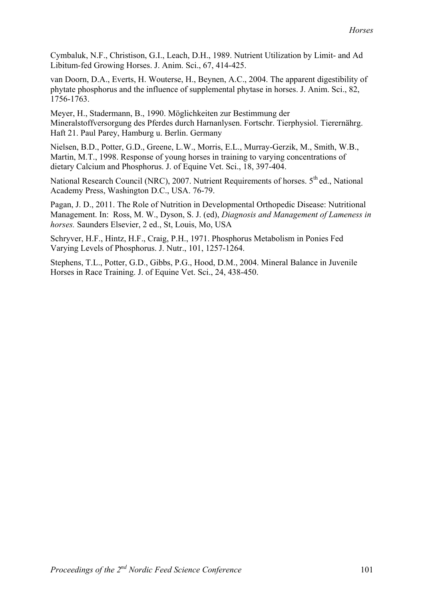Cymbaluk, N.F., Christison, G.I., Leach, D.H., 1989. Nutrient Utilization by Limit- and Ad Libitum-fed Growing Horses. J. Anim. Sci., 67, 414-425.

van Doorn, D.A., Everts, H. Wouterse, H., Beynen, A.C., 2004. The apparent digestibility of phytate phosphorus and the influence of supplemental phytase in horses. J. Anim. Sci., 82, 1756-1763.

Meyer, H., Stadermann, B., 1990. Möglichkeiten zur Bestimmung der Mineralstoffversorgung des Pferdes durch Harnanlysen. Fortschr. Tierphysiol. Tierernährg. Haft 21. Paul Parey, Hamburg u. Berlin. Germany

Nielsen, B.D., Potter, G.D., Greene, L.W., Morris, E.L., Murray-Gerzik, M., Smith, W.B., Martin, M.T., 1998. Response of young horses in training to varying concentrations of dietary Calcium and Phosphorus. J. of Equine Vet. Sci., 18, 397-404.

National Research Council (NRC), 2007. Nutrient Requirements of horses. 5<sup>th</sup> ed., National Academy Press, Washington D.C., USA. 76-79.

Pagan, J. D., 2011. The Role of Nutrition in Developmental Orthopedic Disease: Nutritional Management. In: Ross, M. W., Dyson, S. J. (ed), *Diagnosis and Management of Lameness in horses.* Saunders Elsevier, 2 ed., St, Louis, Mo, USA

Schryver, H.F., Hintz, H.F., Craig, P.H., 1971. Phosphorus Metabolism in Ponies Fed Varying Levels of Phosphorus. J. Nutr., 101, 1257-1264.

Stephens, T.L., Potter, G.D., Gibbs, P.G., Hood, D.M., 2004. Mineral Balance in Juvenile Horses in Race Training. J. of Equine Vet. Sci., 24, 438-450.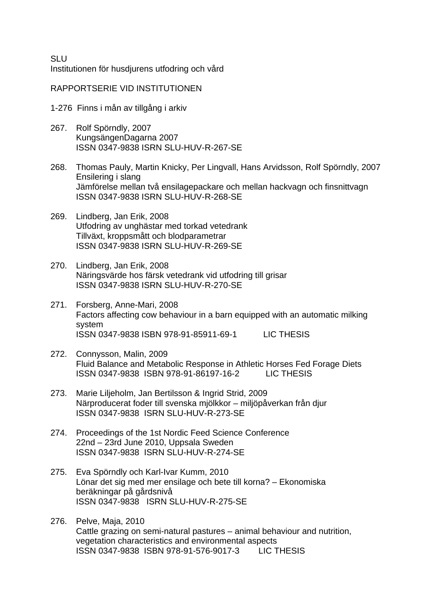SLU Institutionen för husdjurens utfodring och vård

# RAPPORTSERIE VID INSTITUTIONEN

- 1-276 Finns i mån av tillgång i arkiv
- 267. Rolf Spörndly, 2007 KungsängenDagarna 2007 ISSN 0347-9838 ISRN SLU-HUV-R-267-SE
- 268. Thomas Pauly, Martin Knicky, Per Lingvall, Hans Arvidsson, Rolf Spörndly, 2007 Ensilering i slang Jämförelse mellan två ensilagepackare och mellan hackvagn och finsnittvagn ISSN 0347-9838 ISRN SLU-HUV-R-268-SE
- 269. Lindberg, Jan Erik, 2008 Utfodring av unghästar med torkad vetedrank Tillväxt, kroppsmått och blodparametrar ISSN 0347-9838 ISRN SLU-HUV-R-269-SE
- 270. Lindberg, Jan Erik, 2008 Näringsvärde hos färsk vetedrank vid utfodring till grisar ISSN 0347-9838 ISRN SLU-HUV-R-270-SE
- 271. Forsberg, Anne-Mari, 2008 Factors affecting cow behaviour in a barn equipped with an automatic milking system ISSN 0347-9838 ISBN 978-91-85911-69-1 LIC THESIS
- 272. Connysson, Malin, 2009 Fluid Balance and Metabolic Response in Athletic Horses Fed Forage Diets ISSN 0347-9838 ISBN 978-91-86197-16-2 LIC THESIS
- 273. Marie Liljeholm, Jan Bertilsson & Ingrid Strid, 2009 Närproducerat foder till svenska mjölkkor – miljöpåverkan från djur ISSN 0347-9838 ISRN SLU-HUV-R-273-SE
- 274. Proceedings of the 1st Nordic Feed Science Conference 22nd – 23rd June 2010, Uppsala Sweden ISSN 0347-9838 ISRN SLU-HUV-R-274-SE
- 275. Eva Spörndly och Karl-Ivar Kumm, 2010 Lönar det sig med mer ensilage och bete till korna? – Ekonomiska beräkningar på gårdsnivå ISSN 0347-9838 ISRN SLU-HUV-R-275-SE
- 276. Pelve, Maja, 2010 Cattle grazing on semi-natural pastures – animal behaviour and nutrition, vegetation characteristics and environmental aspects ISSN 0347-9838 ISBN 978-91-576-9017-3 LIC THESIS